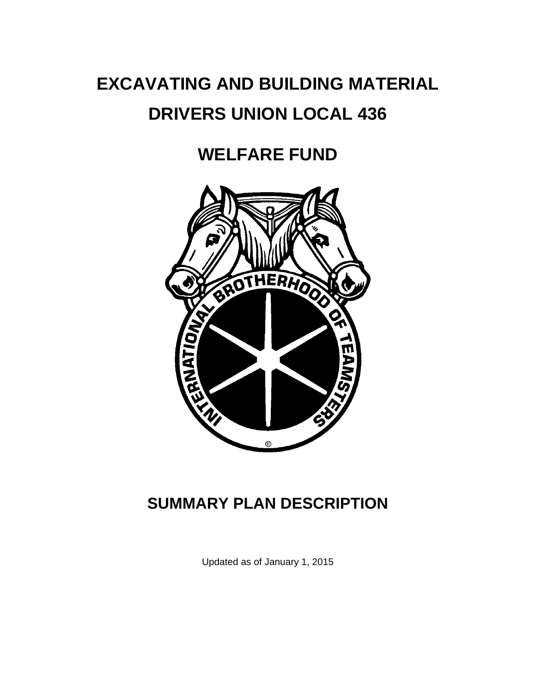# **EXCAVATING AND BUILDING MATERIAL DRIVERS UNION LOCAL 436**

# **WELFARE FUND**



# **SUMMARY PLAN DESCRIPTION**

Updated as of January 1, 2015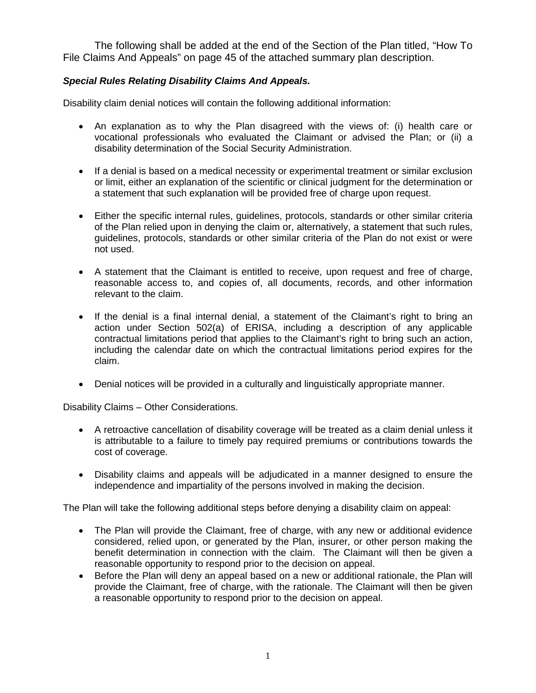The following shall be added at the end of the Section of the Plan titled, "How To File Claims And Appeals" on page 45 of the attached summary plan description.

# *Special Rules Relating Disability Claims And Appeals.*

Disability claim denial notices will contain the following additional information:

- An explanation as to why the Plan disagreed with the views of: (i) health care or vocational professionals who evaluated the Claimant or advised the Plan; or (ii) a disability determination of the Social Security Administration.
- If a denial is based on a medical necessity or experimental treatment or similar exclusion or limit, either an explanation of the scientific or clinical judgment for the determination or a statement that such explanation will be provided free of charge upon request.
- Either the specific internal rules, guidelines, protocols, standards or other similar criteria of the Plan relied upon in denying the claim or, alternatively, a statement that such rules, guidelines, protocols, standards or other similar criteria of the Plan do not exist or were not used.
- A statement that the Claimant is entitled to receive, upon request and free of charge, reasonable access to, and copies of, all documents, records, and other information relevant to the claim.
- If the denial is a final internal denial, a statement of the Claimant's right to bring an action under Section 502(a) of ERISA, including a description of any applicable contractual limitations period that applies to the Claimant's right to bring such an action, including the calendar date on which the contractual limitations period expires for the claim.
- Denial notices will be provided in a culturally and linguistically appropriate manner.

Disability Claims – Other Considerations.

- A retroactive cancellation of disability coverage will be treated as a claim denial unless it is attributable to a failure to timely pay required premiums or contributions towards the cost of coverage.
- Disability claims and appeals will be adjudicated in a manner designed to ensure the independence and impartiality of the persons involved in making the decision.

The Plan will take the following additional steps before denying a disability claim on appeal:

- The Plan will provide the Claimant, free of charge, with any new or additional evidence considered, relied upon, or generated by the Plan, insurer, or other person making the benefit determination in connection with the claim. The Claimant will then be given a reasonable opportunity to respond prior to the decision on appeal.
- Before the Plan will deny an appeal based on a new or additional rationale, the Plan will provide the Claimant, free of charge, with the rationale. The Claimant will then be given a reasonable opportunity to respond prior to the decision on appeal.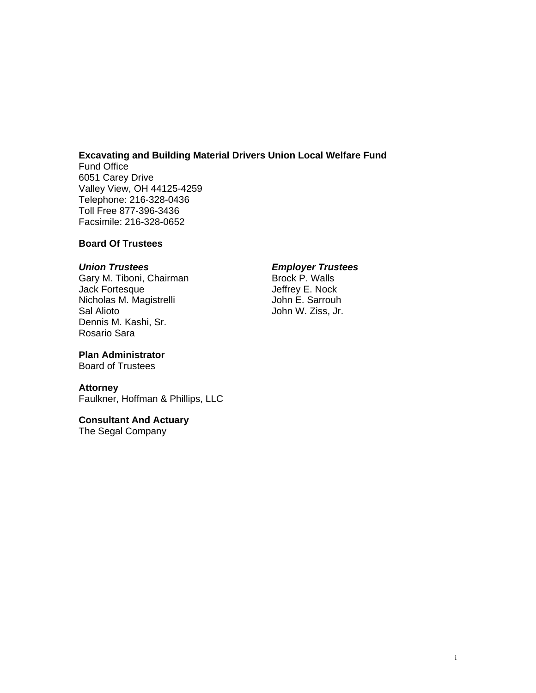# **Excavating and Building Material Drivers Union Local Welfare Fund**

Fund Office 6051 Carey Drive Valley View, OH 44125-4259 Telephone: 216-328-0436 Toll Free 877-396-3436 Facsimile: 216-328-0652

# **Board Of Trustees**

### *Union Trustees Employer Trustees*

Gary M. Tiboni, Chairman Jack Fortesque Nicholas M. Magistrelli Sal Alioto Dennis M. Kashi, Sr. Rosario Sara

# Brock P. Walls

Jeffrey E. Nock John E. Sarrouh John W. Ziss, Jr.

# Board of Trustees

**Plan Administrator**

#### **Attorney**

Faulkner, Hoffman & Phillips, LLC

# **Consultant And Actuary**

The Segal Company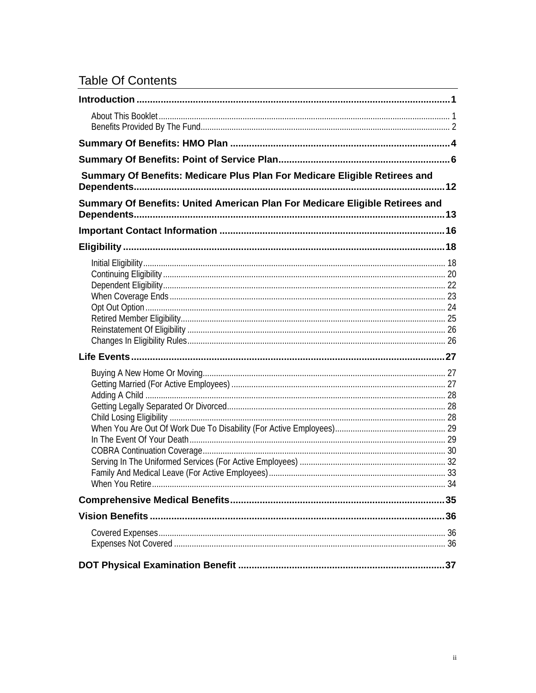# **Table Of Contents**

| Summary Of Benefits: Medicare Plus Plan For Medicare Eligible Retirees and   |  |
|------------------------------------------------------------------------------|--|
| Summary Of Benefits: United American Plan For Medicare Eligible Retirees and |  |
|                                                                              |  |
|                                                                              |  |
|                                                                              |  |
|                                                                              |  |
|                                                                              |  |
|                                                                              |  |
|                                                                              |  |
|                                                                              |  |
|                                                                              |  |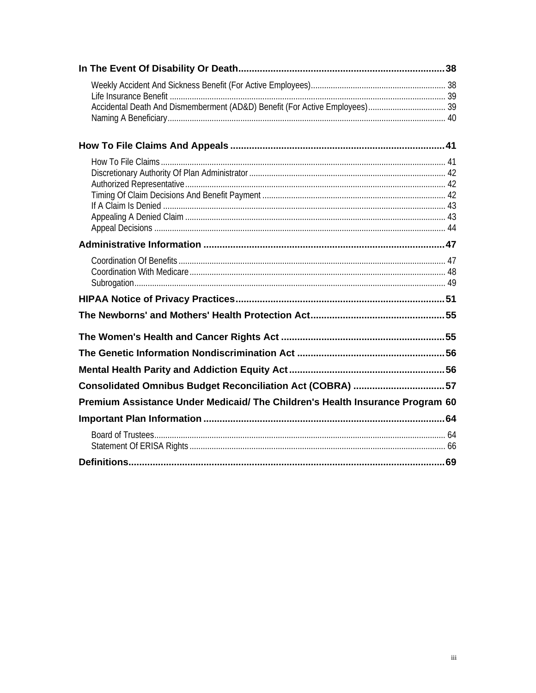| Consolidated Omnibus Budget Reconciliation Act (COBRA) 57                     |  |
|-------------------------------------------------------------------------------|--|
| Premium Assistance Under Medicaid/ The Children's Health Insurance Program 60 |  |
|                                                                               |  |
|                                                                               |  |
|                                                                               |  |
|                                                                               |  |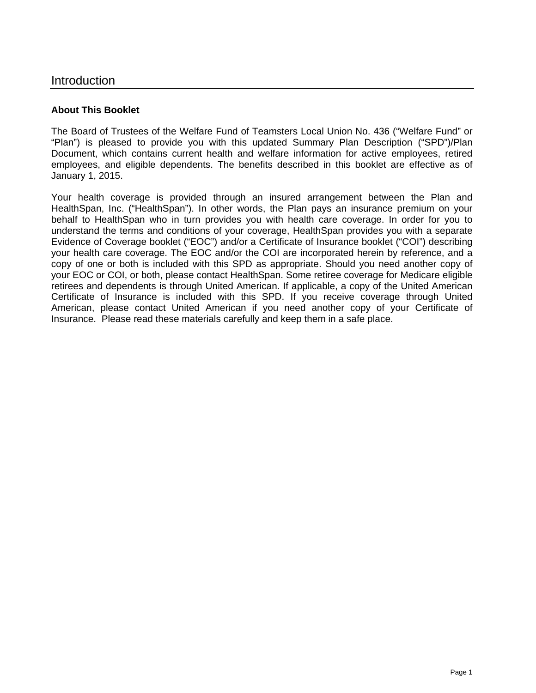# **About This Booklet**

The Board of Trustees of the Welfare Fund of Teamsters Local Union No. 436 ("Welfare Fund" or "Plan") is pleased to provide you with this updated Summary Plan Description ("SPD")/Plan Document, which contains current health and welfare information for active employees, retired employees, and eligible dependents. The benefits described in this booklet are effective as of January 1, 2015.

Your health coverage is provided through an insured arrangement between the Plan and HealthSpan, Inc. ("HealthSpan"). In other words, the Plan pays an insurance premium on your behalf to HealthSpan who in turn provides you with health care coverage. In order for you to understand the terms and conditions of your coverage, HealthSpan provides you with a separate Evidence of Coverage booklet ("EOC") and/or a Certificate of Insurance booklet ("COI") describing your health care coverage. The EOC and/or the COI are incorporated herein by reference, and a copy of one or both is included with this SPD as appropriate. Should you need another copy of your EOC or COI, or both, please contact HealthSpan. Some retiree coverage for Medicare eligible retirees and dependents is through United American. If applicable, a copy of the United American Certificate of Insurance is included with this SPD. If you receive coverage through United American, please contact United American if you need another copy of your Certificate of Insurance. Please read these materials carefully and keep them in a safe place.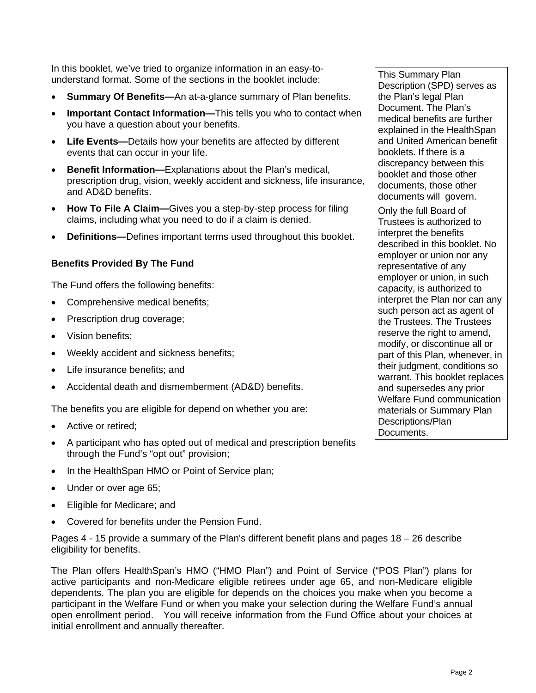In this booklet, we've tried to organize information in an easy-tounderstand format. Some of the sections in the booklet include:

- **Summary Of Benefits—**An at-a-glance summary of Plan benefits.
- **Important Contact Information—**This tells you who to contact when you have a question about your benefits.
- **Life Events—**Details how your benefits are affected by different events that can occur in your life.
- **Benefit Information—**Explanations about the Plan's medical, prescription drug, vision, weekly accident and sickness, life insurance, and AD&D benefits.
- **How To File A Claim—**Gives you a step-by-step process for filing claims, including what you need to do if a claim is denied.
- **Definitions—**Defines important terms used throughout this booklet.

# **Benefits Provided By The Fund**

The Fund offers the following benefits:

- Comprehensive medical benefits;
- Prescription drug coverage;
- Vision benefits;
- Weekly accident and sickness benefits;
- Life insurance benefits; and
- Accidental death and dismemberment (AD&D) benefits.

The benefits you are eligible for depend on whether you are:

- Active or retired;
- A participant who has opted out of medical and prescription benefits through the Fund's "opt out" provision;
- In the HealthSpan HMO or Point of Service plan;
- Under or over age 65;
- Eligible for Medicare; and
- Covered for benefits under the Pension Fund.

Pages 4 - 15 provide a summary of the Plan's different benefit plans and pages 18 – 26 describe eligibility for benefits.

The Plan offers HealthSpan's HMO ("HMO Plan") and Point of Service ("POS Plan") plans for active participants and non-Medicare eligible retirees under age 65, and non-Medicare eligible dependents. The plan you are eligible for depends on the choices you make when you become a participant in the Welfare Fund or when you make your selection during the Welfare Fund's annual open enrollment period. You will receive information from the Fund Office about your choices at initial enrollment and annually thereafter.

This Summary Plan Description (SPD) serves as the Plan's legal Plan Document. The Plan's medical benefits are further explained in the HealthSpan and United American benefit booklets. If there is a discrepancy between this booklet and those other documents, those other documents will govern.

Only the full Board of Trustees is authorized to interpret the benefits described in this booklet. No employer or union nor any representative of any employer or union, in such capacity, is authorized to interpret the Plan nor can any such person act as agent of the Trustees. The Trustees reserve the right to amend, modify, or discontinue all or part of this Plan, whenever, in their judgment, conditions so warrant. This booklet replaces and supersedes any prior Welfare Fund communication materials or Summary Plan Descriptions/Plan Documents.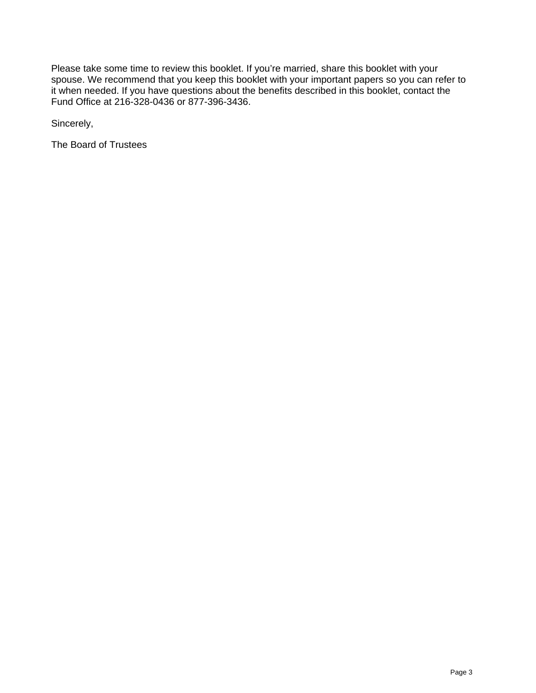Please take some time to review this booklet. If you're married, share this booklet with your spouse. We recommend that you keep this booklet with your important papers so you can refer to it when needed. If you have questions about the benefits described in this booklet, contact the Fund Office at 216-328-0436 or 877-396-3436.

Sincerely,

The Board of Trustees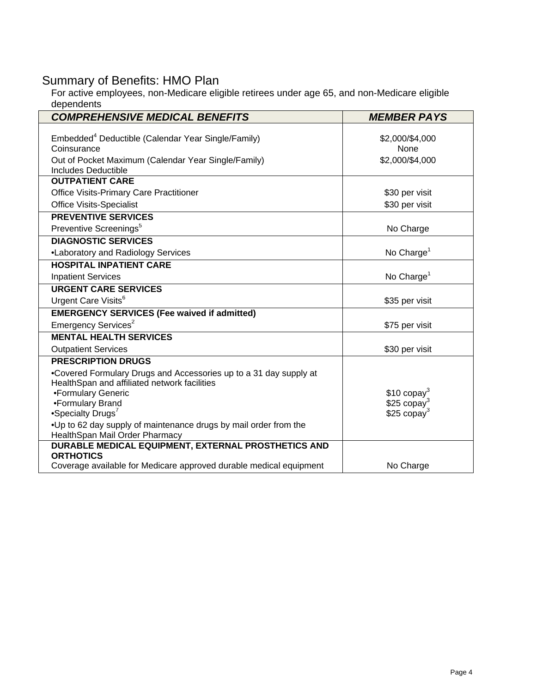# Summary of Benefits: HMO Plan

For active employees, non-Medicare eligible retirees under age 65, and non-Medicare eligible dependents

| <b>COMPREHENSIVE MEDICAL BENEFITS</b>                                                                             | <b>MEMBER PAYS</b>                                   |
|-------------------------------------------------------------------------------------------------------------------|------------------------------------------------------|
| Embedded <sup>4</sup> Deductible (Calendar Year Single/Family)<br>Coinsurance                                     | \$2,000/\$4,000<br>None                              |
| Out of Pocket Maximum (Calendar Year Single/Family)<br><b>Includes Deductible</b>                                 | \$2,000/\$4,000                                      |
| <b>OUTPATIENT CARE</b>                                                                                            |                                                      |
| Office Visits-Primary Care Practitioner                                                                           | \$30 per visit                                       |
| <b>Office Visits-Specialist</b>                                                                                   | \$30 per visit                                       |
| <b>PREVENTIVE SERVICES</b>                                                                                        |                                                      |
| Preventive Screenings <sup>5</sup>                                                                                | No Charge                                            |
| <b>DIAGNOSTIC SERVICES</b>                                                                                        |                                                      |
| •Laboratory and Radiology Services                                                                                | No Charge <sup>1</sup>                               |
| <b>HOSPITAL INPATIENT CARE</b>                                                                                    |                                                      |
| <b>Inpatient Services</b>                                                                                         | No Charge <sup>1</sup>                               |
| <b>URGENT CARE SERVICES</b>                                                                                       |                                                      |
| Urgent Care Visits <sup>6</sup>                                                                                   | \$35 per visit                                       |
| <b>EMERGENCY SERVICES (Fee waived if admitted)</b>                                                                |                                                      |
| Emergency Services <sup>2</sup>                                                                                   | \$75 per visit                                       |
| <b>MENTAL HEALTH SERVICES</b>                                                                                     |                                                      |
| <b>Outpatient Services</b>                                                                                        | \$30 per visit                                       |
| <b>PRESCRIPTION DRUGS</b>                                                                                         |                                                      |
| •Covered Formulary Drugs and Accessories up to a 31 day supply at<br>HealthSpan and affiliated network facilities |                                                      |
| •Formulary Generic<br>•Formulary Brand                                                                            | $$10$ copay <sup>3</sup><br>$$25$ copay <sup>3</sup> |
| •Specialty Drugs <sup>7</sup>                                                                                     | $$25$ copay <sup>3</sup>                             |
| .Up to 62 day supply of maintenance drugs by mail order from the<br>HealthSpan Mail Order Pharmacy                |                                                      |
| DURABLE MEDICAL EQUIPMENT, EXTERNAL PROSTHETICS AND<br><b>ORTHOTICS</b>                                           |                                                      |
| Coverage available for Medicare approved durable medical equipment                                                | No Charge                                            |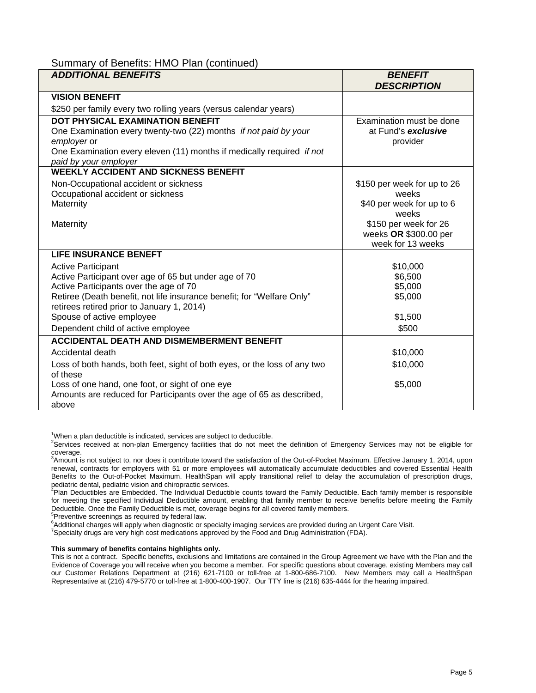#### Summary of Benefits: HMO Plan (continued)

| <b>ADDITIONAL BENEFITS</b>                                                                                                                                                                                                                                                                                              | <b>BENEFIT</b><br><b>DESCRIPTION</b>                                         |
|-------------------------------------------------------------------------------------------------------------------------------------------------------------------------------------------------------------------------------------------------------------------------------------------------------------------------|------------------------------------------------------------------------------|
| <b>VISION BENEFIT</b>                                                                                                                                                                                                                                                                                                   |                                                                              |
| \$250 per family every two rolling years (versus calendar years)                                                                                                                                                                                                                                                        |                                                                              |
| <b>DOT PHYSICAL EXAMINATION BENEFIT</b><br>One Examination every twenty-two (22) months if not paid by your<br>employer or<br>One Examination every eleven (11) months if medically required if not<br>paid by your employer                                                                                            | Examination must be done<br>at Fund's exclusive<br>provider                  |
| <b>WEEKLY ACCIDENT AND SICKNESS BENEFIT</b>                                                                                                                                                                                                                                                                             |                                                                              |
| Non-Occupational accident or sickness<br>Occupational accident or sickness<br>Maternity                                                                                                                                                                                                                                 | \$150 per week for up to 26<br>weeks<br>\$40 per week for up to 6            |
| Maternity                                                                                                                                                                                                                                                                                                               | weeks<br>\$150 per week for 26<br>weeks OR \$300.00 per<br>week for 13 weeks |
| <b>LIFE INSURANCE BENEFT</b>                                                                                                                                                                                                                                                                                            |                                                                              |
| <b>Active Participant</b><br>Active Participant over age of 65 but under age of 70<br>Active Participants over the age of 70<br>Retiree (Death benefit, not life insurance benefit; for "Welfare Only"<br>retirees retired prior to January 1, 2014)<br>Spouse of active employee<br>Dependent child of active employee | \$10,000<br>\$6,500<br>\$5,000<br>\$5,000<br>\$1,500<br>\$500                |
| <b>ACCIDENTAL DEATH AND DISMEMBERMENT BENEFIT</b>                                                                                                                                                                                                                                                                       |                                                                              |
| Accidental death                                                                                                                                                                                                                                                                                                        | \$10,000                                                                     |
| Loss of both hands, both feet, sight of both eyes, or the loss of any two<br>of these                                                                                                                                                                                                                                   | \$10,000                                                                     |
| Loss of one hand, one foot, or sight of one eye<br>Amounts are reduced for Participants over the age of 65 as described,<br>above                                                                                                                                                                                       | \$5,000                                                                      |

<sup>1</sup>When a plan deductible is indicated, services are subject to deductible.

<sup>2</sup>Services received at non-plan Emergency facilities that do not meet the definition of Emergency Services may not be eligible for coverage.

 $5$ Preventive screenings as required by federal law.

Specialty drugs are very high cost medications approved by the Food and Drug Administration (FDA).

#### **This summary of benefits contains highlights only.**

This is not a contract. Specific benefits, exclusions and limitations are contained in the Group Agreement we have with the Plan and the Evidence of Coverage you will receive when you become a member. For specific questions about coverage, existing Members may call our Customer Relations Department at (216) 621-7100 or toll-free at 1-800-686-7100. New Members may call a HealthSpan Representative at (216) 479-5770 or toll-free at 1-800-400-1907. Our TTY line is (216) 635-4444 for the hearing impaired.

<sup>3</sup> Amount is not subject to, nor does it contribute toward the satisfaction of the Out-of-Pocket Maximum. Effective January 1, 2014, upon renewal, contracts for employers with 51 or more employees will automatically accumulate deductibles and covered Essential Health Benefits to the Out-of-Pocket Maximum. HealthSpan will apply transitional relief to delay the accumulation of prescription drugs, pediatric dental, pediatric vision and chiropractic services.

<sup>4</sup> Plan Deductibles are Embedded. The Individual Deductible counts toward the Family Deductible. Each family member is responsible for meeting the specified Individual Deductible amount, enabling that family member to receive benefits before meeting the Family Deductible. Once the Family Deductible is met, coverage begins for all covered family members.

<sup>&</sup>lt;sup>6</sup>Additional charges will apply when diagnostic or specialty imaging services are provided during an Urgent Care Visit.<br><sup>7</sup>Sessigly drugs are vary high cost modisations approved by the Eood and Drug Administration (EDA).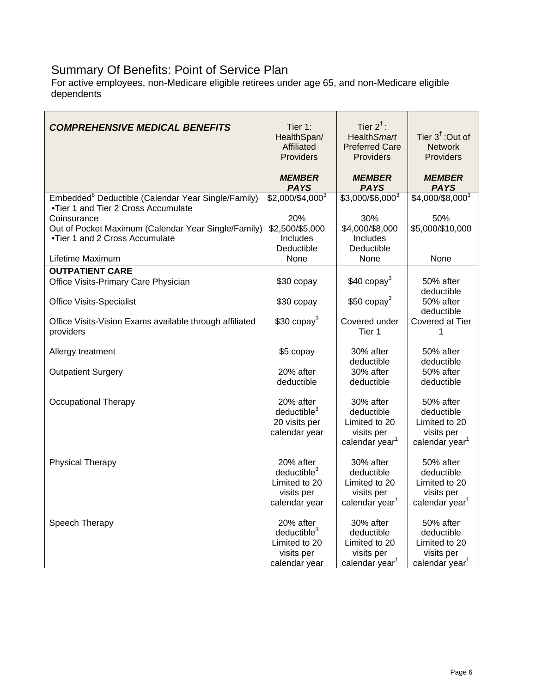# Summary Of Benefits: Point of Service Plan

For active employees, non-Medicare eligible retirees under age 65, and non-Medicare eligible dependents

| <b>COMPREHENSIVE MEDICAL BENEFITS</b>                                                                                                                                                                                             | Tier 1:<br>HealthSpan/<br>Affiliated<br><b>Providers</b>                                   | Tier $2^{\dagger}$ :<br><b>Health</b> Smart<br><b>Preferred Care</b><br>Providers        | Tier $3^{\dagger}$ : Out of<br><b>Network</b><br>Providers                           |
|-----------------------------------------------------------------------------------------------------------------------------------------------------------------------------------------------------------------------------------|--------------------------------------------------------------------------------------------|------------------------------------------------------------------------------------------|--------------------------------------------------------------------------------------|
|                                                                                                                                                                                                                                   | <b>MEMBER</b><br><b>PAYS</b>                                                               | <b>MEMBER</b><br><b>PAYS</b>                                                             | <b>MEMBER</b><br><b>PAYS</b>                                                         |
| Embedded <sup>6</sup> Deductible (Calendar Year Single/Family)<br>•Tier 1 and Tier 2 Cross Accumulate<br>Coinsurance<br>Out of Pocket Maximum (Calendar Year Single/Family)<br>•Tier 1 and 2 Cross Accumulate<br>Lifetime Maximum | $$2,000$ /\$4,000 <sup>3</sup><br>20%<br>\$2,500/\$5,000<br>Includes<br>Deductible<br>None | \$3,000/\$6,000 <sup>3</sup><br>30%<br>\$4,000/\$8,000<br>Includes<br>Deductible<br>None | $$4,000$ /\$8,000 <sup>3</sup><br>50%<br>\$5,000/\$10,000<br>None                    |
|                                                                                                                                                                                                                                   |                                                                                            |                                                                                          |                                                                                      |
| <b>OUTPATIENT CARE</b><br>Office Visits-Primary Care Physician                                                                                                                                                                    | \$30 copay                                                                                 | $$40$ copay <sup>3</sup>                                                                 | 50% after<br>deductible                                                              |
| <b>Office Visits-Specialist</b>                                                                                                                                                                                                   | \$30 copay                                                                                 | $$50$ copay <sup>3</sup>                                                                 | 50% after<br>deductible                                                              |
| Office Visits-Vision Exams available through affiliated<br>providers                                                                                                                                                              | $$30$ copay <sup>3</sup>                                                                   | Covered under<br>Tier 1                                                                  | Covered at Tier<br>1                                                                 |
| Allergy treatment                                                                                                                                                                                                                 | \$5 copay                                                                                  | 30% after<br>deductible                                                                  | 50% after<br>deductible                                                              |
| <b>Outpatient Surgery</b>                                                                                                                                                                                                         | 20% after<br>deductible                                                                    | 30% after<br>deductible                                                                  | 50% after<br>deductible                                                              |
| Occupational Therapy                                                                                                                                                                                                              | 20% after<br>deductible <sup>3</sup><br>20 visits per<br>calendar year                     | 30% after<br>deductible<br>Limited to 20<br>visits per<br>calendar year <sup>1</sup>     | 50% after<br>deductible<br>Limited to 20<br>visits per<br>calendar year <sup>1</sup> |
| <b>Physical Therapy</b>                                                                                                                                                                                                           | 20% after<br>deductible <sup>3</sup><br>Limited to 20<br>visits per<br>calendar year       | 30% after<br>deductible<br>Limited to 20<br>visits per<br>calendar year <sup>1</sup>     | 50% after<br>deductible<br>Limited to 20<br>visits per<br>calendar year <sup>1</sup> |
| Speech Therapy                                                                                                                                                                                                                    | 20% after<br>deductible <sup>3</sup><br>Limited to 20<br>visits per<br>calendar year       | 30% after<br>deductible<br>Limited to 20<br>visits per<br>calendar year <sup>1</sup>     | 50% after<br>deductible<br>Limited to 20<br>visits per<br>calendar year <sup>1</sup> |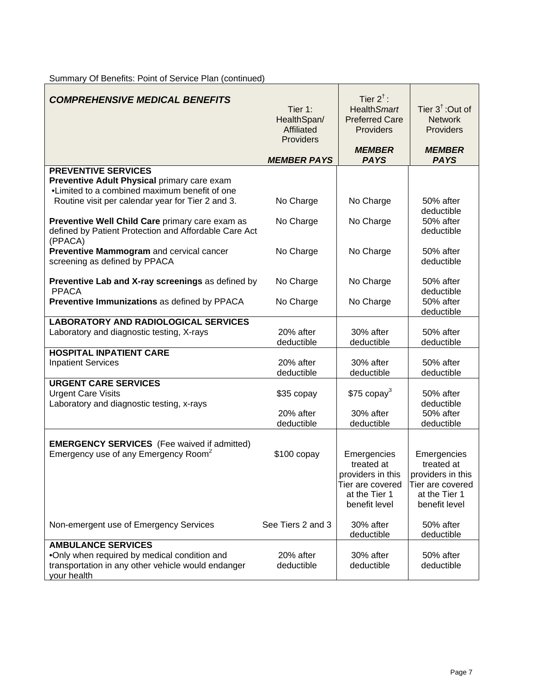Summary Of Benefits: Point of Service Plan (continued)

| <b>COMPREHENSIVE MEDICAL BENEFITS</b><br>Tier 1:<br>HealthSpan/<br>Affiliated                                                                                                   |                                 | Tier $2^{\dagger}$ :<br><b>Health Smart</b><br><b>Preferred Care</b><br>Providers                    | Tier $3^{\dagger}$ : Out of<br><b>Network</b><br><b>Providers</b>                                    |
|---------------------------------------------------------------------------------------------------------------------------------------------------------------------------------|---------------------------------|------------------------------------------------------------------------------------------------------|------------------------------------------------------------------------------------------------------|
|                                                                                                                                                                                 | Providers<br><b>MEMBER PAYS</b> | <b>MEMBER</b><br><b>PAYS</b>                                                                         | <b>MEMBER</b><br><b>PAYS</b>                                                                         |
| <b>PREVENTIVE SERVICES</b><br>Preventive Adult Physical primary care exam<br>•Limited to a combined maximum benefit of one<br>Routine visit per calendar year for Tier 2 and 3. | No Charge                       | No Charge                                                                                            | 50% after<br>deductible                                                                              |
| Preventive Well Child Care primary care exam as<br>defined by Patient Protection and Affordable Care Act<br>(PPACA)                                                             | No Charge                       | No Charge                                                                                            | 50% after<br>deductible                                                                              |
| Preventive Mammogram and cervical cancer<br>screening as defined by PPACA                                                                                                       | No Charge                       | No Charge                                                                                            | 50% after<br>deductible                                                                              |
| Preventive Lab and X-ray screenings as defined by<br><b>PPACA</b>                                                                                                               | No Charge                       | No Charge                                                                                            | 50% after<br>deductible                                                                              |
| Preventive Immunizations as defined by PPACA                                                                                                                                    | No Charge                       | No Charge                                                                                            | 50% after<br>deductible                                                                              |
| <b>LABORATORY AND RADIOLOGICAL SERVICES</b>                                                                                                                                     |                                 |                                                                                                      |                                                                                                      |
| Laboratory and diagnostic testing, X-rays                                                                                                                                       | 20% after<br>deductible         | 30% after<br>deductible                                                                              | 50% after<br>deductible                                                                              |
| <b>HOSPITAL INPATIENT CARE</b>                                                                                                                                                  |                                 |                                                                                                      |                                                                                                      |
| <b>Inpatient Services</b>                                                                                                                                                       | 20% after<br>deductible         | 30% after<br>deductible                                                                              | 50% after<br>deductible                                                                              |
| <b>URGENT CARE SERVICES</b><br><b>Urgent Care Visits</b><br>Laboratory and diagnostic testing, x-rays                                                                           | \$35 copay                      | $$75$ copay <sup>3</sup>                                                                             | 50% after<br>deductible                                                                              |
|                                                                                                                                                                                 | 20% after<br>deductible         | 30% after<br>deductible                                                                              | 50% after<br>deductible                                                                              |
| <b>EMERGENCY SERVICES</b> (Fee waived if admitted)<br>Emergency use of any Emergency Room <sup>2</sup>                                                                          | $$100$ copay                    | Emergencies<br>treated at<br>providers in this<br>Tier are covered<br>at the Tier 1<br>benefit level | Emergencies<br>treated at<br>providers in this<br>Tier are covered<br>at the Tier 1<br>benefit level |
| Non-emergent use of Emergency Services                                                                                                                                          | See Tiers 2 and 3               | 30% after<br>deductible                                                                              | 50% after<br>deductible                                                                              |
| <b>AMBULANCE SERVICES</b><br>.Only when required by medical condition and<br>transportation in any other vehicle would endanger<br>your health                                  | 20% after<br>deductible         | 30% after<br>deductible                                                                              | 50% after<br>deductible                                                                              |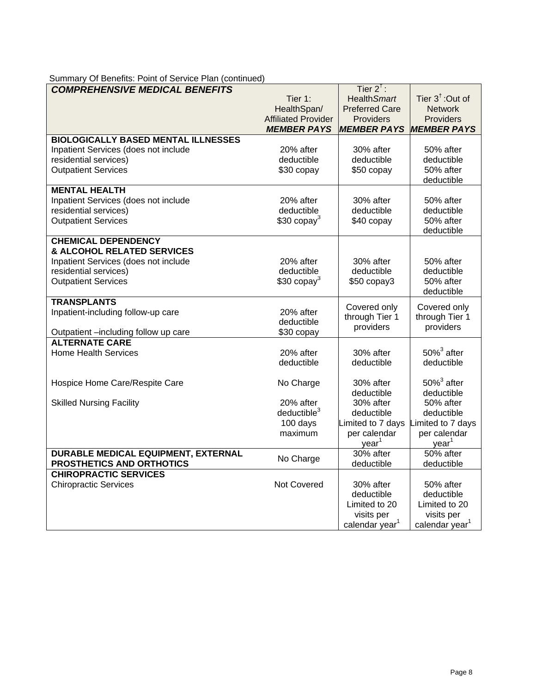| <b>COMPREHENSIVE MEDICAL BENEFITS</b>      |                            | Tier $2^{\dagger}$ :       |                             |
|--------------------------------------------|----------------------------|----------------------------|-----------------------------|
|                                            | Tier 1:                    | <b>Health</b> Smart        | Tier $3^{\dagger}$ : Out of |
|                                            | HealthSpan/                | <b>Preferred Care</b>      | <b>Network</b>              |
|                                            | <b>Affiliated Provider</b> | Providers                  | Providers                   |
|                                            | <b>MEMBER PAYS</b>         | <b>MEMBER PAYS</b>         | <b>MEMBER PAYS</b>          |
| <b>BIOLOGICALLY BASED MENTAL ILLNESSES</b> |                            |                            |                             |
| Inpatient Services (does not include       | 20% after                  | 30% after                  | 50% after                   |
| residential services)                      | deductible                 | deductible                 | deductible                  |
| <b>Outpatient Services</b>                 | \$30 copay                 | \$50 copay                 | 50% after                   |
|                                            |                            |                            | deductible                  |
| <b>MENTAL HEALTH</b>                       |                            |                            |                             |
| Inpatient Services (does not include       | 20% after                  | 30% after                  | 50% after                   |
| residential services)                      | deductible                 | deductible                 | deductible                  |
| <b>Outpatient Services</b>                 | $$30$ copay <sup>3</sup>   | \$40 copay                 | 50% after                   |
|                                            |                            |                            | deductible                  |
| <b>CHEMICAL DEPENDENCY</b>                 |                            |                            |                             |
| & ALCOHOL RELATED SERVICES                 |                            |                            |                             |
| Inpatient Services (does not include       | 20% after                  | 30% after                  | 50% after                   |
| residential services)                      | deductible                 | deductible                 | deductible                  |
| <b>Outpatient Services</b>                 | $$30$ copay <sup>3</sup>   | \$50 copay3                | 50% after                   |
| <b>TRANSPLANTS</b>                         |                            |                            | deductible                  |
|                                            | 20% after                  | Covered only               | Covered only                |
| Inpatient-including follow-up care         | deductible                 | through Tier 1             | through Tier 1              |
| Outpatient -including follow up care       | \$30 copay                 | providers                  | providers                   |
| <b>ALTERNATE CARE</b>                      |                            |                            |                             |
| <b>Home Health Services</b>                | 20% after                  | 30% after                  | $50\%$ <sup>3</sup> after   |
|                                            | deductible                 | deductible                 | deductible                  |
|                                            |                            |                            |                             |
| Hospice Home Care/Respite Care             | No Charge                  | 30% after                  | $50\%$ <sup>3</sup> after   |
|                                            |                            | deductible                 | deductible                  |
| <b>Skilled Nursing Facility</b>            | 20% after                  | 30% after                  | 50% after                   |
|                                            | deductible <sup>3</sup>    | deductible                 | deductible                  |
|                                            | 100 days                   | Limited to 7 days          | Limited to 7 days           |
|                                            | maximum                    | per calendar               | per calendar                |
|                                            |                            | year <sup>1</sup>          | year <sup>1</sup>           |
| <b>DURABLE MEDICAL EQUIPMENT, EXTERNAL</b> | No Charge                  | 30% after                  | 50% after                   |
| PROSTHETICS AND ORTHOTICS                  |                            | deductible                 | deductible                  |
| <b>CHIROPRACTIC SERVICES</b>               |                            |                            |                             |
| <b>Chiropractic Services</b>               | Not Covered                | 30% after                  | 50% after                   |
|                                            |                            | deductible                 | deductible                  |
|                                            |                            | Limited to 20              | Limited to 20               |
|                                            |                            | visits per                 | visits per                  |
|                                            |                            | calendar year <sup>1</sup> | calendar year <sup>1</sup>  |

## Summary Of Benefits: Point of Service Plan (continued)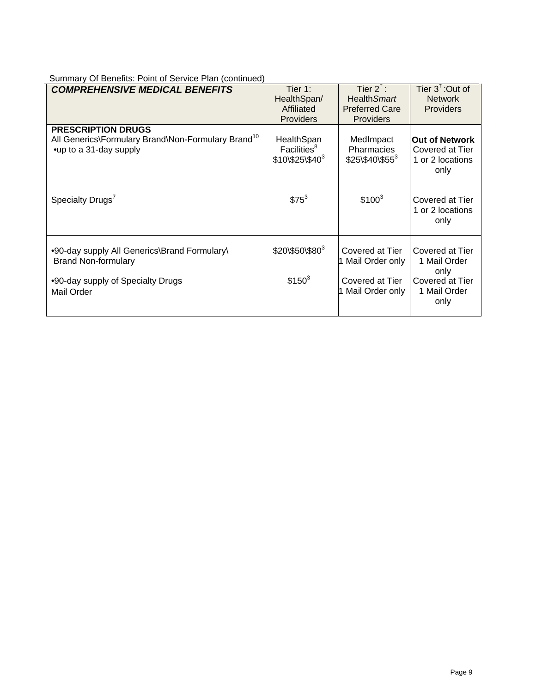| <b>COMPREHENSIVE MEDICAL BENEFITS</b>                                                                                 | Tier 1:<br>HealthSpan/<br>Affiliated<br><b>Providers</b>             | Tier $2^{\dagger}$ :<br><b>Health Smart</b><br><b>Preferred Care</b><br><b>Providers</b> | Tier $3^{\dagger}$ : Out of<br><b>Network</b><br><b>Providers</b>    |
|-----------------------------------------------------------------------------------------------------------------------|----------------------------------------------------------------------|------------------------------------------------------------------------------------------|----------------------------------------------------------------------|
| <b>PRESCRIPTION DRUGS</b><br>All Generics\Formulary Brand\Non-Formulary Brand <sup>10</sup><br>•up to a 31-day supply | HealthSpan<br>Facilities <sup>8</sup><br>\$10\\$25\\$40 <sup>3</sup> | MedImpact<br>Pharmacies<br>\$25\\$40\\$553                                               | <b>Out of Network</b><br>Covered at Tier<br>1 or 2 locations<br>only |
| Specialty Drugs <sup>7</sup>                                                                                          | $$75^3$                                                              | $$100^3$                                                                                 | Covered at Tier<br>1 or 2 locations<br>only                          |
| •90-day supply All Generics\Brand Formulary\<br><b>Brand Non-formulary</b>                                            | \$20\\$50\\$80 <sup>3</sup>                                          | Covered at Tier<br>1 Mail Order only                                                     | Covered at Tier<br>1 Mail Order<br>only                              |
| •90-day supply of Specialty Drugs<br>Mail Order                                                                       | $$150^3$                                                             | Covered at Tier<br>1 Mail Order only                                                     | Covered at Tier<br>1 Mail Order<br>only                              |

# Summary Of Benefits: Point of Service Plan (continued)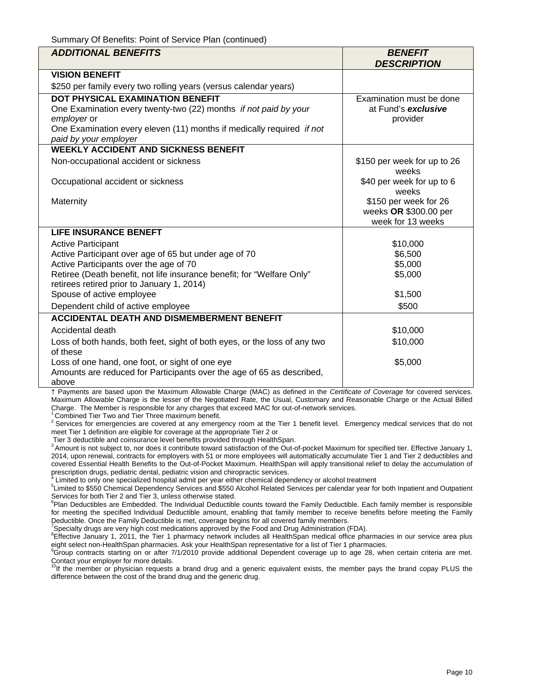| <b>ADDITIONAL BENEFITS</b>                                                                                                   | <b>BENEFIT</b><br><b>DESCRIPTION</b> |
|------------------------------------------------------------------------------------------------------------------------------|--------------------------------------|
| <b>VISION BENEFIT</b>                                                                                                        |                                      |
| \$250 per family every two rolling years (versus calendar years)                                                             |                                      |
| <b>DOT PHYSICAL EXAMINATION BENEFIT</b>                                                                                      | Examination must be done             |
| One Examination every twenty-two (22) months if not paid by your                                                             | at Fund's exclusive                  |
| employer or                                                                                                                  | provider                             |
| One Examination every eleven (11) months if medically required if not                                                        |                                      |
| paid by your employer<br><b>WEEKLY ACCIDENT AND SICKNESS BENEFIT</b>                                                         |                                      |
| Non-occupational accident or sickness                                                                                        | \$150 per week for up to 26          |
|                                                                                                                              | weeks                                |
| Occupational accident or sickness                                                                                            | \$40 per week for up to 6            |
|                                                                                                                              | weeks                                |
| Maternity                                                                                                                    | \$150 per week for 26                |
|                                                                                                                              | weeks OR \$300.00 per                |
|                                                                                                                              | week for 13 weeks                    |
| <b>LIFE INSURANCE BENEFT</b>                                                                                                 |                                      |
| <b>Active Participant</b>                                                                                                    | \$10,000                             |
| Active Participant over age of 65 but under age of 70                                                                        | \$6,500                              |
| Active Participants over the age of 70                                                                                       | \$5,000                              |
| Retiree (Death benefit, not life insurance benefit; for "Welfare Only"<br>retirees retired prior to January 1, 2014)         | \$5,000                              |
| Spouse of active employee                                                                                                    | \$1,500                              |
| Dependent child of active employee                                                                                           | \$500                                |
| <b>ACCIDENTAL DEATH AND DISMEMBERMENT BENEFIT</b>                                                                            |                                      |
|                                                                                                                              |                                      |
| Accidental death                                                                                                             | \$10,000                             |
| Loss of both hands, both feet, sight of both eyes, or the loss of any two<br>of these                                        | \$10,000                             |
| Loss of one hand, one foot, or sight of one eye                                                                              | \$5,000                              |
| Amounts are reduced for Participants over the age of 65 as described,                                                        |                                      |
| above                                                                                                                        |                                      |
| † Payments are based upon the Maximum Allowable Charge (MAC) as defined in the Certificate of Coverage for covered services. |                                      |

Maximum Allowable Charge is the lesser of the Negotiated Rate, the Usual, Customary and Reasonable Charge or the Actual Billed Charge. The Member is responsible for any charges that exceed MAC for out-of-network services.<br><sup>1</sup> Combined Tier Two and Tier Three maximum benefit.

2 Services for emergencies are covered at any emergency room at the Tier 1 benefit level. Emergency medical services that do not meet Tier 1 definition are eligible for coverage at the appropriate Tier 2 or<br>Tier 3 deductible and coinsurance level benefits provided through HealthSpan.

The 3 decrease and coincide through Health Span. 3 Amount Span. 3 Amount is provided the Spannian Health Spannian Health Spannian Health Spannian Health Spannian Health Spannian Health Spannian Health Spannian Health Spann 2014, upon renewal, contracts for employers with 51 or more employees will automatically accumulate Tier 1 and Tier 2 deductibles and covered Essential Health Benefits to the Out-of-Pocket Maximum. HealthSpan will apply transitional relief to delay the accumulation of prescription drugs, pediatric dental, pediatric vision and chiropractic services.

Limited to only one specialized hospital admit per year either chemical dependency or alcohol treatment

**Limited to \$550 Chemical Dependency Services and \$550 Alcohol Related Services per calendar year for both Inpatient and Outpatient** Services for both Tier 2 and Tier 3, unless otherwise stated.

<sup>6</sup>Plan Deductibles are Embedded. The Individual Deductible counts toward the Family Deductible. Each family member is responsible for meeting the specified Individual Deductible amount, enabling that family member to receive benefits before meeting the Family Deductible. Once the Family Deductible is met, coverage begins for all covered family members.

 $\sqrt{2}$ Specialty drugs are very high cost medications approved by the Food and Drug Administration (FDA).

<sup>8</sup>Effective January 1, 2011, the Tier 1 pharmacy network includes all HealthSpan medical office pharmacies in our service area plus eight select non-HealthSpan pharmacies. Ask your HealthSpan representative for a list of Tier 1 pharmacies.

<sup>9</sup>Group contracts starting on or after 7/1/2010 provide additional Dependent coverage up to age 28, when certain criteria are met.

Contact your employer for more details.<br><sup>10</sup>lf the member or physician requests a brand drug and a generic equivalent exists, the member pays the brand copay PLUS the difference between the cost of the brand drug and the generic drug.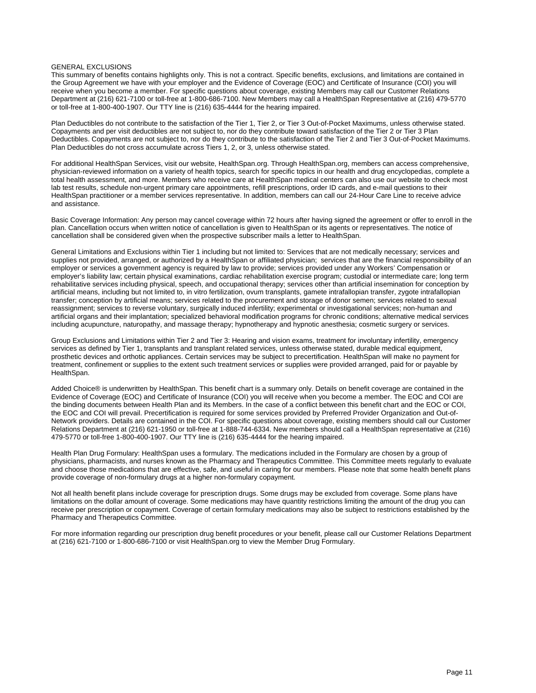#### GENERAL EXCLUSIONS

This summary of benefits contains highlights only. This is not a contract. Specific benefits, exclusions, and limitations are contained in the Group Agreement we have with your employer and the Evidence of Coverage (EOC) and Certificate of Insurance (COI) you will receive when you become a member. For specific questions about coverage, existing Members may call our Customer Relations Department at (216) 621-7100 or toll-free at 1-800-686-7100. New Members may call a HealthSpan Representative at (216) 479-5770 or toll-free at 1-800-400-1907. Our TTY line is (216) 635-4444 for the hearing impaired.

Plan Deductibles do not contribute to the satisfaction of the Tier 1, Tier 2, or Tier 3 Out-of-Pocket Maximums, unless otherwise stated. Copayments and per visit deductibles are not subject to, nor do they contribute toward satisfaction of the Tier 2 or Tier 3 Plan Deductibles. Copayments are not subject to, nor do they contribute to the satisfaction of the Tier 2 and Tier 3 Out-of-Pocket Maximums. Plan Deductibles do not cross accumulate across Tiers 1, 2, or 3, unless otherwise stated.

For additional HealthSpan Services, visit our website, HealthSpan.org. Through HealthSpan.org, members can access comprehensive, physician-reviewed information on a variety of health topics, search for specific topics in our health and drug encyclopedias, complete a total health assessment, and more. Members who receive care at HealthSpan medical centers can also use our website to check most lab test results, schedule non-urgent primary care appointments, refill prescriptions, order ID cards, and e-mail questions to their HealthSpan practitioner or a member services representative. In addition, members can call our 24-Hour Care Line to receive advice and assistance.

Basic Coverage Information: Any person may cancel coverage within 72 hours after having signed the agreement or offer to enroll in the plan. Cancellation occurs when written notice of cancellation is given to HealthSpan or its agents or representatives. The notice of cancellation shall be considered given when the prospective subscriber mails a letter to HealthSpan.

General Limitations and Exclusions within Tier 1 including but not limited to: Services that are not medically necessary; services and supplies not provided, arranged, or authorized by a HealthSpan or affiliated physician; services that are the financial responsibility of an employer or services a government agency is required by law to provide; services provided under any Workers' Compensation or employer's liability law; certain physical examinations, cardiac rehabilitation exercise program; custodial or intermediate care; long term rehabilitative services including physical, speech, and occupational therapy; services other than artificial insemination for conception by artificial means, including but not limited to, in vitro fertilization, ovum transplants, gamete intrafallopian transfer, zygote intrafallopian transfer; conception by artificial means; services related to the procurement and storage of donor semen; services related to sexual reassignment; services to reverse voluntary, surgically induced infertility; experimental or investigational services; non-human and artificial organs and their implantation; specialized behavioral modification programs for chronic conditions; alternative medical services including acupuncture, naturopathy, and massage therapy; hypnotherapy and hypnotic anesthesia; cosmetic surgery or services.

Group Exclusions and Limitations within Tier 2 and Tier 3: Hearing and vision exams, treatment for involuntary infertility, emergency services as defined by Tier 1, transplants and transplant related services, unless otherwise stated, durable medical equipment, prosthetic devices and orthotic appliances. Certain services may be subject to precertification. HealthSpan will make no payment for treatment, confinement or supplies to the extent such treatment services or supplies were provided arranged, paid for or payable by HealthSpan.

Added Choice® is underwritten by HealthSpan. This benefit chart is a summary only. Details on benefit coverage are contained in the Evidence of Coverage (EOC) and Certificate of Insurance (COI) you will receive when you become a member. The EOC and COI are the binding documents between Health Plan and its Members. In the case of a conflict between this benefit chart and the EOC or COI, the EOC and COI will prevail. Precertification is required for some services provided by Preferred Provider Organization and Out-of-Network providers. Details are contained in the COI. For specific questions about coverage, existing members should call our Customer Relations Department at (216) 621-1950 or toll-free at 1-888-744-6334. New members should call a HealthSpan representative at (216) 479-5770 or toll-free 1-800-400-1907. Our TTY line is (216) 635-4444 for the hearing impaired.

Health Plan Drug Formulary: HealthSpan uses a formulary. The medications included in the Formulary are chosen by a group of physicians, pharmacists, and nurses known as the Pharmacy and Therapeutics Committee. This Committee meets regularly to evaluate and choose those medications that are effective, safe, and useful in caring for our members. Please note that some health benefit plans provide coverage of non-formulary drugs at a higher non-formulary copayment.

Not all health benefit plans include coverage for prescription drugs. Some drugs may be excluded from coverage. Some plans have limitations on the dollar amount of coverage. Some medications may have quantity restrictions limiting the amount of the drug you can receive per prescription or copayment. Coverage of certain formulary medications may also be subject to restrictions established by the Pharmacy and Therapeutics Committee.

For more information regarding our prescription drug benefit procedures or your benefit, please call our Customer Relations Department at (216) 621-7100 or 1-800-686-7100 or visit HealthSpan.org to view the Member Drug Formulary.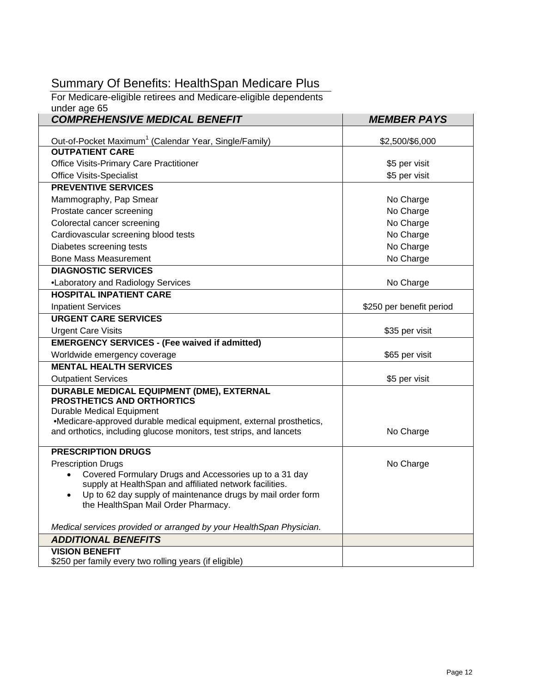# Summary Of Benefits: HealthSpan Medicare Plus

For Medicare-eligible retirees and Medicare-eligible dependents under age 65

| <b>COMPREHENSIVE MEDICAL BENEFIT</b>                                                                                                                                                                                                                             | <b>MEMBER PAYS</b>       |
|------------------------------------------------------------------------------------------------------------------------------------------------------------------------------------------------------------------------------------------------------------------|--------------------------|
| Out-of-Pocket Maximum <sup>1</sup> (Calendar Year, Single/Family)                                                                                                                                                                                                | \$2,500/\$6,000          |
| <b>OUTPATIENT CARE</b>                                                                                                                                                                                                                                           |                          |
| <b>Office Visits-Primary Care Practitioner</b>                                                                                                                                                                                                                   | \$5 per visit            |
| <b>Office Visits-Specialist</b>                                                                                                                                                                                                                                  | \$5 per visit            |
| <b>PREVENTIVE SERVICES</b>                                                                                                                                                                                                                                       |                          |
| Mammography, Pap Smear                                                                                                                                                                                                                                           | No Charge                |
| Prostate cancer screening                                                                                                                                                                                                                                        | No Charge                |
| Colorectal cancer screening                                                                                                                                                                                                                                      | No Charge                |
| Cardiovascular screening blood tests                                                                                                                                                                                                                             | No Charge                |
| Diabetes screening tests                                                                                                                                                                                                                                         | No Charge                |
| <b>Bone Mass Measurement</b>                                                                                                                                                                                                                                     | No Charge                |
| <b>DIAGNOSTIC SERVICES</b>                                                                                                                                                                                                                                       |                          |
| •Laboratory and Radiology Services                                                                                                                                                                                                                               | No Charge                |
| <b>HOSPITAL INPATIENT CARE</b>                                                                                                                                                                                                                                   |                          |
| <b>Inpatient Services</b>                                                                                                                                                                                                                                        | \$250 per benefit period |
| <b>URGENT CARE SERVICES</b>                                                                                                                                                                                                                                      |                          |
| <b>Urgent Care Visits</b>                                                                                                                                                                                                                                        | \$35 per visit           |
| <b>EMERGENCY SERVICES - (Fee waived if admitted)</b>                                                                                                                                                                                                             |                          |
| Worldwide emergency coverage                                                                                                                                                                                                                                     | \$65 per visit           |
| <b>MENTAL HEALTH SERVICES</b>                                                                                                                                                                                                                                    |                          |
| <b>Outpatient Services</b>                                                                                                                                                                                                                                       | \$5 per visit            |
| <b>DURABLE MEDICAL EQUIPMENT (DME), EXTERNAL</b><br>PROSTHETICS AND ORTHORTICS<br><b>Durable Medical Equipment</b><br>•Medicare-approved durable medical equipment, external prosthetics,<br>and orthotics, including glucose monitors, test strips, and lancets | No Charge                |
| <b>PRESCRIPTION DRUGS</b>                                                                                                                                                                                                                                        |                          |
| <b>Prescription Drugs</b>                                                                                                                                                                                                                                        | No Charge                |
| Covered Formulary Drugs and Accessories up to a 31 day<br>$\bullet$<br>supply at HealthSpan and affiliated network facilities.<br>Up to 62 day supply of maintenance drugs by mail order form<br>the HealthSpan Mail Order Pharmacy.                             |                          |
| Medical services provided or arranged by your HealthSpan Physician.                                                                                                                                                                                              |                          |
| <b>ADDITIONAL BENEFITS</b>                                                                                                                                                                                                                                       |                          |
| <b>VISION BENEFIT</b>                                                                                                                                                                                                                                            |                          |
| \$250 per family every two rolling years (if eligible)                                                                                                                                                                                                           |                          |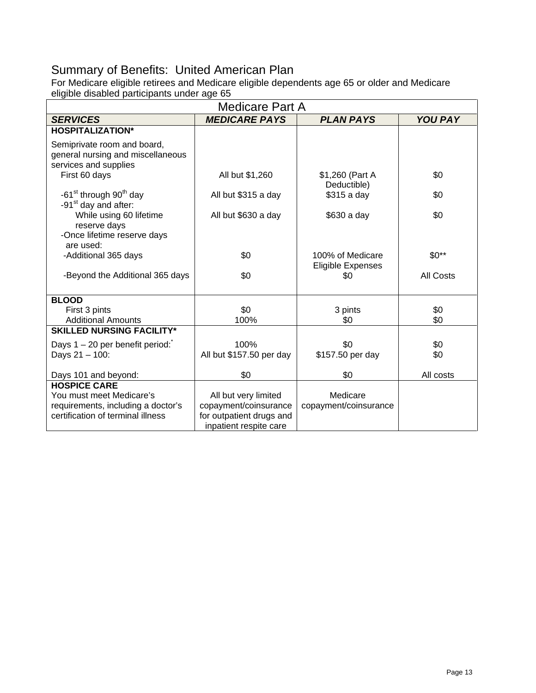# Summary of Benefits: United American Plan

For Medicare eligible retirees and Medicare eligible dependents age 65 or older and Medicare eligible disabled participants under age 65

| <b>Medicare Part A</b>                                                                    |                          |                                       |                |
|-------------------------------------------------------------------------------------------|--------------------------|---------------------------------------|----------------|
| <b>SERVICES</b>                                                                           | <b>MEDICARE PAYS</b>     | <b>PLAN PAYS</b>                      | <b>YOU PAY</b> |
| <b>HOSPITALIZATION*</b>                                                                   |                          |                                       |                |
| Semiprivate room and board,<br>general nursing and miscellaneous<br>services and supplies |                          |                                       |                |
| First 60 days                                                                             | All but \$1,260          | \$1,260 (Part A<br>Deductible)        | \$0            |
| -61 <sup>st</sup> through 90 <sup>th</sup> day<br>-91 <sup>st</sup> day and after:        | All but \$315 a day      | \$315 a day                           | \$0            |
| While using 60 lifetime<br>reserve days<br>-Once lifetime reserve days                    | All but \$630 a day      | \$630 a day                           | \$0            |
| are used:<br>-Additional 365 days                                                         | \$0                      | 100% of Medicare<br>Eligible Expenses | $$0**$         |
| -Beyond the Additional 365 days                                                           | \$0                      | \$0                                   | All Costs      |
| <b>BLOOD</b>                                                                              |                          |                                       |                |
| First 3 pints                                                                             | \$0                      | 3 pints                               | \$0            |
| <b>Additional Amounts</b>                                                                 | 100%                     | \$0                                   | \$0            |
| <b>SKILLED NURSING FACILITY*</b>                                                          |                          |                                       |                |
| Days $1 - 20$ per benefit period:                                                         | 100%                     | \$0                                   | \$0            |
| Days 21 - 100:                                                                            | All but \$157.50 per day | \$157.50 per day                      | \$0            |
| Days 101 and beyond:                                                                      | \$0                      | \$0                                   | All costs      |
| <b>HOSPICE CARE</b>                                                                       |                          |                                       |                |
| You must meet Medicare's                                                                  | All but very limited     | Medicare                              |                |
| requirements, including a doctor's                                                        | copayment/coinsurance    | copayment/coinsurance                 |                |
| certification of terminal illness                                                         | for outpatient drugs and |                                       |                |
|                                                                                           | inpatient respite care   |                                       |                |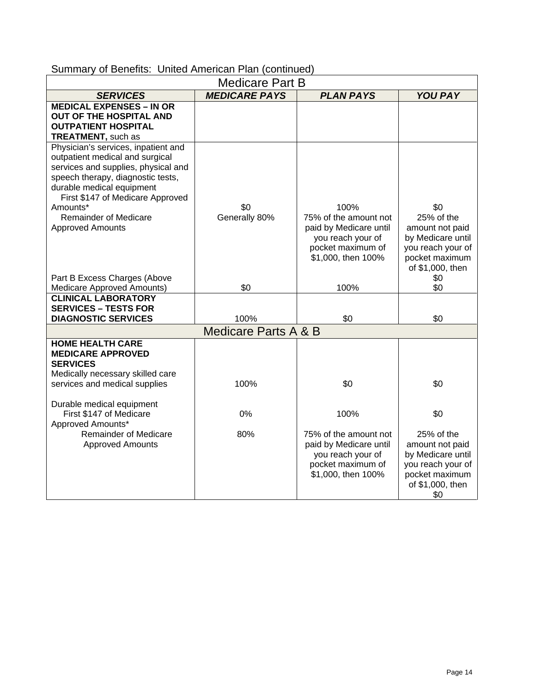| בסחוטווטע<br><b>Medicare Part B</b>                                                                                                                                                                                                                                                        |                                 |                                                                                                                         |                                                                                                                      |
|--------------------------------------------------------------------------------------------------------------------------------------------------------------------------------------------------------------------------------------------------------------------------------------------|---------------------------------|-------------------------------------------------------------------------------------------------------------------------|----------------------------------------------------------------------------------------------------------------------|
| <b>SERVICES</b>                                                                                                                                                                                                                                                                            | <b>MEDICARE PAYS</b>            | <b>PLAN PAYS</b>                                                                                                        | <b>YOU PAY</b>                                                                                                       |
| <b>MEDICAL EXPENSES - IN OR</b><br>OUT OF THE HOSPITAL AND<br><b>OUTPATIENT HOSPITAL</b><br><b>TREATMENT, such as</b>                                                                                                                                                                      |                                 |                                                                                                                         |                                                                                                                      |
| Physician's services, inpatient and<br>outpatient medical and surgical<br>services and supplies, physical and<br>speech therapy, diagnostic tests,<br>durable medical equipment<br>First \$147 of Medicare Approved<br>Amounts*<br><b>Remainder of Medicare</b><br><b>Approved Amounts</b> | \$0<br>Generally 80%            | 100%<br>75% of the amount not<br>paid by Medicare until<br>you reach your of<br>pocket maximum of<br>\$1,000, then 100% | \$0<br>25% of the<br>amount not paid<br>by Medicare until<br>you reach your of<br>pocket maximum<br>of \$1,000, then |
| Part B Excess Charges (Above<br>Medicare Approved Amounts)                                                                                                                                                                                                                                 | \$0                             | 100%                                                                                                                    | \$0<br>\$0                                                                                                           |
| <b>CLINICAL LABORATORY</b><br><b>SERVICES - TESTS FOR</b><br><b>DIAGNOSTIC SERVICES</b>                                                                                                                                                                                                    | 100%                            | \$0                                                                                                                     | \$0                                                                                                                  |
|                                                                                                                                                                                                                                                                                            | <b>Medicare Parts A &amp; B</b> |                                                                                                                         |                                                                                                                      |
| <b>HOME HEALTH CARE</b><br><b>MEDICARE APPROVED</b><br><b>SERVICES</b><br>Medically necessary skilled care                                                                                                                                                                                 |                                 |                                                                                                                         |                                                                                                                      |
| services and medical supplies                                                                                                                                                                                                                                                              | 100%                            | \$0                                                                                                                     | \$0                                                                                                                  |
| Durable medical equipment<br>First \$147 of Medicare<br>Approved Amounts*                                                                                                                                                                                                                  | 0%                              | 100%                                                                                                                    | \$0                                                                                                                  |
| Remainder of Medicare<br><b>Approved Amounts</b>                                                                                                                                                                                                                                           | 80%                             | 75% of the amount not<br>paid by Medicare until<br>you reach your of<br>pocket maximum of<br>\$1,000, then 100%         | 25% of the<br>amount not paid<br>by Medicare until<br>you reach your of<br>pocket maximum<br>of \$1,000, then<br>\$0 |

# Summary of Benefits: United American Plan (continued)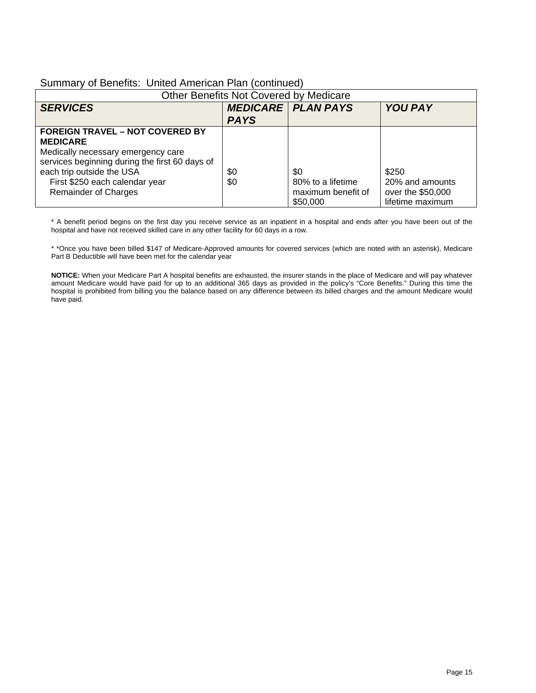# Summary of Benefits: United American Plan (continued)

| Other Benefits Not Covered by Medicare                                                                                                                                                                                                          |             |                                                            |                                                                   |
|-------------------------------------------------------------------------------------------------------------------------------------------------------------------------------------------------------------------------------------------------|-------------|------------------------------------------------------------|-------------------------------------------------------------------|
| <b>SERVICES</b>                                                                                                                                                                                                                                 | <b>PAYS</b> | <b>MEDICARE   PLAN PAYS</b>                                | <b>YOU PAY</b>                                                    |
| <b>FOREIGN TRAVEL - NOT COVERED BY</b><br><b>MEDICARE</b><br>Medically necessary emergency care<br>services beginning during the first 60 days of<br>each trip outside the USA<br>First \$250 each calendar year<br><b>Remainder of Charges</b> | \$0<br>\$0  | \$0<br>80% to a lifetime<br>maximum benefit of<br>\$50,000 | \$250<br>20% and amounts<br>over the \$50,000<br>lifetime maximum |

\* A benefit period begins on the first day you receive service as an inpatient in a hospital and ends after you have been out of the hospital and have not received skilled care in any other facility for 60 days in a row.

\* \*Once you have been billed \$147 of Medicare-Approved amounts for covered services (which are noted with an asterisk), Medicare Part B Deductible will have been met for the calendar year

**NOTICE:** When your Medicare Part A hospital benefits are exhausted, the insurer stands in the place of Medicare and will pay whatever amount Medicare would have paid for up to an additional 365 days as provided in the policy's "Core Benefits." During this time the hospital is prohibited from billing you the balance based on any difference between its billed charges and the amount Medicare would have paid.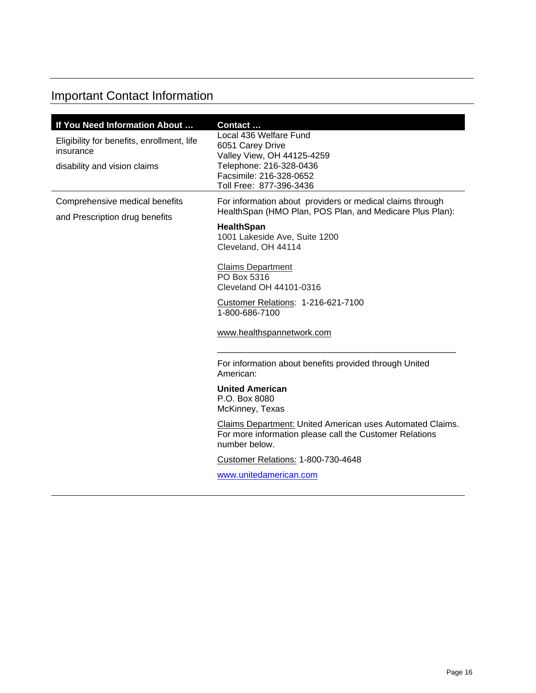# Important Contact Information

| If You Need Information About<br>Eligibility for benefits, enrollment, life<br>insurance<br>disability and vision claims | Contact<br>Local 436 Welfare Fund<br>6051 Carey Drive<br>Valley View, OH 44125-4259<br>Telephone: 216-328-0436<br>Facsimile: 216-328-0652<br>Toll Free: 877-396-3436 |
|--------------------------------------------------------------------------------------------------------------------------|----------------------------------------------------------------------------------------------------------------------------------------------------------------------|
| Comprehensive medical benefits<br>and Prescription drug benefits                                                         | For information about providers or medical claims through<br>HealthSpan (HMO Plan, POS Plan, and Medicare Plus Plan):                                                |
|                                                                                                                          | <b>HealthSpan</b><br>1001 Lakeside Ave, Suite 1200<br>Cleveland, OH 44114                                                                                            |
|                                                                                                                          | <b>Claims Department</b><br>PO Box 5316<br>Cleveland OH 44101-0316                                                                                                   |
|                                                                                                                          | Customer Relations: 1-216-621-7100<br>1-800-686-7100                                                                                                                 |
|                                                                                                                          | www.healthspannetwork.com                                                                                                                                            |
|                                                                                                                          | For information about benefits provided through United<br>American:                                                                                                  |
|                                                                                                                          | <b>United American</b><br>P.O. Box 8080<br>McKinney, Texas                                                                                                           |
|                                                                                                                          | Claims Department: United American uses Automated Claims.<br>For more information please call the Customer Relations<br>number below.                                |
|                                                                                                                          | Customer Relations: 1-800-730-4648                                                                                                                                   |
|                                                                                                                          | www.unitedamerican.com                                                                                                                                               |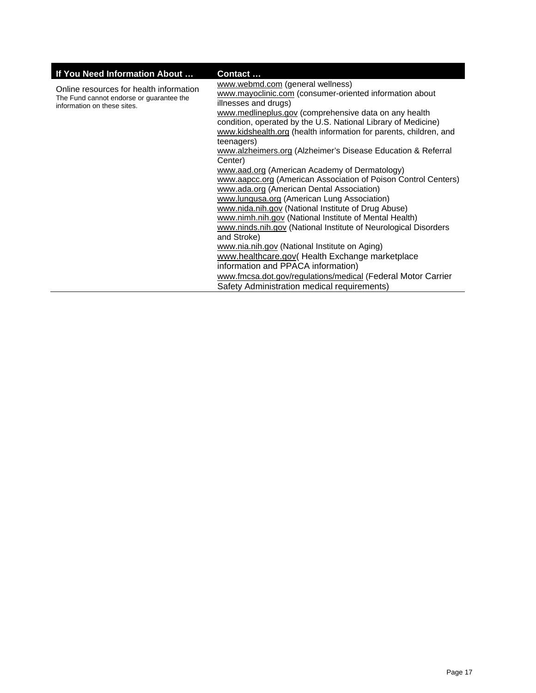| If You Need Information About                                                                                      | Contact                                                                                                                                                                                                                                                                                                                                                                                                                                                                                                                                                                                                                                                                                                                                     |
|--------------------------------------------------------------------------------------------------------------------|---------------------------------------------------------------------------------------------------------------------------------------------------------------------------------------------------------------------------------------------------------------------------------------------------------------------------------------------------------------------------------------------------------------------------------------------------------------------------------------------------------------------------------------------------------------------------------------------------------------------------------------------------------------------------------------------------------------------------------------------|
| Online resources for health information<br>The Fund cannot endorse or guarantee the<br>information on these sites. | www.webmd.com (general wellness)<br>www.mayoclinic.com (consumer-oriented information about<br>illnesses and drugs)<br>www.medlineplus.gov (comprehensive data on any health<br>condition, operated by the U.S. National Library of Medicine)<br>www.kidshealth.org (health information for parents, children, and<br>teenagers)<br>www.alzheimers.org (Alzheimer's Disease Education & Referral<br>Center)<br>www.aad.org (American Academy of Dermatology)<br>www.aapcc.org (American Association of Poison Control Centers)<br>www.ada.org (American Dental Association)<br>www.lungusa.org (American Lung Association)<br>www.nida.nih.gov (National Institute of Drug Abuse)<br>www.nimh.nih.gov (National Institute of Mental Health) |
|                                                                                                                    | www.ninds.nih.gov (National Institute of Neurological Disorders                                                                                                                                                                                                                                                                                                                                                                                                                                                                                                                                                                                                                                                                             |
|                                                                                                                    | and Stroke)                                                                                                                                                                                                                                                                                                                                                                                                                                                                                                                                                                                                                                                                                                                                 |
|                                                                                                                    | www.nia.nih.gov (National Institute on Aging)                                                                                                                                                                                                                                                                                                                                                                                                                                                                                                                                                                                                                                                                                               |
|                                                                                                                    | www.healthcare.gov(Health Exchange marketplace                                                                                                                                                                                                                                                                                                                                                                                                                                                                                                                                                                                                                                                                                              |
|                                                                                                                    | information and PPACA information)                                                                                                                                                                                                                                                                                                                                                                                                                                                                                                                                                                                                                                                                                                          |
|                                                                                                                    | www.fmcsa.dot.gov/regulations/medical (Federal Motor Carrier                                                                                                                                                                                                                                                                                                                                                                                                                                                                                                                                                                                                                                                                                |
|                                                                                                                    | Safety Administration medical requirements)                                                                                                                                                                                                                                                                                                                                                                                                                                                                                                                                                                                                                                                                                                 |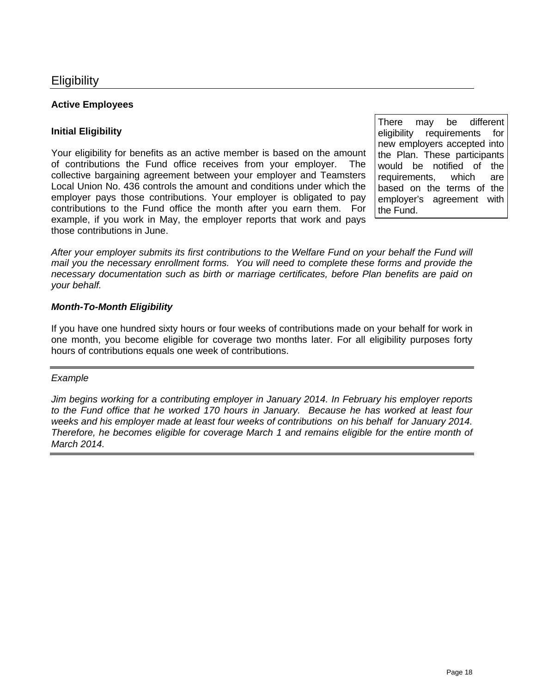# **Active Employees**

# **Initial Eligibility**

Your eligibility for benefits as an active member is based on the amount of contributions the Fund office receives from your employer. The collective bargaining agreement between your employer and Teamsters Local Union No. 436 controls the amount and conditions under which the employer pays those contributions. Your employer is obligated to pay contributions to the Fund office the month after you earn them. For example, if you work in May, the employer reports that work and pays those contributions in June.

There may be different eligibility requirements for new employers accepted into the Plan. These participants would be notified of the requirements, which are based on the terms of the employer's agreement with the Fund.

*After your employer submits its first contributions to the Welfare Fund on your behalf the Fund will mail you the necessary enrollment forms. You will need to complete these forms and provide the necessary documentation such as birth or marriage certificates, before Plan benefits are paid on your behalf.*

# *Month-To-Month Eligibility*

If you have one hundred sixty hours or four weeks of contributions made on your behalf for work in one month, you become eligible for coverage two months later. For all eligibility purposes forty hours of contributions equals one week of contributions.

# *Example*

*Jim begins working for a contributing employer in January 2014. In February his employer reports to the Fund office that he worked 170 hours in January. Because he has worked at least four weeks and his employer made at least four weeks of contributions on his behalf for January 2014. Therefore, he becomes eligible for coverage March 1 and remains eligible for the entire month of March 2014.*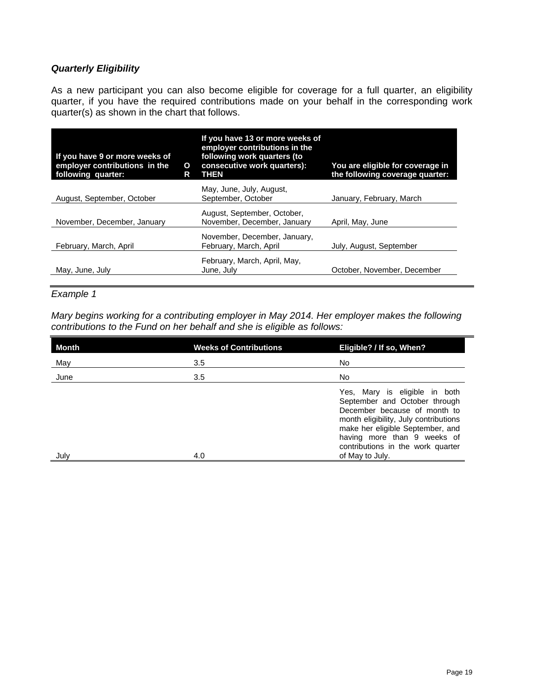# *Quarterly Eligibility*

As a new participant you can also become eligible for coverage for a full quarter, an eligibility quarter, if you have the required contributions made on your behalf in the corresponding work quarter(s) as shown in the chart that follows.

| If you have 9 or more weeks of<br>employer contributions in the<br>following quarter: | O<br>R | If you have 13 or more weeks of<br>employer contributions in the<br>following work quarters (to<br>consecutive work quarters):<br><b>THEN</b> | You are eligible for coverage in<br>the following coverage quarter: |
|---------------------------------------------------------------------------------------|--------|-----------------------------------------------------------------------------------------------------------------------------------------------|---------------------------------------------------------------------|
| August, September, October                                                            |        | May, June, July, August,<br>September, October                                                                                                | January, February, March                                            |
| November, December, January                                                           |        | August, September, October,<br>November, December, January                                                                                    | April, May, June                                                    |
| February, March, April                                                                |        | November, December, January,<br>February, March, April                                                                                        | July, August, September                                             |
| May, June, July                                                                       |        | February, March, April, May,<br>June, July                                                                                                    | October, November, December                                         |

#### *Example 1*

*Mary begins working for a contributing employer in May 2014. Her employer makes the following contributions to the Fund on her behalf and she is eligible as follows:*

| Month | <b>Weeks of Contributions</b> | Eligible? / If so, When?                                                                                                                                                                                                                        |
|-------|-------------------------------|-------------------------------------------------------------------------------------------------------------------------------------------------------------------------------------------------------------------------------------------------|
| May   | 3.5                           | No                                                                                                                                                                                                                                              |
| June  | 3.5                           | No                                                                                                                                                                                                                                              |
|       |                               | Yes, Mary is eligible in both<br>September and October through<br>December because of month to<br>month eligibility, July contributions<br>make her eligible September, and<br>having more than 9 weeks of<br>contributions in the work quarter |
| July  | 4.0                           | of May to July.                                                                                                                                                                                                                                 |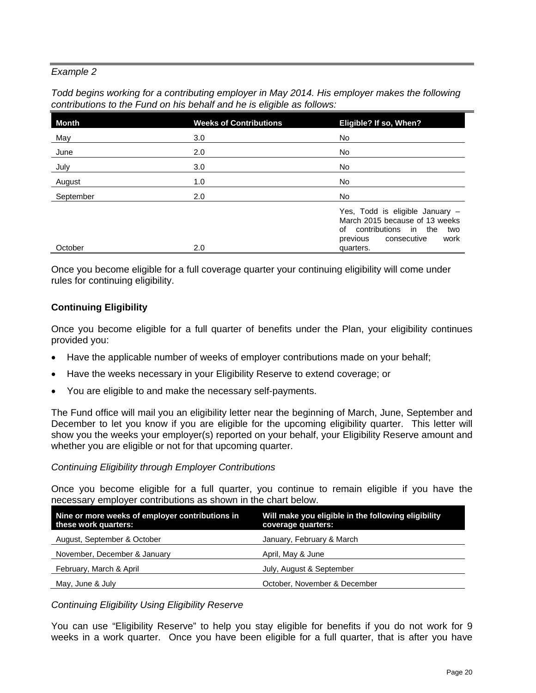# *Example 2*

*Todd begins working for a contributing employer in May 2014. His employer makes the following contributions to the Fund on his behalf and he is eligible as follows:*

| Month     | <b>Weeks of Contributions</b> | Eligible? If so, When?                                                                                                                                    |
|-----------|-------------------------------|-----------------------------------------------------------------------------------------------------------------------------------------------------------|
| May       | 3.0                           | No                                                                                                                                                        |
| June      | 2.0                           | No                                                                                                                                                        |
| July      | 3.0                           | No                                                                                                                                                        |
| August    | 1.0                           | No                                                                                                                                                        |
| September | 2.0                           | No                                                                                                                                                        |
| October   | 2.0                           | Yes, Todd is eligible January -<br>March 2015 because of 13 weeks<br>contributions<br>οf<br>in the<br>two<br>consecutive<br>work<br>previous<br>quarters. |

Once you become eligible for a full coverage quarter your continuing eligibility will come under rules for continuing eligibility.

### **Continuing Eligibility**

Once you become eligible for a full quarter of benefits under the Plan, your eligibility continues provided you:

- Have the applicable number of weeks of employer contributions made on your behalf;
- Have the weeks necessary in your Eligibility Reserve to extend coverage; or
- You are eligible to and make the necessary self-payments.

The Fund office will mail you an eligibility letter near the beginning of March, June, September and December to let you know if you are eligible for the upcoming eligibility quarter. This letter will show you the weeks your employer(s) reported on your behalf, your Eligibility Reserve amount and whether you are eligible or not for that upcoming quarter.

*Continuing Eligibility through Employer Contributions*

Once you become eligible for a full quarter, you continue to remain eligible if you have the necessary employer contributions as shown in the chart below.

| Nine or more weeks of employer contributions in<br>these work quarters: | Will make you eligible in the following eligibility<br>coverage quarters: |
|-------------------------------------------------------------------------|---------------------------------------------------------------------------|
| August, September & October                                             | January, February & March                                                 |
| November, December & January                                            | April, May & June                                                         |
| February, March & April                                                 | July, August & September                                                  |
| May, June & July                                                        | October, November & December                                              |

*Continuing Eligibility Using Eligibility Reserve*

You can use "Eligibility Reserve" to help you stay eligible for benefits if you do not work for 9 weeks in a work quarter. Once you have been eligible for a full quarter, that is after you have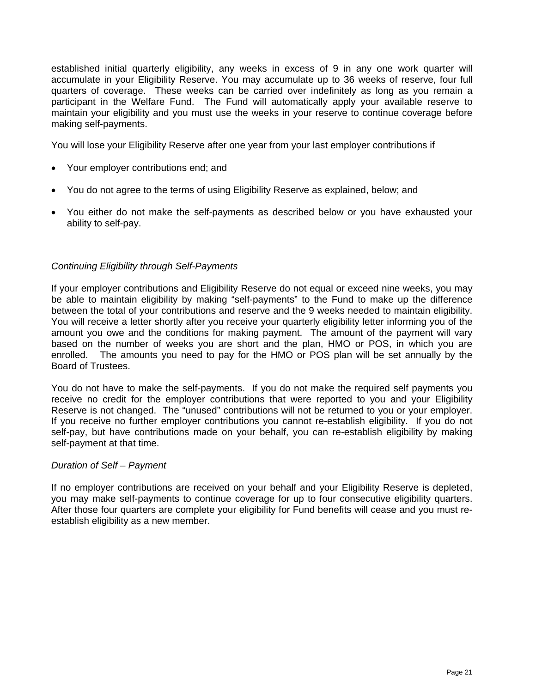established initial quarterly eligibility, any weeks in excess of 9 in any one work quarter will accumulate in your Eligibility Reserve. You may accumulate up to 36 weeks of reserve, four full quarters of coverage. These weeks can be carried over indefinitely as long as you remain a participant in the Welfare Fund. The Fund will automatically apply your available reserve to maintain your eligibility and you must use the weeks in your reserve to continue coverage before making self-payments.

You will lose your Eligibility Reserve after one year from your last employer contributions if

- Your employer contributions end; and
- You do not agree to the terms of using Eligibility Reserve as explained, below; and
- You either do not make the self-payments as described below or you have exhausted your ability to self-pay.

#### *Continuing Eligibility through Self-Payments*

If your employer contributions and Eligibility Reserve do not equal or exceed nine weeks, you may be able to maintain eligibility by making "self-payments" to the Fund to make up the difference between the total of your contributions and reserve and the 9 weeks needed to maintain eligibility. You will receive a letter shortly after you receive your quarterly eligibility letter informing you of the amount you owe and the conditions for making payment. The amount of the payment will vary based on the number of weeks you are short and the plan, HMO or POS, in which you are enrolled. The amounts you need to pay for the HMO or POS plan will be set annually by the Board of Trustees.

You do not have to make the self-payments. If you do not make the required self payments you receive no credit for the employer contributions that were reported to you and your Eligibility Reserve is not changed. The "unused" contributions will not be returned to you or your employer. If you receive no further employer contributions you cannot re-establish eligibility. If you do not self-pay, but have contributions made on your behalf, you can re-establish eligibility by making self-payment at that time.

#### *Duration of Self – Payment*

If no employer contributions are received on your behalf and your Eligibility Reserve is depleted, you may make self-payments to continue coverage for up to four consecutive eligibility quarters. After those four quarters are complete your eligibility for Fund benefits will cease and you must reestablish eligibility as a new member.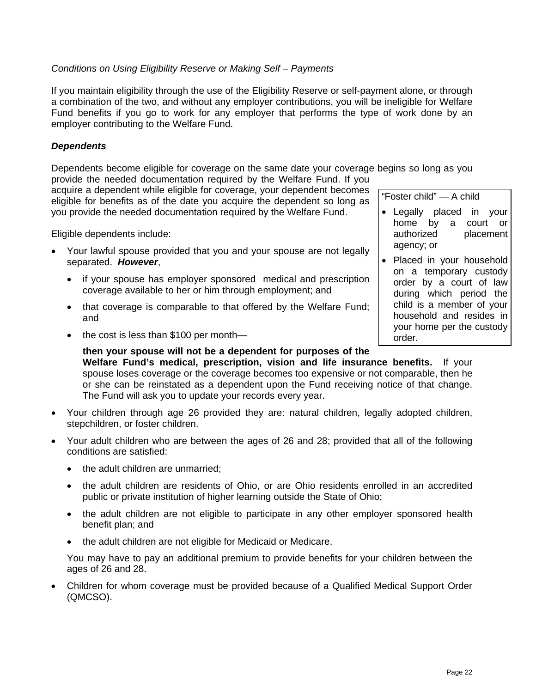## *Conditions on Using Eligibility Reserve or Making Self – Payments*

If you maintain eligibility through the use of the Eligibility Reserve or self-payment alone, or through a combination of the two, and without any employer contributions, you will be ineligible for Welfare Fund benefits if you go to work for any employer that performs the type of work done by an employer contributing to the Welfare Fund.

### *Dependents*

Dependents become eligible for coverage on the same date your coverage begins so long as you provide the needed documentation required by the Welfare Fund. If you

acquire a dependent while eligible for coverage, your dependent becomes eligible for benefits as of the date you acquire the dependent so long as you provide the needed documentation required by the Welfare Fund.

Eligible dependents include:

- Your lawful spouse provided that you and your spouse are not legally separated. *However*,
	- if your spouse has employer sponsored medical and prescription coverage available to her or him through employment; and
	- that coverage is comparable to that offered by the Welfare Fund; and
	- the cost is less than \$100 per month—

**then your spouse will not be a dependent for purposes of the Welfare Fund's medical, prescription, vision and life insurance benefits.** If your spouse loses coverage or the coverage becomes too expensive or not comparable, then he or she can be reinstated as a dependent upon the Fund receiving notice of that change. The Fund will ask you to update your records every year.

- Your children through age 26 provided they are: natural children, legally adopted children, stepchildren, or foster children.
- Your adult children who are between the ages of 26 and 28; provided that all of the following conditions are satisfied:
	- the adult children are unmarried:
	- the adult children are residents of Ohio, or are Ohio residents enrolled in an accredited public or private institution of higher learning outside the State of Ohio;
	- the adult children are not eligible to participate in any other employer sponsored health benefit plan; and
	- the adult children are not eligible for Medicaid or Medicare.

You may have to pay an additional premium to provide benefits for your children between the ages of 26 and 28.

• Children for whom coverage must be provided because of a Qualified Medical Support Order (QMCSO).

"Foster child" — A child

- Legally placed in your home by a court or authorized placement agency; or
- Placed in your household on a temporary custody order by a court of law during which period the child is a member of your household and resides in your home per the custody order.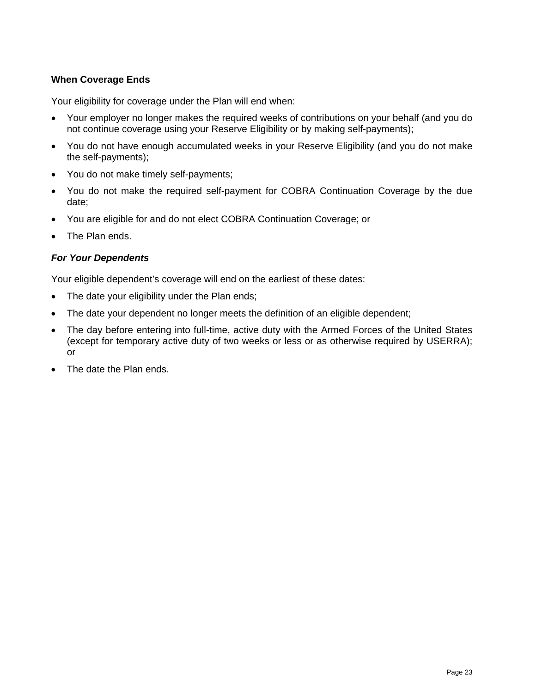# **When Coverage Ends**

Your eligibility for coverage under the Plan will end when:

- Your employer no longer makes the required weeks of contributions on your behalf (and you do not continue coverage using your Reserve Eligibility or by making self-payments);
- You do not have enough accumulated weeks in your Reserve Eligibility (and you do not make the self-payments);
- You do not make timely self-payments;
- You do not make the required self-payment for COBRA Continuation Coverage by the due date;
- You are eligible for and do not elect COBRA Continuation Coverage; or
- The Plan ends.

# *For Your Dependents*

Your eligible dependent's coverage will end on the earliest of these dates:

- The date your eligibility under the Plan ends;
- The date your dependent no longer meets the definition of an eligible dependent;
- The day before entering into full-time, active duty with the Armed Forces of the United States (except for temporary active duty of two weeks or less or as otherwise required by USERRA); or
- The date the Plan ends.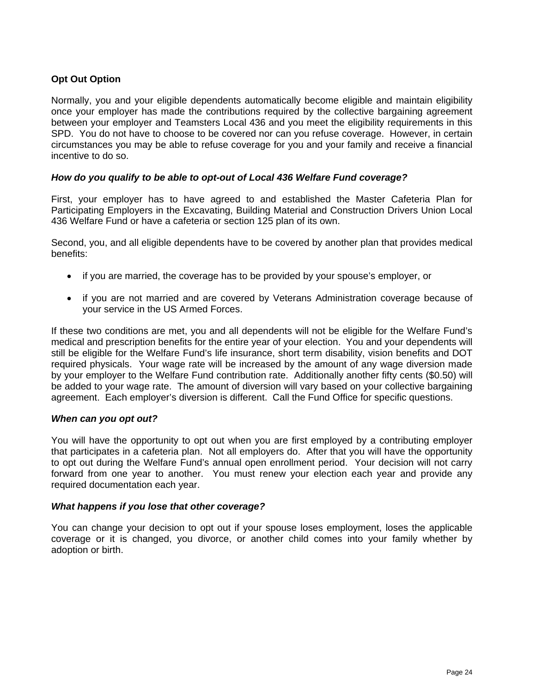# **Opt Out Option**

Normally, you and your eligible dependents automatically become eligible and maintain eligibility once your employer has made the contributions required by the collective bargaining agreement between your employer and Teamsters Local 436 and you meet the eligibility requirements in this SPD. You do not have to choose to be covered nor can you refuse coverage. However, in certain circumstances you may be able to refuse coverage for you and your family and receive a financial incentive to do so.

### *How do you qualify to be able to opt-out of Local 436 Welfare Fund coverage?*

First, your employer has to have agreed to and established the Master Cafeteria Plan for Participating Employers in the Excavating, Building Material and Construction Drivers Union Local 436 Welfare Fund or have a cafeteria or section 125 plan of its own.

Second, you, and all eligible dependents have to be covered by another plan that provides medical benefits:

- if you are married, the coverage has to be provided by your spouse's employer, or
- if you are not married and are covered by Veterans Administration coverage because of your service in the US Armed Forces.

If these two conditions are met, you and all dependents will not be eligible for the Welfare Fund's medical and prescription benefits for the entire year of your election. You and your dependents will still be eligible for the Welfare Fund's life insurance, short term disability, vision benefits and DOT required physicals. Your wage rate will be increased by the amount of any wage diversion made by your employer to the Welfare Fund contribution rate. Additionally another fifty cents (\$0.50) will be added to your wage rate. The amount of diversion will vary based on your collective bargaining agreement. Each employer's diversion is different. Call the Fund Office for specific questions.

#### *When can you opt out?*

You will have the opportunity to opt out when you are first employed by a contributing employer that participates in a cafeteria plan. Not all employers do. After that you will have the opportunity to opt out during the Welfare Fund's annual open enrollment period. Your decision will not carry forward from one year to another. You must renew your election each year and provide any required documentation each year.

#### *What happens if you lose that other coverage?*

You can change your decision to opt out if your spouse loses employment, loses the applicable coverage or it is changed, you divorce, or another child comes into your family whether by adoption or birth.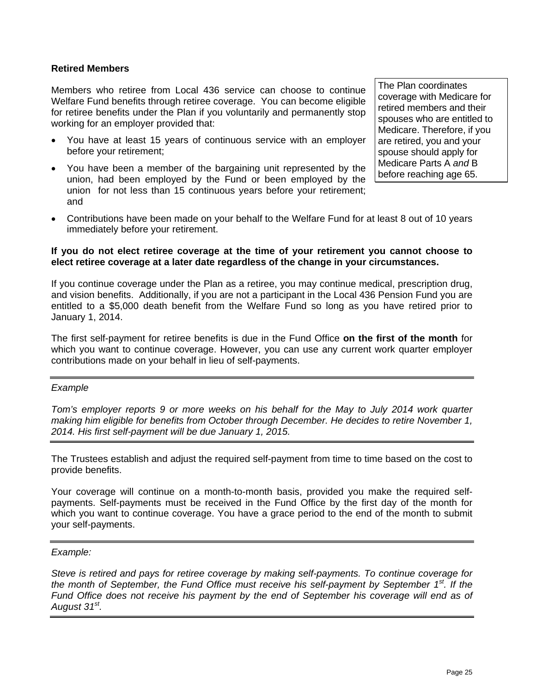# **Retired Members**

Members who retiree from Local 436 service can choose to continue Welfare Fund benefits through retiree coverage. You can become eligible for retiree benefits under the Plan if you voluntarily and permanently stop working for an employer provided that:

- You have at least 15 years of continuous service with an employer before your retirement;
- You have been a member of the bargaining unit represented by the union, had been employed by the Fund or been employed by the union for not less than 15 continuous years before your retirement; and

The Plan coordinates coverage with Medicare for retired members and their spouses who are entitled to Medicare. Therefore, if you are retired, you and your spouse should apply for Medicare Parts A *and* B before reaching age 65.

• Contributions have been made on your behalf to the Welfare Fund for at least 8 out of 10 years immediately before your retirement.

#### **If you do not elect retiree coverage at the time of your retirement you cannot choose to elect retiree coverage at a later date regardless of the change in your circumstances.**

If you continue coverage under the Plan as a retiree, you may continue medical, prescription drug, and vision benefits. Additionally, if you are not a participant in the Local 436 Pension Fund you are entitled to a \$5,000 death benefit from the Welfare Fund so long as you have retired prior to January 1, 2014.

The first self-payment for retiree benefits is due in the Fund Office **on the first of the month** for which you want to continue coverage. However, you can use any current work quarter employer contributions made on your behalf in lieu of self-payments.

#### *Example*

*Tom's employer reports 9 or more weeks on his behalf for the May to July 2014 work quarter making him eligible for benefits from October through December. He decides to retire November 1, 2014. His first self-payment will be due January 1, 2015.*

The Trustees establish and adjust the required self-payment from time to time based on the cost to provide benefits.

Your coverage will continue on a month-to-month basis, provided you make the required selfpayments. Self-payments must be received in the Fund Office by the first day of the month for which you want to continue coverage. You have a grace period to the end of the month to submit your self-payments.

#### *Example:*

*Steve is retired and pays for retiree coverage by making self-payments. To continue coverage for the month of September, the Fund Office must receive his self-payment by September 1st. If the Fund Office does not receive his payment by the end of September his coverage will end as of August 31st.*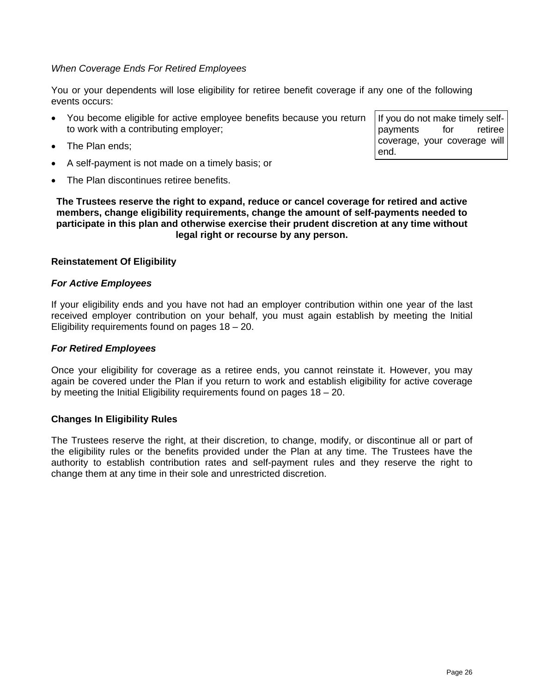### *When Coverage Ends For Retired Employees*

You or your dependents will lose eligibility for retiree benefit coverage if any one of the following events occurs:

- You become eligible for active employee benefits because you return to work with a contributing employer;
- The Plan ends:
- A self-payment is not made on a timely basis; or
- The Plan discontinues retiree benefits.

**The Trustees reserve the right to expand, reduce or cancel coverage for retired and active members, change eligibility requirements, change the amount of self-payments needed to participate in this plan and otherwise exercise their prudent discretion at any time without legal right or recourse by any person.**

#### **Reinstatement Of Eligibility**

#### *For Active Employees*

If your eligibility ends and you have not had an employer contribution within one year of the last received employer contribution on your behalf, you must again establish by meeting the Initial Eligibility requirements found on pages 18 – 20.

#### *For Retired Employees*

Once your eligibility for coverage as a retiree ends, you cannot reinstate it. However, you may again be covered under the Plan if you return to work and establish eligibility for active coverage by meeting the Initial Eligibility requirements found on pages 18 – 20.

#### **Changes In Eligibility Rules**

The Trustees reserve the right, at their discretion, to change, modify, or discontinue all or part of the eligibility rules or the benefits provided under the Plan at any time. The Trustees have the authority to establish contribution rates and self-payment rules and they reserve the right to change them at any time in their sole and unrestricted discretion.

If you do not make timely selfpayments for retiree coverage, your coverage will end.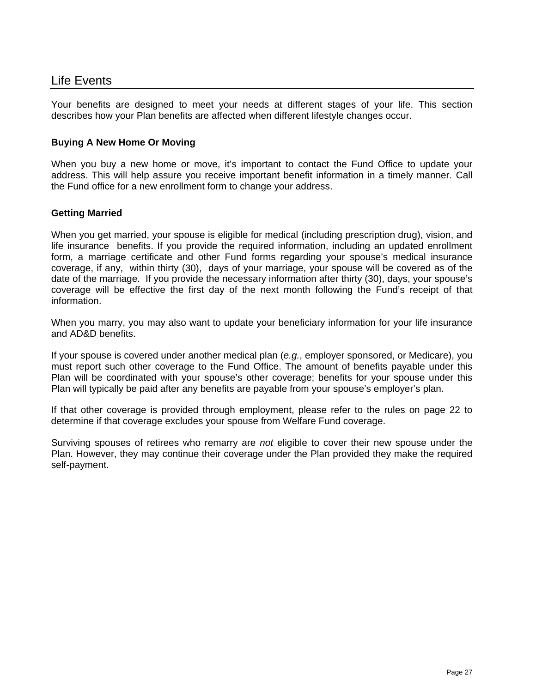# Life Events

Your benefits are designed to meet your needs at different stages of your life. This section describes how your Plan benefits are affected when different lifestyle changes occur.

## **Buying A New Home Or Moving**

When you buy a new home or move, it's important to contact the Fund Office to update your address. This will help assure you receive important benefit information in a timely manner. Call the Fund office for a new enrollment form to change your address.

### **Getting Married**

When you get married, your spouse is eligible for medical (including prescription drug), vision, and life insurance benefits. If you provide the required information, including an updated enrollment form, a marriage certificate and other Fund forms regarding your spouse's medical insurance coverage, if any, within thirty (30), days of your marriage, your spouse will be covered as of the date of the marriage. If you provide the necessary information after thirty (30), days, your spouse's coverage will be effective the first day of the next month following the Fund's receipt of that information.

When you marry, you may also want to update your beneficiary information for your life insurance and AD&D benefits.

If your spouse is covered under another medical plan (*e.g.*, employer sponsored, or Medicare), you must report such other coverage to the Fund Office. The amount of benefits payable under this Plan will be coordinated with your spouse's other coverage; benefits for your spouse under this Plan will typically be paid after any benefits are payable from your spouse's employer's plan.

If that other coverage is provided through employment, please refer to the rules on page 22 to determine if that coverage excludes your spouse from Welfare Fund coverage.

Surviving spouses of retirees who remarry are *not* eligible to cover their new spouse under the Plan. However, they may continue their coverage under the Plan provided they make the required self-payment.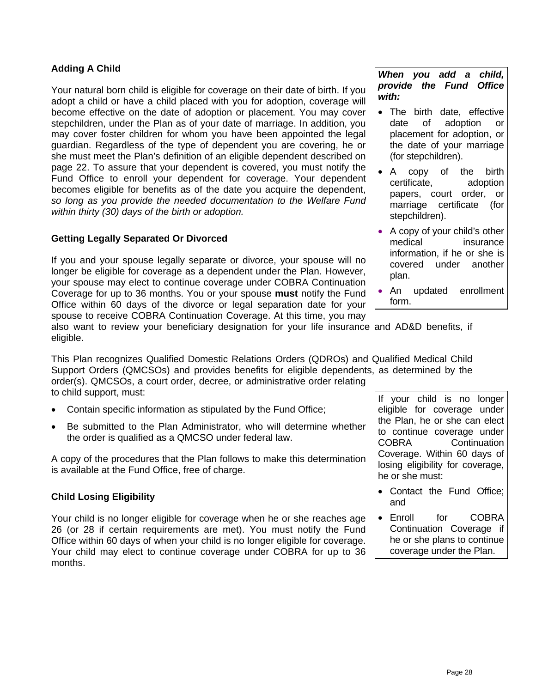# **Adding A Child**

Your natural born child is eligible for coverage on their date of birth. If you adopt a child or have a child placed with you for adoption, coverage will become effective on the date of adoption or placement. You may cover stepchildren, under the Plan as of your date of marriage. In addition, you may cover foster children for whom you have been appointed the legal guardian. Regardless of the type of dependent you are covering, he or she must meet the Plan's definition of an eligible dependent described on page 22. To assure that your dependent is covered, you must notify the Fund Office to enroll your dependent for coverage. Your dependent becomes eligible for benefits as of the date you acquire the dependent, *so long as you provide the needed documentation to the Welfare Fund within thirty (30) days of the birth or adoption.*

# **Getting Legally Separated Or Divorced**

If you and your spouse legally separate or divorce, your spouse will no longer be eligible for coverage as a dependent under the Plan. However, your spouse may elect to continue coverage under COBRA Continuation Coverage for up to 36 months. You or your spouse **must** notify the Fund Office within 60 days of the divorce or legal separation date for your spouse to receive COBRA Continuation Coverage. At this time, you may

#### *When you add a child, provide the Fund Office with:*

- The birth date, effective date of adoption or placement for adoption, or the date of your marriage (for stepchildren).
- A copy of the birth certificate, adoption papers, court order, or marriage certificate (for stepchildren).
- A copy of your child's other medical insurance information, if he or she is covered under another plan.
- An updated enrollment form.

also want to review your beneficiary designation for your life insurance and AD&D benefits, if eligible.

This Plan recognizes Qualified Domestic Relations Orders (QDROs) and Qualified Medical Child Support Orders (QMCSOs) and provides benefits for eligible dependents, as determined by the order(s). QMCSOs, a court order, decree, or administrative order relating to child support, must:

- Contain specific information as stipulated by the Fund Office;
- Be submitted to the Plan Administrator, who will determine whether the order is qualified as a QMCSO under federal law.

A copy of the procedures that the Plan follows to make this determination is available at the Fund Office, free of charge.

# **Child Losing Eligibility**

Your child is no longer eligible for coverage when he or she reaches age 26 (or 28 if certain requirements are met). You must notify the Fund Office within 60 days of when your child is no longer eligible for coverage. Your child may elect to continue coverage under COBRA for up to 36 months.

If your child is no longer eligible for coverage under the Plan, he or she can elect to continue coverage under COBRA Continuation Coverage. Within 60 days of losing eligibility for coverage, he or she must:

- Contact the Fund Office; and
- Enroll for COBRA Continuation Coverage if he or she plans to continue coverage under the Plan.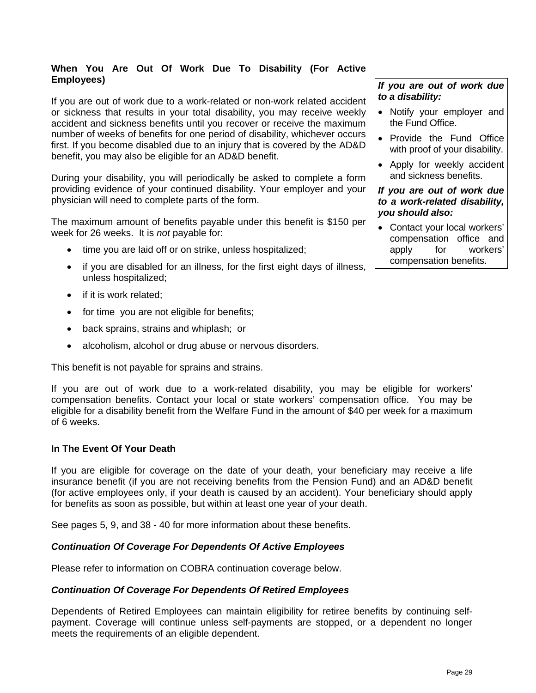# **When You Are Out Of Work Due To Disability (For Active Employees)**

If you are out of work due to a work-related or non-work related accident or sickness that results in your total disability, you may receive weekly accident and sickness benefits until you recover or receive the maximum number of weeks of benefits for one period of disability, whichever occurs first. If you become disabled due to an injury that is covered by the AD&D benefit, you may also be eligible for an AD&D benefit.

During your disability, you will periodically be asked to complete a form providing evidence of your continued disability. Your employer and your physician will need to complete parts of the form.

The maximum amount of benefits payable under this benefit is \$150 per week for 26 weeks. It is *not* payable for:

- time you are laid off or on strike, unless hospitalized;
- if you are disabled for an illness, for the first eight days of illness, unless hospitalized;
- if it is work related:
- for time you are not eligible for benefits;
- back sprains, strains and whiplash; or
- alcoholism, alcohol or drug abuse or nervous disorders.

This benefit is not payable for sprains and strains.

If you are out of work due to a work-related disability, you may be eligible for workers' compensation benefits. Contact your local or state workers' compensation office. You may be eligible for a disability benefit from the Welfare Fund in the amount of \$40 per week for a maximum of 6 weeks.

#### **In The Event Of Your Death**

If you are eligible for coverage on the date of your death, your beneficiary may receive a life insurance benefit (if you are not receiving benefits from the Pension Fund) and an AD&D benefit (for active employees only, if your death is caused by an accident). Your beneficiary should apply for benefits as soon as possible, but within at least one year of your death.

See pages 5, 9, and 38 - 40 for more information about these benefits.

# *Continuation Of Coverage For Dependents Of Active Employees*

Please refer to information on COBRA continuation coverage below.

#### *Continuation Of Coverage For Dependents Of Retired Employees*

Dependents of Retired Employees can maintain eligibility for retiree benefits by continuing selfpayment. Coverage will continue unless self-payments are stopped, or a dependent no longer meets the requirements of an eligible dependent.

*If you are out of work due to a disability:*

- Notify your employer and the Fund Office.
- Provide the Fund Office with proof of your disability.
- Apply for weekly accident and sickness benefits.

#### *If you are out of work due to a work-related disability, you should also:*

• Contact your local workers' compensation office and apply for workers' compensation benefits.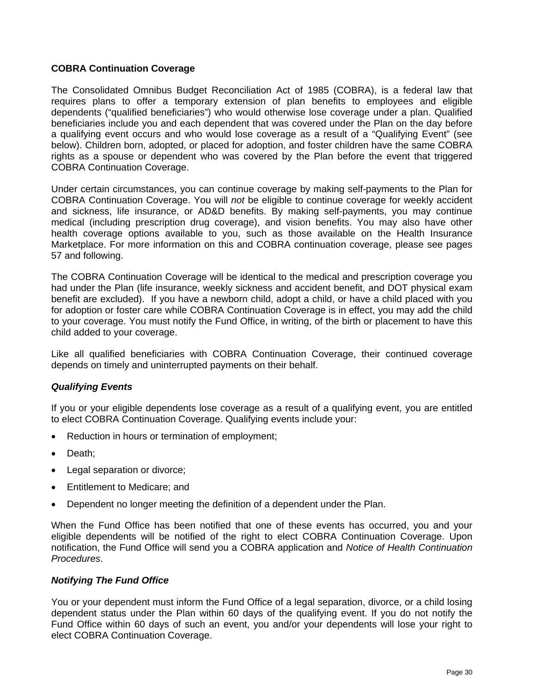### **COBRA Continuation Coverage**

The Consolidated Omnibus Budget Reconciliation Act of 1985 (COBRA), is a federal law that requires plans to offer a temporary extension of plan benefits to employees and eligible dependents ("qualified beneficiaries") who would otherwise lose coverage under a plan. Qualified beneficiaries include you and each dependent that was covered under the Plan on the day before a qualifying event occurs and who would lose coverage as a result of a "Qualifying Event" (see below). Children born, adopted, or placed for adoption, and foster children have the same COBRA rights as a spouse or dependent who was covered by the Plan before the event that triggered COBRA Continuation Coverage.

Under certain circumstances, you can continue coverage by making self-payments to the Plan for COBRA Continuation Coverage. You will *not* be eligible to continue coverage for weekly accident and sickness, life insurance, or AD&D benefits. By making self-payments, you may continue medical (including prescription drug coverage), and vision benefits. You may also have other health coverage options available to you, such as those available on the Health Insurance Marketplace. For more information on this and COBRA continuation coverage, please see pages 57 and following.

The COBRA Continuation Coverage will be identical to the medical and prescription coverage you had under the Plan (life insurance, weekly sickness and accident benefit, and DOT physical exam benefit are excluded). If you have a newborn child, adopt a child, or have a child placed with you for adoption or foster care while COBRA Continuation Coverage is in effect, you may add the child to your coverage. You must notify the Fund Office, in writing, of the birth or placement to have this child added to your coverage.

Like all qualified beneficiaries with COBRA Continuation Coverage, their continued coverage depends on timely and uninterrupted payments on their behalf.

# *Qualifying Events*

If you or your eligible dependents lose coverage as a result of a qualifying event, you are entitled to elect COBRA Continuation Coverage. Qualifying events include your:

- Reduction in hours or termination of employment;
- Death;
- Legal separation or divorce;
- Entitlement to Medicare; and
- Dependent no longer meeting the definition of a dependent under the Plan.

When the Fund Office has been notified that one of these events has occurred, you and your eligible dependents will be notified of the right to elect COBRA Continuation Coverage. Upon notification, the Fund Office will send you a COBRA application and *Notice of Health Continuation Procedures*.

#### *Notifying The Fund Office*

You or your dependent must inform the Fund Office of a legal separation, divorce, or a child losing dependent status under the Plan within 60 days of the qualifying event. If you do not notify the Fund Office within 60 days of such an event, you and/or your dependents will lose your right to elect COBRA Continuation Coverage.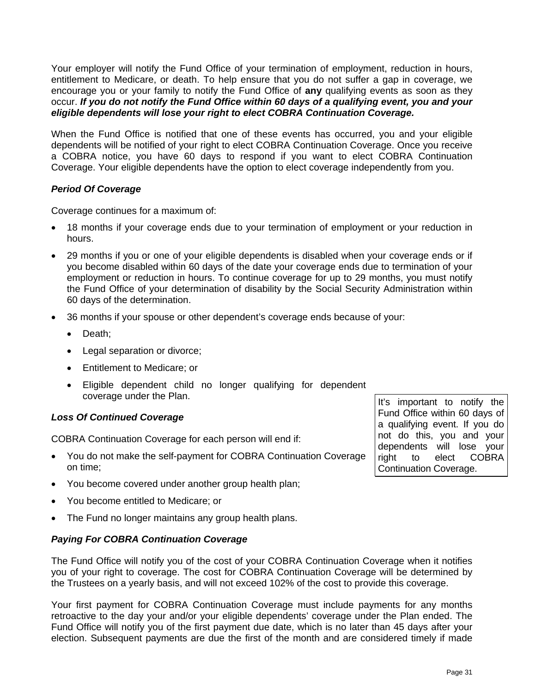Your employer will notify the Fund Office of your termination of employment, reduction in hours, entitlement to Medicare, or death. To help ensure that you do not suffer a gap in coverage, we encourage you or your family to notify the Fund Office of **any** qualifying events as soon as they occur. *If you do not notify the Fund Office within 60 days of a qualifying event, you and your eligible dependents will lose your right to elect COBRA Continuation Coverage.*

When the Fund Office is notified that one of these events has occurred, you and your eligible dependents will be notified of your right to elect COBRA Continuation Coverage. Once you receive a COBRA notice, you have 60 days to respond if you want to elect COBRA Continuation Coverage. Your eligible dependents have the option to elect coverage independently from you.

# *Period Of Coverage*

Coverage continues for a maximum of:

- 18 months if your coverage ends due to your termination of employment or your reduction in hours.
- 29 months if you or one of your eligible dependents is disabled when your coverage ends or if you become disabled within 60 days of the date your coverage ends due to termination of your employment or reduction in hours. To continue coverage for up to 29 months, you must notify the Fund Office of your determination of disability by the Social Security Administration within 60 days of the determination.
- 36 months if your spouse or other dependent's coverage ends because of your:
	- Death;
	- Legal separation or divorce;
	- Entitlement to Medicare; or
	- Eligible dependent child no longer qualifying for dependent coverage under the Plan.

# *Loss Of Continued Coverage*

COBRA Continuation Coverage for each person will end if:

- You do not make the self-payment for COBRA Continuation Coverage on time;
- You become covered under another group health plan;
- You become entitled to Medicare; or
- The Fund no longer maintains any group health plans.

# *Paying For COBRA Continuation Coverage*

The Fund Office will notify you of the cost of your COBRA Continuation Coverage when it notifies you of your right to coverage. The cost for COBRA Continuation Coverage will be determined by the Trustees on a yearly basis, and will not exceed 102% of the cost to provide this coverage.

Your first payment for COBRA Continuation Coverage must include payments for any months retroactive to the day your and/or your eligible dependents' coverage under the Plan ended. The Fund Office will notify you of the first payment due date, which is no later than 45 days after your election. Subsequent payments are due the first of the month and are considered timely if made

It's important to notify the Fund Office within 60 days of a qualifying event. If you do not do this, you and your dependents will lose your right to elect COBRA Continuation Coverage.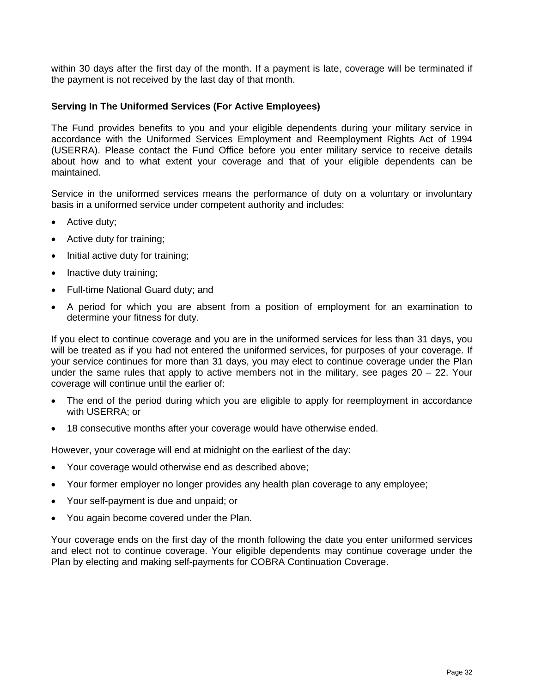within 30 days after the first day of the month. If a payment is late, coverage will be terminated if the payment is not received by the last day of that month.

# **Serving In The Uniformed Services (For Active Employees)**

The Fund provides benefits to you and your eligible dependents during your military service in accordance with the Uniformed Services Employment and Reemployment Rights Act of 1994 (USERRA). Please contact the Fund Office before you enter military service to receive details about how and to what extent your coverage and that of your eligible dependents can be maintained.

Service in the uniformed services means the performance of duty on a voluntary or involuntary basis in a uniformed service under competent authority and includes:

- Active duty;
- Active duty for training;
- Initial active duty for training;
- Inactive duty training;
- Full-time National Guard duty; and
- A period for which you are absent from a position of employment for an examination to determine your fitness for duty.

If you elect to continue coverage and you are in the uniformed services for less than 31 days, you will be treated as if you had not entered the uniformed services, for purposes of your coverage. If your service continues for more than 31 days, you may elect to continue coverage under the Plan under the same rules that apply to active members not in the military, see pages  $20 - 22$ . Your coverage will continue until the earlier of:

- The end of the period during which you are eligible to apply for reemployment in accordance with USERRA; or
- 18 consecutive months after your coverage would have otherwise ended.

However, your coverage will end at midnight on the earliest of the day:

- Your coverage would otherwise end as described above;
- Your former employer no longer provides any health plan coverage to any employee;
- Your self-payment is due and unpaid; or
- You again become covered under the Plan.

Your coverage ends on the first day of the month following the date you enter uniformed services and elect not to continue coverage. Your eligible dependents may continue coverage under the Plan by electing and making self-payments for COBRA Continuation Coverage.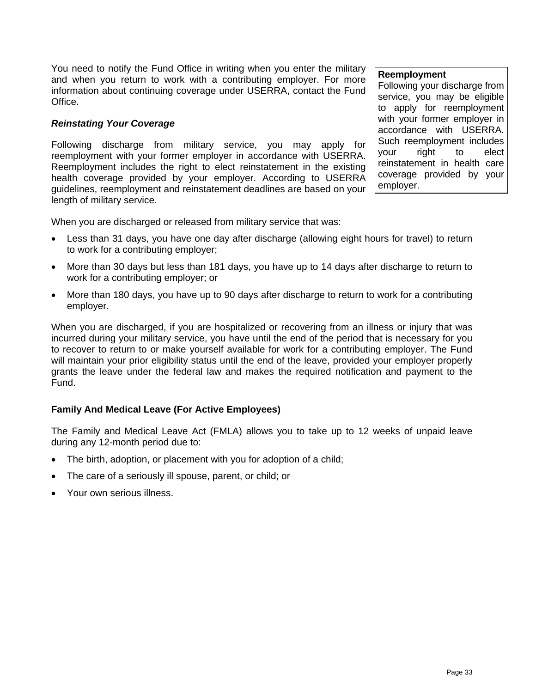You need to notify the Fund Office in writing when you enter the military and when you return to work with a contributing employer. For more information about continuing coverage under USERRA, contact the Fund Office.

# *Reinstating Your Coverage*

Following discharge from military service, you may apply for reemployment with your former employer in accordance with USERRA. Reemployment includes the right to elect reinstatement in the existing health coverage provided by your employer. According to USERRA guidelines, reemployment and reinstatement deadlines are based on your length of military service.

#### **Reemployment**

Following your discharge from service, you may be eligible to apply for reemployment with your former employer in accordance with USERRA. Such reemployment includes your right to elect reinstatement in health care coverage provided by your employer.

When you are discharged or released from military service that was:

- Less than 31 days, you have one day after discharge (allowing eight hours for travel) to return to work for a contributing employer;
- More than 30 days but less than 181 days, you have up to 14 days after discharge to return to work for a contributing employer; or
- More than 180 days, you have up to 90 days after discharge to return to work for a contributing employer.

When you are discharged, if you are hospitalized or recovering from an illness or injury that was incurred during your military service, you have until the end of the period that is necessary for you to recover to return to or make yourself available for work for a contributing employer. The Fund will maintain your prior eligibility status until the end of the leave, provided your employer properly grants the leave under the federal law and makes the required notification and payment to the Fund.

# **Family And Medical Leave (For Active Employees)**

The Family and Medical Leave Act (FMLA) allows you to take up to 12 weeks of unpaid leave during any 12-month period due to:

- The birth, adoption, or placement with you for adoption of a child;
- The care of a seriously ill spouse, parent, or child; or
- Your own serious illness.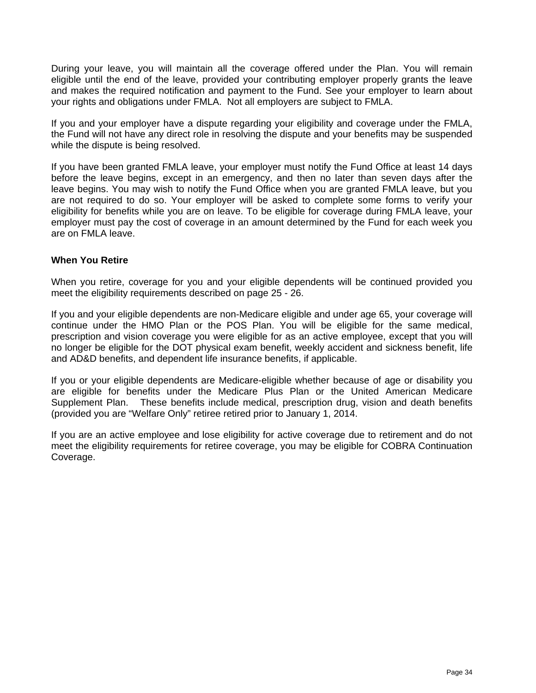During your leave, you will maintain all the coverage offered under the Plan. You will remain eligible until the end of the leave, provided your contributing employer properly grants the leave and makes the required notification and payment to the Fund. See your employer to learn about your rights and obligations under FMLA. Not all employers are subject to FMLA.

If you and your employer have a dispute regarding your eligibility and coverage under the FMLA, the Fund will not have any direct role in resolving the dispute and your benefits may be suspended while the dispute is being resolved.

If you have been granted FMLA leave, your employer must notify the Fund Office at least 14 days before the leave begins, except in an emergency, and then no later than seven days after the leave begins. You may wish to notify the Fund Office when you are granted FMLA leave, but you are not required to do so. Your employer will be asked to complete some forms to verify your eligibility for benefits while you are on leave. To be eligible for coverage during FMLA leave, your employer must pay the cost of coverage in an amount determined by the Fund for each week you are on FMLA leave.

# **When You Retire**

When you retire, coverage for you and your eligible dependents will be continued provided you meet the eligibility requirements described on page 25 - 26.

If you and your eligible dependents are non-Medicare eligible and under age 65, your coverage will continue under the HMO Plan or the POS Plan. You will be eligible for the same medical, prescription and vision coverage you were eligible for as an active employee, except that you will no longer be eligible for the DOT physical exam benefit, weekly accident and sickness benefit, life and AD&D benefits, and dependent life insurance benefits, if applicable.

If you or your eligible dependents are Medicare-eligible whether because of age or disability you are eligible for benefits under the Medicare Plus Plan or the United American Medicare Supplement Plan. These benefits include medical, prescription drug, vision and death benefits (provided you are "Welfare Only" retiree retired prior to January 1, 2014.

If you are an active employee and lose eligibility for active coverage due to retirement and do not meet the eligibility requirements for retiree coverage, you may be eligible for COBRA Continuation Coverage.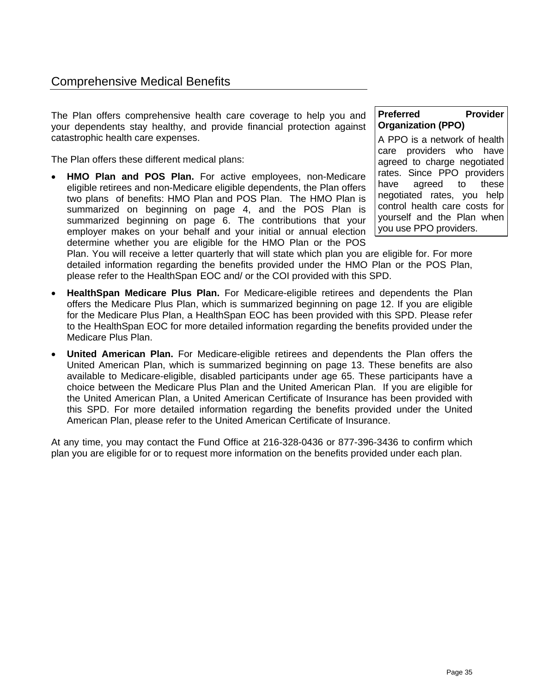The Plan offers comprehensive health care coverage to help you and your dependents stay healthy, and provide financial protection against catastrophic health care expenses.

The Plan offers these different medical plans:

• **HMO Plan and POS Plan.** For active employees, non-Medicare eligible retirees and non-Medicare eligible dependents, the Plan offers two plans of benefits: HMO Plan and POS Plan. The HMO Plan is summarized on beginning on page 4, and the POS Plan is summarized beginning on page 6. The contributions that your employer makes on your behalf and your initial or annual election determine whether you are eligible for the HMO Plan or the POS

# **Preferred Provider Organization (PPO)**

A PPO is a network of health care providers who have agreed to charge negotiated rates. Since PPO providers<br>have agreed to these have agreed to negotiated rates, you help control health care costs for yourself and the Plan when you use PPO providers.

Plan. You will receive a letter quarterly that will state which plan you are eligible for. For more detailed information regarding the benefits provided under the HMO Plan or the POS Plan, please refer to the HealthSpan EOC and/ or the COI provided with this SPD.

- **HealthSpan Medicare Plus Plan.** For Medicare-eligible retirees and dependents the Plan offers the Medicare Plus Plan, which is summarized beginning on page 12. If you are eligible for the Medicare Plus Plan, a HealthSpan EOC has been provided with this SPD. Please refer to the HealthSpan EOC for more detailed information regarding the benefits provided under the Medicare Plus Plan.
- **United American Plan.** For Medicare-eligible retirees and dependents the Plan offers the United American Plan, which is summarized beginning on page 13. These benefits are also available to Medicare-eligible, disabled participants under age 65. These participants have a choice between the Medicare Plus Plan and the United American Plan. If you are eligible for the United American Plan, a United American Certificate of Insurance has been provided with this SPD. For more detailed information regarding the benefits provided under the United American Plan, please refer to the United American Certificate of Insurance.

At any time, you may contact the Fund Office at 216-328-0436 or 877-396-3436 to confirm which plan you are eligible for or to request more information on the benefits provided under each plan.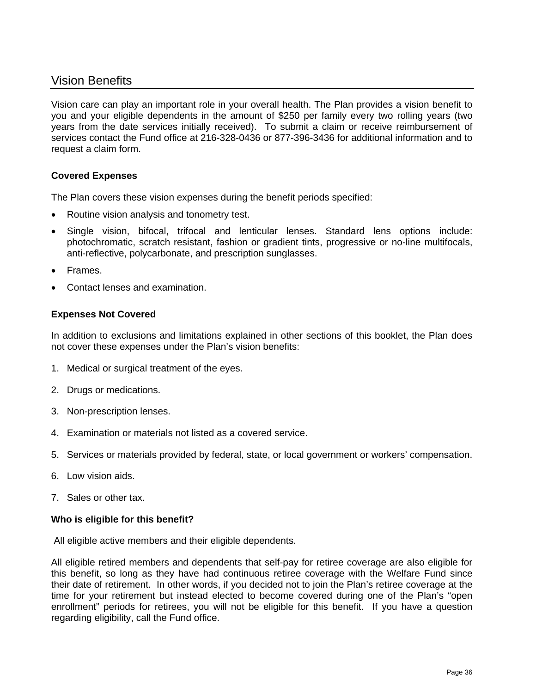# Vision Benefits

Vision care can play an important role in your overall health. The Plan provides a vision benefit to you and your eligible dependents in the amount of \$250 per family every two rolling years (two years from the date services initially received). To submit a claim or receive reimbursement of services contact the Fund office at 216-328-0436 or 877-396-3436 for additional information and to request a claim form.

# **Covered Expenses**

The Plan covers these vision expenses during the benefit periods specified:

- Routine vision analysis and tonometry test.
- Single vision, bifocal, trifocal and lenticular lenses. Standard lens options include: photochromatic, scratch resistant, fashion or gradient tints, progressive or no-line multifocals, anti-reflective, polycarbonate, and prescription sunglasses.
- Frames.
- Contact lenses and examination.

#### **Expenses Not Covered**

In addition to exclusions and limitations explained in other sections of this booklet, the Plan does not cover these expenses under the Plan's vision benefits:

- 1. Medical or surgical treatment of the eyes.
- 2. Drugs or medications.
- 3. Non-prescription lenses.
- 4. Examination or materials not listed as a covered service.
- 5. Services or materials provided by federal, state, or local government or workers' compensation.
- 6. Low vision aids.
- 7. Sales or other tax.

#### **Who is eligible for this benefit?**

All eligible active members and their eligible dependents.

All eligible retired members and dependents that self-pay for retiree coverage are also eligible for this benefit, so long as they have had continuous retiree coverage with the Welfare Fund since their date of retirement. In other words, if you decided not to join the Plan's retiree coverage at the time for your retirement but instead elected to become covered during one of the Plan's "open enrollment" periods for retirees, you will not be eligible for this benefit. If you have a question regarding eligibility, call the Fund office.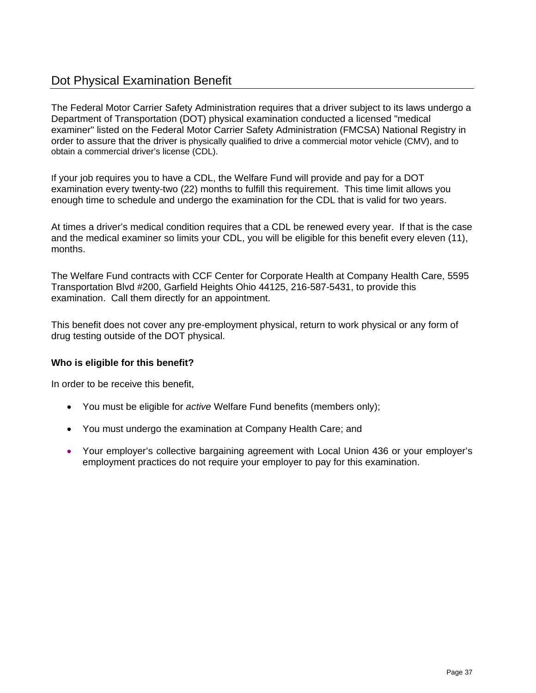# Dot Physical Examination Benefit

The Federal Motor Carrier Safety Administration requires that a driver subject to its laws undergo a Department of Transportation (DOT) physical examination conducted a licensed "medical examiner" listed on the Federal Motor Carrier Safety Administration (FMCSA) National Registry in order to assure that the driver is physically qualified to drive a commercial motor vehicle (CMV), and to obtain a commercial driver's license (CDL).

If your job requires you to have a CDL, the Welfare Fund will provide and pay for a DOT examination every twenty-two (22) months to fulfill this requirement. This time limit allows you enough time to schedule and undergo the examination for the CDL that is valid for two years.

At times a driver's medical condition requires that a CDL be renewed every year. If that is the case and the medical examiner so limits your CDL, you will be eligible for this benefit every eleven (11), months.

The Welfare Fund contracts with CCF Center for Corporate Health at Company Health Care, 5595 Transportation Blvd #200, Garfield Heights Ohio 44125, 216-587-5431, to provide this examination. Call them directly for an appointment.

This benefit does not cover any pre-employment physical, return to work physical or any form of drug testing outside of the DOT physical.

# **Who is eligible for this benefit?**

In order to be receive this benefit,

- You must be eligible for *active* Welfare Fund benefits (members only);
- You must undergo the examination at Company Health Care; and
- Your employer's collective bargaining agreement with Local Union 436 or your employer's employment practices do not require your employer to pay for this examination.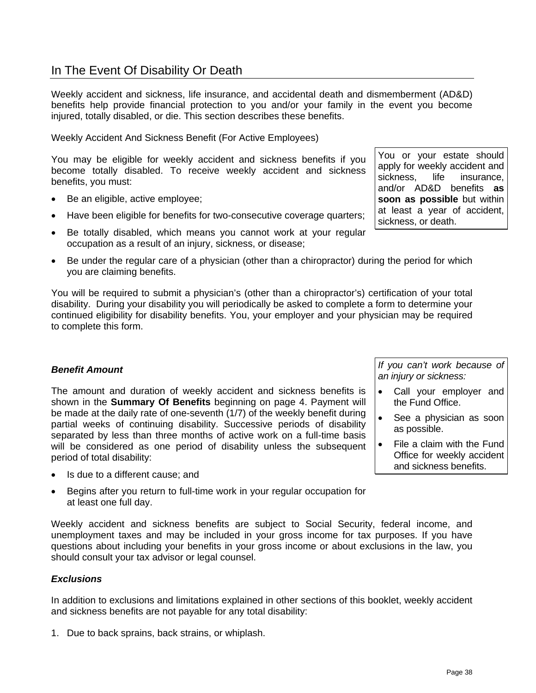# In The Event Of Disability Or Death

Weekly accident and sickness, life insurance, and accidental death and dismemberment (AD&D) benefits help provide financial protection to you and/or your family in the event you become injured, totally disabled, or die. This section describes these benefits.

Weekly Accident And Sickness Benefit (For Active Employees)

You may be eligible for weekly accident and sickness benefits if you become totally disabled. To receive weekly accident and sickness benefits, you must:

- Be an eligible, active employee;
- Have been eligible for benefits for two-consecutive coverage quarters;
- Be totally disabled, which means you cannot work at your regular occupation as a result of an injury, sickness, or disease;
- Be under the regular care of a physician (other than a chiropractor) during the period for which you are claiming benefits.

You will be required to submit a physician's (other than a chiropractor's) certification of your total disability. During your disability you will periodically be asked to complete a form to determine your continued eligibility for disability benefits. You, your employer and your physician may be required to complete this form.

#### *Benefit Amount*

The amount and duration of weekly accident and sickness benefits is shown in the **Summary Of Benefits** beginning on page 4. Payment will be made at the daily rate of one-seventh (1/7) of the weekly benefit during partial weeks of continuing disability. Successive periods of disability separated by less than three months of active work on a full-time basis will be considered as one period of disability unless the subsequent period of total disability:

- Is due to a different cause; and
- Begins after you return to full-time work in your regular occupation for at least one full day.

Weekly accident and sickness benefits are subject to Social Security, federal income, and unemployment taxes and may be included in your gross income for tax purposes. If you have questions about including your benefits in your gross income or about exclusions in the law, you should consult your tax advisor or legal counsel.

#### *Exclusions*

In addition to exclusions and limitations explained in other sections of this booklet, weekly accident and sickness benefits are not payable for any total disability:

1. Due to back sprains, back strains, or whiplash.

You or your estate should apply for weekly accident and sickness, life insurance, and/or AD&D benefits **as soon as possible** but within at least a year of accident, sickness, or death.

*If you can't work because of an injury or sickness:*

- Call your employer and the Fund Office.
- See a physician as soon as possible.
- File a claim with the Fund Office for weekly accident and sickness benefits.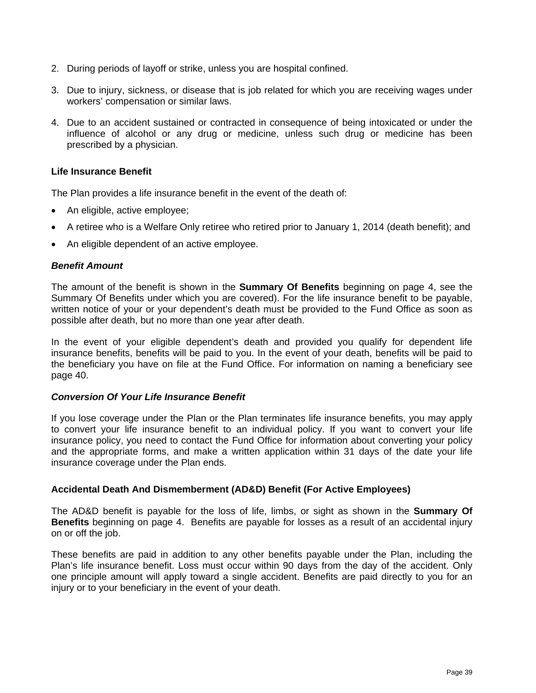- 2. During periods of layoff or strike, unless you are hospital confined.
- 3. Due to injury, sickness, or disease that is job related for which you are receiving wages under workers' compensation or similar laws.
- 4. Due to an accident sustained or contracted in consequence of being intoxicated or under the influence of alcohol or any drug or medicine, unless such drug or medicine has been prescribed by a physician.

# **Life Insurance Benefit**

The Plan provides a life insurance benefit in the event of the death of:

- An eligible, active employee;
- A retiree who is a Welfare Only retiree who retired prior to January 1, 2014 (death benefit); and
- An eligible dependent of an active employee.

#### *Benefit Amount*

The amount of the benefit is shown in the **Summary Of Benefits** beginning on page 4, see the Summary Of Benefits under which you are covered). For the life insurance benefit to be payable, written notice of your or your dependent's death must be provided to the Fund Office as soon as possible after death, but no more than one year after death.

In the event of your eligible dependent's death and provided you qualify for dependent life insurance benefits, benefits will be paid to you. In the event of your death, benefits will be paid to the beneficiary you have on file at the Fund Office. For information on naming a beneficiary see page 40.

# *Conversion Of Your Life Insurance Benefit*

If you lose coverage under the Plan or the Plan terminates life insurance benefits, you may apply to convert your life insurance benefit to an individual policy. If you want to convert your life insurance policy, you need to contact the Fund Office for information about converting your policy and the appropriate forms, and make a written application within 31 days of the date your life insurance coverage under the Plan ends.

#### **Accidental Death And Dismemberment (AD&D) Benefit (For Active Employees)**

The AD&D benefit is payable for the loss of life, limbs, or sight as shown in the **Summary Of Benefits** beginning on page 4. Benefits are payable for losses as a result of an accidental injury on or off the job.

These benefits are paid in addition to any other benefits payable under the Plan, including the Plan's life insurance benefit. Loss must occur within 90 days from the day of the accident. Only one principle amount will apply toward a single accident. Benefits are paid directly to you for an injury or to your beneficiary in the event of your death.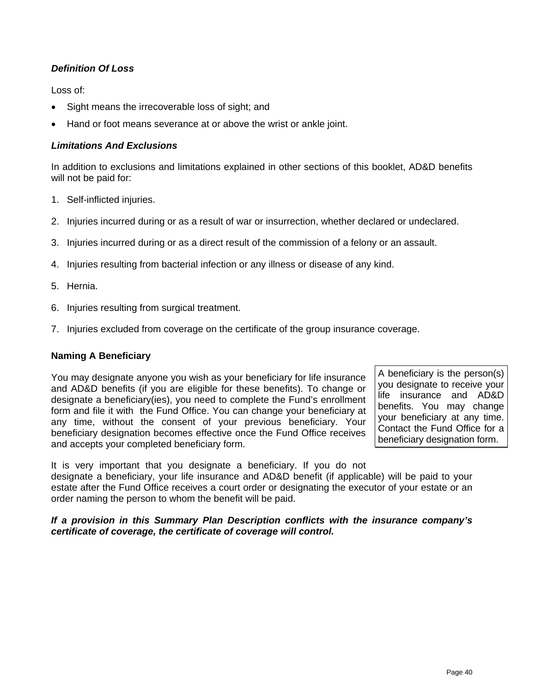# *Definition Of Loss*

Loss of:

- Sight means the irrecoverable loss of sight; and
- Hand or foot means severance at or above the wrist or ankle joint.

# *Limitations And Exclusions*

In addition to exclusions and limitations explained in other sections of this booklet, AD&D benefits will not be paid for:

- 1. Self-inflicted injuries.
- 2. Injuries incurred during or as a result of war or insurrection, whether declared or undeclared.
- 3. Injuries incurred during or as a direct result of the commission of a felony or an assault.
- 4. Injuries resulting from bacterial infection or any illness or disease of any kind.
- 5. Hernia.
- 6. Injuries resulting from surgical treatment.
- 7. Injuries excluded from coverage on the certificate of the group insurance coverage.

#### **Naming A Beneficiary**

You may designate anyone you wish as your beneficiary for life insurance and AD&D benefits (if you are eligible for these benefits). To change or designate a beneficiary(ies), you need to complete the Fund's enrollment form and file it with the Fund Office. You can change your beneficiary at any time, without the consent of your previous beneficiary. Your beneficiary designation becomes effective once the Fund Office receives and accepts your completed beneficiary form.

A beneficiary is the person(s) you designate to receive your life insurance and AD&D benefits. You may change your beneficiary at any time. Contact the Fund Office for a beneficiary designation form.

It is very important that you designate a beneficiary. If you do not designate a beneficiary, your life insurance and AD&D benefit (if applicable) will be paid to your estate after the Fund Office receives a court order or designating the executor of your estate or an order naming the person to whom the benefit will be paid.

*If a provision in this Summary Plan Description conflicts with the insurance company's certificate of coverage, the certificate of coverage will control.*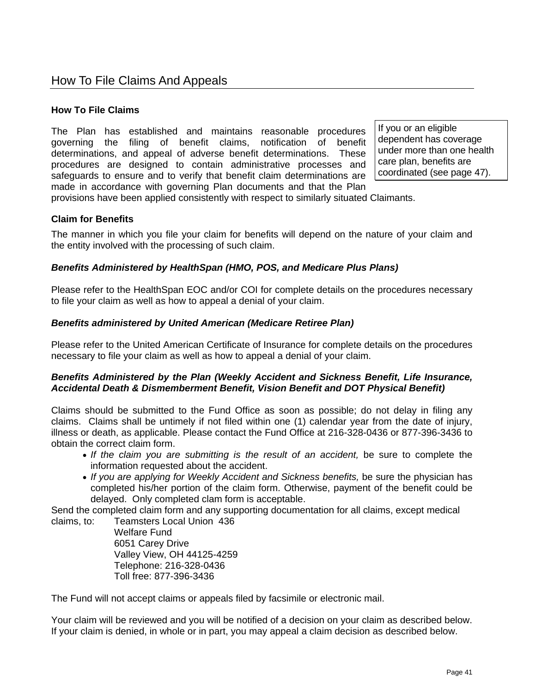# **How To File Claims**

The Plan has established and maintains reasonable procedures governing the filing of benefit claims, notification of benefit determinations, and appeal of adverse benefit determinations. These procedures are designed to contain administrative processes and safeguards to ensure and to verify that benefit claim determinations are made in accordance with governing Plan documents and that the Plan

If you or an eligible dependent has coverage under more than one health care plan, benefits are coordinated (see page 47).

provisions have been applied consistently with respect to similarly situated Claimants.

# **Claim for Benefits**

The manner in which you file your claim for benefits will depend on the nature of your claim and the entity involved with the processing of such claim.

# *Benefits Administered by HealthSpan (HMO, POS, and Medicare Plus Plans)*

Please refer to the HealthSpan EOC and/or COI for complete details on the procedures necessary to file your claim as well as how to appeal a denial of your claim.

# *Benefits administered by United American (Medicare Retiree Plan)*

Please refer to the United American Certificate of Insurance for complete details on the procedures necessary to file your claim as well as how to appeal a denial of your claim.

# *Benefits Administered by the Plan (Weekly Accident and Sickness Benefit, Life Insurance, Accidental Death & Dismemberment Benefit, Vision Benefit and DOT Physical Benefit)*

Claims should be submitted to the Fund Office as soon as possible; do not delay in filing any claims. Claims shall be untimely if not filed within one (1) calendar year from the date of injury, illness or death, as applicable. Please contact the Fund Office at 216-328-0436 or 877-396-3436 to obtain the correct claim form.

- *If the claim you are submitting is the result of an accident,* be sure to complete the information requested about the accident.
- *If you are applying for Weekly Accident and Sickness benefits,* be sure the physician has completed his/her portion of the claim form. Otherwise, payment of the benefit could be delayed. Only completed clam form is acceptable.

Send the completed claim form and any supporting documentation for all claims, except medical claims, to: Teamsters Local Union 436

Welfare Fund 6051 Carey Drive Valley View, OH 44125-4259 Telephone: 216-328-0436 Toll free: 877-396-3436

The Fund will not accept claims or appeals filed by facsimile or electronic mail.

Your claim will be reviewed and you will be notified of a decision on your claim as described below. If your claim is denied, in whole or in part, you may appeal a claim decision as described below.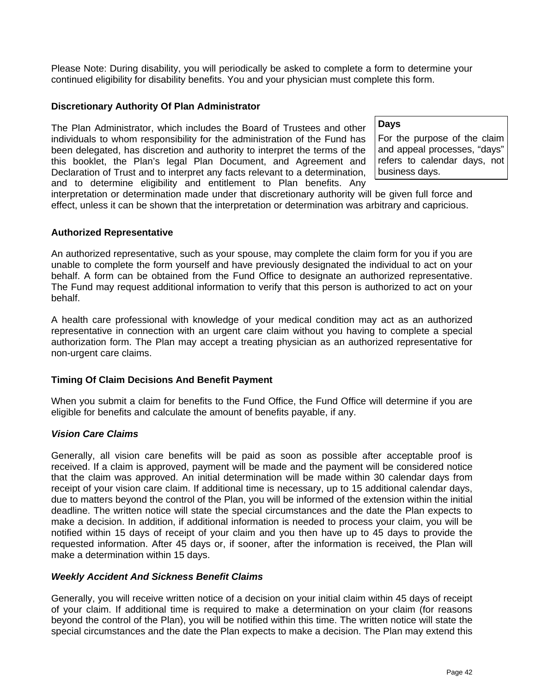Please Note: During disability, you will periodically be asked to complete a form to determine your continued eligibility for disability benefits. You and your physician must complete this form.

# **Discretionary Authority Of Plan Administrator**

The Plan Administrator, which includes the Board of Trustees and other individuals to whom responsibility for the administration of the Fund has been delegated, has discretion and authority to interpret the terms of the this booklet, the Plan's legal Plan Document, and Agreement and Declaration of Trust and to interpret any facts relevant to a determination, and to determine eligibility and entitlement to Plan benefits. Any **Days**

For the purpose of the claim and appeal processes, "days" refers to calendar days, not business days.

interpretation or determination made under that discretionary authority will be given full force and effect, unless it can be shown that the interpretation or determination was arbitrary and capricious.

#### **Authorized Representative**

An authorized representative, such as your spouse, may complete the claim form for you if you are unable to complete the form yourself and have previously designated the individual to act on your behalf. A form can be obtained from the Fund Office to designate an authorized representative. The Fund may request additional information to verify that this person is authorized to act on your behalf.

A health care professional with knowledge of your medical condition may act as an authorized representative in connection with an urgent care claim without you having to complete a special authorization form. The Plan may accept a treating physician as an authorized representative for non-urgent care claims.

#### **Timing Of Claim Decisions And Benefit Payment**

When you submit a claim for benefits to the Fund Office, the Fund Office will determine if you are eligible for benefits and calculate the amount of benefits payable, if any.

#### *Vision Care Claims*

Generally, all vision care benefits will be paid as soon as possible after acceptable proof is received. If a claim is approved, payment will be made and the payment will be considered notice that the claim was approved. An initial determination will be made within 30 calendar days from receipt of your vision care claim. If additional time is necessary, up to 15 additional calendar days, due to matters beyond the control of the Plan, you will be informed of the extension within the initial deadline. The written notice will state the special circumstances and the date the Plan expects to make a decision. In addition, if additional information is needed to process your claim, you will be notified within 15 days of receipt of your claim and you then have up to 45 days to provide the requested information. After 45 days or, if sooner, after the information is received, the Plan will make a determination within 15 days.

#### *Weekly Accident And Sickness Benefit Claims*

Generally, you will receive written notice of a decision on your initial claim within 45 days of receipt of your claim. If additional time is required to make a determination on your claim (for reasons beyond the control of the Plan), you will be notified within this time. The written notice will state the special circumstances and the date the Plan expects to make a decision. The Plan may extend this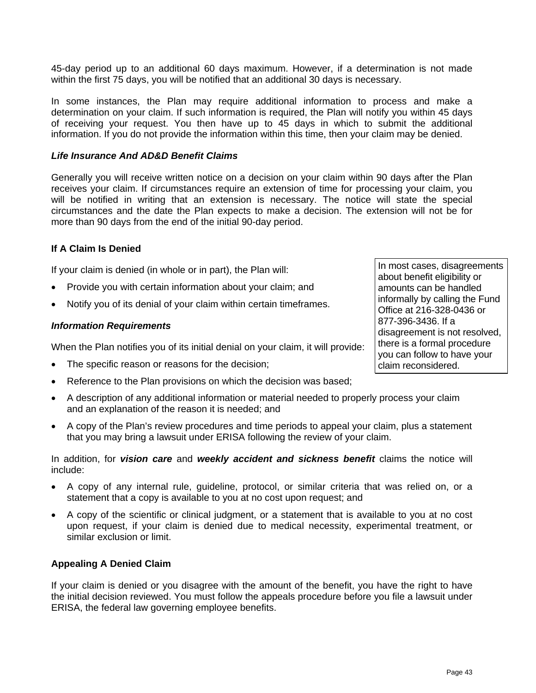45-day period up to an additional 60 days maximum. However, if a determination is not made within the first 75 days, you will be notified that an additional 30 days is necessary.

In some instances, the Plan may require additional information to process and make a determination on your claim. If such information is required, the Plan will notify you within 45 days of receiving your request. You then have up to 45 days in which to submit the additional information. If you do not provide the information within this time, then your claim may be denied.

# *Life Insurance And AD&D Benefit Claims*

Generally you will receive written notice on a decision on your claim within 90 days after the Plan receives your claim. If circumstances require an extension of time for processing your claim, you will be notified in writing that an extension is necessary. The notice will state the special circumstances and the date the Plan expects to make a decision. The extension will not be for more than 90 days from the end of the initial 90-day period.

# **If A Claim Is Denied**

If your claim is denied (in whole or in part), the Plan will:

- Provide you with certain information about your claim; and
- Notify you of its denial of your claim within certain timeframes.

#### *Information Requirements*

When the Plan notifies you of its initial denial on your claim, it will provide:

- The specific reason or reasons for the decision;
- Reference to the Plan provisions on which the decision was based;
- A description of any additional information or material needed to properly process your claim and an explanation of the reason it is needed; and
- A copy of the Plan's review procedures and time periods to appeal your claim, plus a statement that you may bring a lawsuit under ERISA following the review of your claim.

In addition, for *vision care* and *weekly accident and sickness benefit* claims the notice will include:

- A copy of any internal rule, guideline, protocol, or similar criteria that was relied on, or a statement that a copy is available to you at no cost upon request; and
- A copy of the scientific or clinical judgment, or a statement that is available to you at no cost upon request, if your claim is denied due to medical necessity, experimental treatment, or similar exclusion or limit.

#### **Appealing A Denied Claim**

If your claim is denied or you disagree with the amount of the benefit, you have the right to have the initial decision reviewed. You must follow the appeals procedure before you file a lawsuit under ERISA, the federal law governing employee benefits.

In most cases, disagreements about benefit eligibility or amounts can be handled informally by calling the Fund Office at 216-328-0436 or 877-396-3436. If a disagreement is not resolved, there is a formal procedure you can follow to have your claim reconsidered.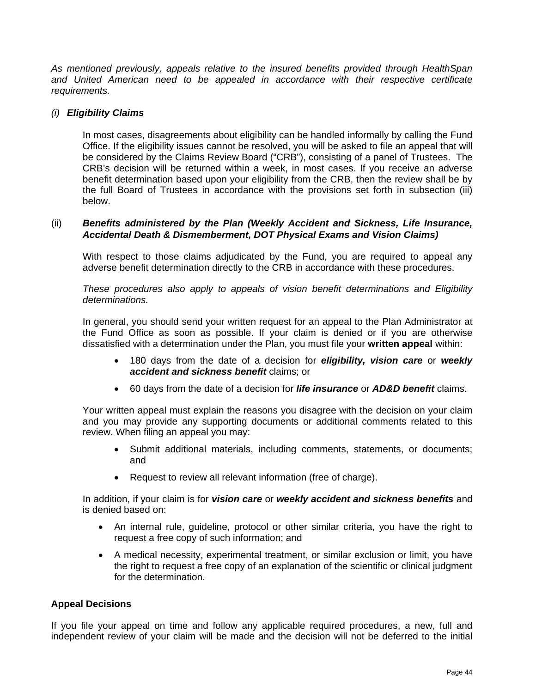*As mentioned previously, appeals relative to the insured benefits provided through HealthSpan and United American need to be appealed in accordance with their respective certificate requirements.*

# *(i) Eligibility Claims*

In most cases, disagreements about eligibility can be handled informally by calling the Fund Office. If the eligibility issues cannot be resolved, you will be asked to file an appeal that will be considered by the Claims Review Board ("CRB"), consisting of a panel of Trustees. The CRB's decision will be returned within a week, in most cases. If you receive an adverse benefit determination based upon your eligibility from the CRB, then the review shall be by the full Board of Trustees in accordance with the provisions set forth in subsection (iii) below.

#### (ii) *Benefits administered by the Plan (Weekly Accident and Sickness, Life Insurance, Accidental Death & Dismemberment, DOT Physical Exams and Vision Claims)*

With respect to those claims adjudicated by the Fund, you are required to appeal any adverse benefit determination directly to the CRB in accordance with these procedures.

*These procedures also apply to appeals of vision benefit determinations and Eligibility determinations.* 

In general, you should send your written request for an appeal to the Plan Administrator at the Fund Office as soon as possible. If your claim is denied or if you are otherwise dissatisfied with a determination under the Plan, you must file your **written appeal** within:

- 180 days from the date of a decision for *eligibility, vision care* or *weekly accident and sickness benefit* claims; or
- 60 days from the date of a decision for *life insurance* or *AD&D benefit* claims.

Your written appeal must explain the reasons you disagree with the decision on your claim and you may provide any supporting documents or additional comments related to this review. When filing an appeal you may:

- Submit additional materials, including comments, statements, or documents; and
- Request to review all relevant information (free of charge).

In addition, if your claim is for *vision care* or *weekly accident and sickness benefits* and is denied based on:

- An internal rule, guideline, protocol or other similar criteria, you have the right to request a free copy of such information; and
- A medical necessity, experimental treatment, or similar exclusion or limit, you have the right to request a free copy of an explanation of the scientific or clinical judgment for the determination.

#### **Appeal Decisions**

If you file your appeal on time and follow any applicable required procedures, a new, full and independent review of your claim will be made and the decision will not be deferred to the initial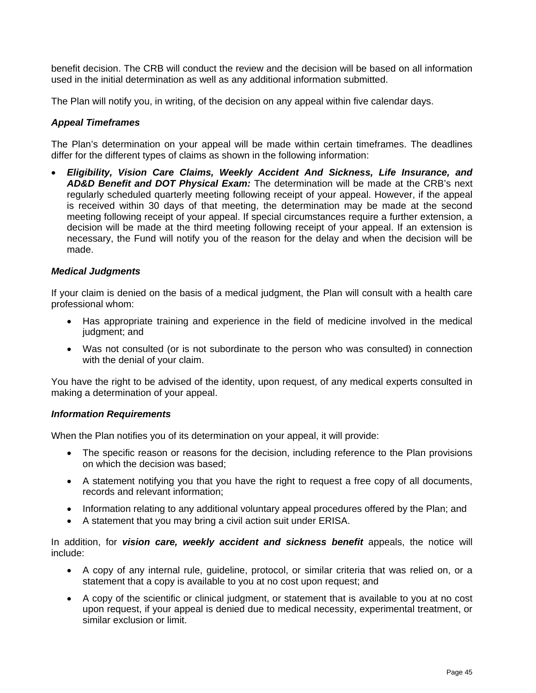benefit decision. The CRB will conduct the review and the decision will be based on all information used in the initial determination as well as any additional information submitted.

The Plan will notify you, in writing, of the decision on any appeal within five calendar days.

# *Appeal Timeframes*

The Plan's determination on your appeal will be made within certain timeframes. The deadlines differ for the different types of claims as shown in the following information:

• *Eligibility, Vision Care Claims, Weekly Accident And Sickness, Life Insurance, and AD&D Benefit and DOT Physical Exam:* The determination will be made at the CRB's next regularly scheduled quarterly meeting following receipt of your appeal. However, if the appeal is received within 30 days of that meeting, the determination may be made at the second meeting following receipt of your appeal. If special circumstances require a further extension, a decision will be made at the third meeting following receipt of your appeal. If an extension is necessary, the Fund will notify you of the reason for the delay and when the decision will be made.

# *Medical Judgments*

If your claim is denied on the basis of a medical judgment, the Plan will consult with a health care professional whom:

- Has appropriate training and experience in the field of medicine involved in the medical judgment; and
- Was not consulted (or is not subordinate to the person who was consulted) in connection with the denial of your claim.

You have the right to be advised of the identity, upon request, of any medical experts consulted in making a determination of your appeal.

#### *Information Requirements*

When the Plan notifies you of its determination on your appeal, it will provide:

- The specific reason or reasons for the decision, including reference to the Plan provisions on which the decision was based;
- A statement notifying you that you have the right to request a free copy of all documents, records and relevant information;
- Information relating to any additional voluntary appeal procedures offered by the Plan; and
- A statement that you may bring a civil action suit under ERISA.

In addition, for *vision care, weekly accident and sickness benefit* appeals, the notice will include:

- A copy of any internal rule, guideline, protocol, or similar criteria that was relied on, or a statement that a copy is available to you at no cost upon request; and
- A copy of the scientific or clinical judgment, or statement that is available to you at no cost upon request, if your appeal is denied due to medical necessity, experimental treatment, or similar exclusion or limit.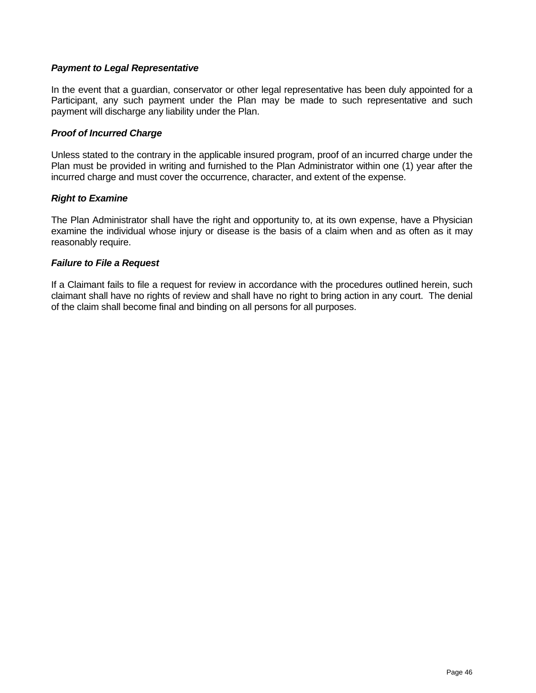# *Payment to Legal Representative*

In the event that a guardian, conservator or other legal representative has been duly appointed for a Participant, any such payment under the Plan may be made to such representative and such payment will discharge any liability under the Plan.

# *Proof of Incurred Charge*

Unless stated to the contrary in the applicable insured program, proof of an incurred charge under the Plan must be provided in writing and furnished to the Plan Administrator within one (1) year after the incurred charge and must cover the occurrence, character, and extent of the expense.

# *Right to Examine*

The Plan Administrator shall have the right and opportunity to, at its own expense, have a Physician examine the individual whose injury or disease is the basis of a claim when and as often as it may reasonably require.

#### *Failure to File a Request*

If a Claimant fails to file a request for review in accordance with the procedures outlined herein, such claimant shall have no rights of review and shall have no right to bring action in any court. The denial of the claim shall become final and binding on all persons for all purposes.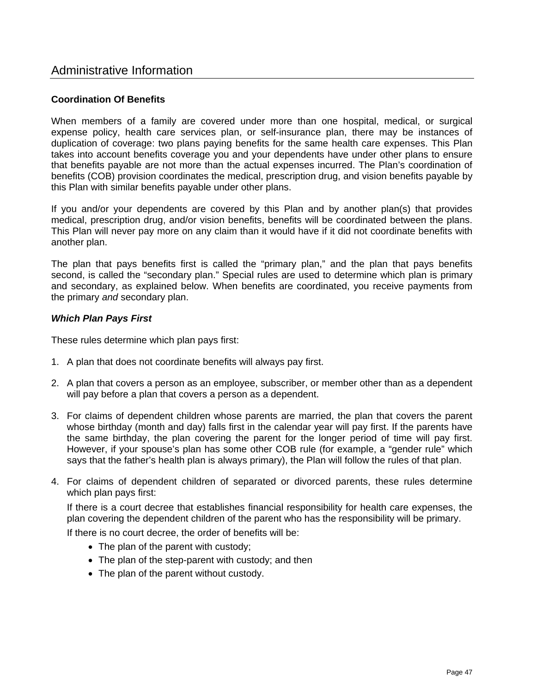# Administrative Information

# **Coordination Of Benefits**

When members of a family are covered under more than one hospital, medical, or surgical expense policy, health care services plan, or self-insurance plan, there may be instances of duplication of coverage: two plans paying benefits for the same health care expenses. This Plan takes into account benefits coverage you and your dependents have under other plans to ensure that benefits payable are not more than the actual expenses incurred. The Plan's coordination of benefits (COB) provision coordinates the medical, prescription drug, and vision benefits payable by this Plan with similar benefits payable under other plans.

If you and/or your dependents are covered by this Plan and by another plan(s) that provides medical, prescription drug, and/or vision benefits, benefits will be coordinated between the plans. This Plan will never pay more on any claim than it would have if it did not coordinate benefits with another plan.

The plan that pays benefits first is called the "primary plan," and the plan that pays benefits second, is called the "secondary plan." Special rules are used to determine which plan is primary and secondary, as explained below. When benefits are coordinated, you receive payments from the primary *and* secondary plan.

#### *Which Plan Pays First*

These rules determine which plan pays first:

- 1. A plan that does not coordinate benefits will always pay first.
- 2. A plan that covers a person as an employee, subscriber, or member other than as a dependent will pay before a plan that covers a person as a dependent.
- 3. For claims of dependent children whose parents are married, the plan that covers the parent whose birthday (month and day) falls first in the calendar year will pay first. If the parents have the same birthday, the plan covering the parent for the longer period of time will pay first. However, if your spouse's plan has some other COB rule (for example, a "gender rule" which says that the father's health plan is always primary), the Plan will follow the rules of that plan.
- 4. For claims of dependent children of separated or divorced parents, these rules determine which plan pays first:

If there is a court decree that establishes financial responsibility for health care expenses, the plan covering the dependent children of the parent who has the responsibility will be primary.

If there is no court decree, the order of benefits will be:

- The plan of the parent with custody;
- The plan of the step-parent with custody; and then
- The plan of the parent without custody.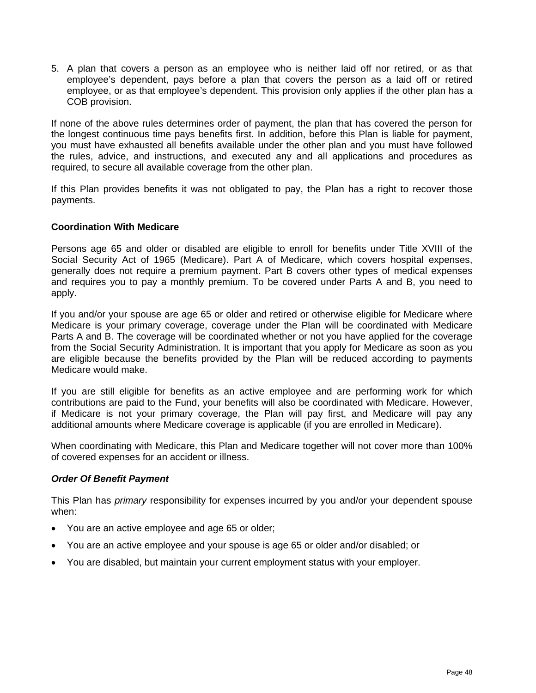5. A plan that covers a person as an employee who is neither laid off nor retired, or as that employee's dependent, pays before a plan that covers the person as a laid off or retired employee, or as that employee's dependent. This provision only applies if the other plan has a COB provision.

If none of the above rules determines order of payment, the plan that has covered the person for the longest continuous time pays benefits first. In addition, before this Plan is liable for payment, you must have exhausted all benefits available under the other plan and you must have followed the rules, advice, and instructions, and executed any and all applications and procedures as required, to secure all available coverage from the other plan.

If this Plan provides benefits it was not obligated to pay, the Plan has a right to recover those payments.

# **Coordination With Medicare**

Persons age 65 and older or disabled are eligible to enroll for benefits under Title XVIII of the Social Security Act of 1965 (Medicare). Part A of Medicare, which covers hospital expenses, generally does not require a premium payment. Part B covers other types of medical expenses and requires you to pay a monthly premium. To be covered under Parts A and B, you need to apply.

If you and/or your spouse are age 65 or older and retired or otherwise eligible for Medicare where Medicare is your primary coverage, coverage under the Plan will be coordinated with Medicare Parts A and B. The coverage will be coordinated whether or not you have applied for the coverage from the Social Security Administration. It is important that you apply for Medicare as soon as you are eligible because the benefits provided by the Plan will be reduced according to payments Medicare would make.

If you are still eligible for benefits as an active employee and are performing work for which contributions are paid to the Fund, your benefits will also be coordinated with Medicare. However, if Medicare is not your primary coverage, the Plan will pay first, and Medicare will pay any additional amounts where Medicare coverage is applicable (if you are enrolled in Medicare).

When coordinating with Medicare, this Plan and Medicare together will not cover more than 100% of covered expenses for an accident or illness.

# *Order Of Benefit Payment*

This Plan has *primary* responsibility for expenses incurred by you and/or your dependent spouse when:

- You are an active employee and age 65 or older;
- You are an active employee and your spouse is age 65 or older and/or disabled; or
- You are disabled, but maintain your current employment status with your employer.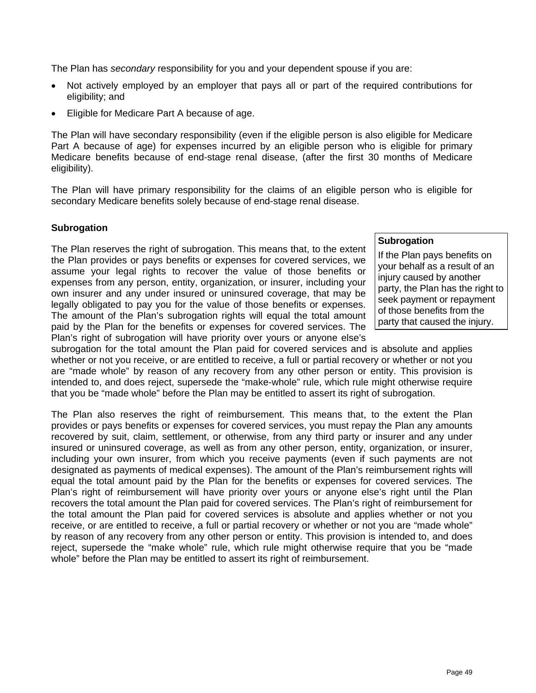The Plan has *secondary* responsibility for you and your dependent spouse if you are:

- Not actively employed by an employer that pays all or part of the required contributions for eligibility; and
- Eligible for Medicare Part A because of age.

The Plan will have secondary responsibility (even if the eligible person is also eligible for Medicare Part A because of age) for expenses incurred by an eligible person who is eligible for primary Medicare benefits because of end-stage renal disease, (after the first 30 months of Medicare eligibility).

The Plan will have primary responsibility for the claims of an eligible person who is eligible for secondary Medicare benefits solely because of end-stage renal disease.

# **Subrogation**

The Plan reserves the right of subrogation. This means that, to the extent the Plan provides or pays benefits or expenses for covered services, we assume your legal rights to recover the value of those benefits or expenses from any person, entity, organization, or insurer, including your own insurer and any under insured or uninsured coverage, that may be legally obligated to pay you for the value of those benefits or expenses. The amount of the Plan's subrogation rights will equal the total amount paid by the Plan for the benefits or expenses for covered services. The Plan's right of subrogation will have priority over yours or anyone else's

# **Subrogation**

If the Plan pays benefits on your behalf as a result of an injury caused by another party, the Plan has the right to seek payment or repayment of those benefits from the party that caused the injury.

subrogation for the total amount the Plan paid for covered services and is absolute and applies whether or not you receive, or are entitled to receive, a full or partial recovery or whether or not you are "made whole" by reason of any recovery from any other person or entity. This provision is intended to, and does reject, supersede the "make-whole" rule, which rule might otherwise require that you be "made whole" before the Plan may be entitled to assert its right of subrogation.

The Plan also reserves the right of reimbursement. This means that, to the extent the Plan provides or pays benefits or expenses for covered services, you must repay the Plan any amounts recovered by suit, claim, settlement, or otherwise, from any third party or insurer and any under insured or uninsured coverage, as well as from any other person, entity, organization, or insurer, including your own insurer, from which you receive payments (even if such payments are not designated as payments of medical expenses). The amount of the Plan's reimbursement rights will equal the total amount paid by the Plan for the benefits or expenses for covered services. The Plan's right of reimbursement will have priority over yours or anyone else's right until the Plan recovers the total amount the Plan paid for covered services. The Plan's right of reimbursement for the total amount the Plan paid for covered services is absolute and applies whether or not you receive, or are entitled to receive, a full or partial recovery or whether or not you are "made whole" by reason of any recovery from any other person or entity. This provision is intended to, and does reject, supersede the "make whole" rule, which rule might otherwise require that you be "made whole" before the Plan may be entitled to assert its right of reimbursement.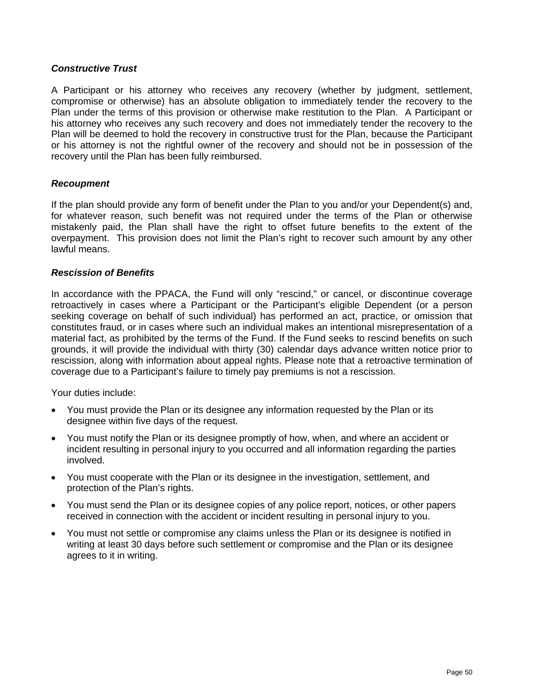# *Constructive Trust*

A Participant or his attorney who receives any recovery (whether by judgment, settlement, compromise or otherwise) has an absolute obligation to immediately tender the recovery to the Plan under the terms of this provision or otherwise make restitution to the Plan. A Participant or his attorney who receives any such recovery and does not immediately tender the recovery to the Plan will be deemed to hold the recovery in constructive trust for the Plan, because the Participant or his attorney is not the rightful owner of the recovery and should not be in possession of the recovery until the Plan has been fully reimbursed.

# *Recoupment*

If the plan should provide any form of benefit under the Plan to you and/or your Dependent(s) and, for whatever reason, such benefit was not required under the terms of the Plan or otherwise mistakenly paid, the Plan shall have the right to offset future benefits to the extent of the overpayment. This provision does not limit the Plan's right to recover such amount by any other lawful means.

# *Rescission of Benefits*

In accordance with the PPACA, the Fund will only "rescind," or cancel, or discontinue coverage retroactively in cases where a Participant or the Participant's eligible Dependent (or a person seeking coverage on behalf of such individual) has performed an act, practice, or omission that constitutes fraud, or in cases where such an individual makes an intentional misrepresentation of a material fact, as prohibited by the terms of the Fund. If the Fund seeks to rescind benefits on such grounds, it will provide the individual with thirty (30) calendar days advance written notice prior to rescission, along with information about appeal rights. Please note that a retroactive termination of coverage due to a Participant's failure to timely pay premiums is not a rescission.

Your duties include:

- You must provide the Plan or its designee any information requested by the Plan or its designee within five days of the request.
- You must notify the Plan or its designee promptly of how, when, and where an accident or incident resulting in personal injury to you occurred and all information regarding the parties involved.
- You must cooperate with the Plan or its designee in the investigation, settlement, and protection of the Plan's rights.
- You must send the Plan or its designee copies of any police report, notices, or other papers received in connection with the accident or incident resulting in personal injury to you.
- You must not settle or compromise any claims unless the Plan or its designee is notified in writing at least 30 days before such settlement or compromise and the Plan or its designee agrees to it in writing.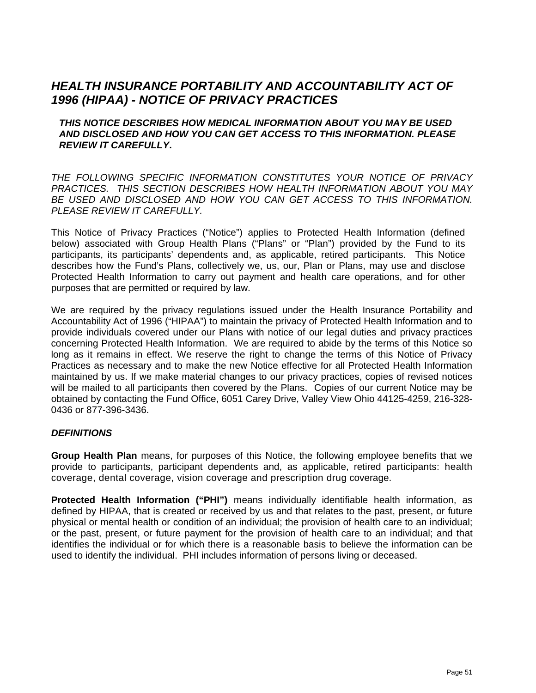# *HEALTH INSURANCE PORTABILITY AND ACCOUNTABILITY ACT OF 1996 (HIPAA) - NOTICE OF PRIVACY PRACTICES*

# *THIS NOTICE DESCRIBES HOW MEDICAL INFORMATION ABOUT YOU MAY BE USED AND DISCLOSED AND HOW YOU CAN GET ACCESS TO THIS INFORMATION. PLEASE REVIEW IT CAREFULLY***.**

*THE FOLLOWING SPECIFIC INFORMATION CONSTITUTES YOUR NOTICE OF PRIVACY PRACTICES. THIS SECTION DESCRIBES HOW HEALTH INFORMATION ABOUT YOU MAY BE USED AND DISCLOSED AND HOW YOU CAN GET ACCESS TO THIS INFORMATION. PLEASE REVIEW IT CAREFULLY.*

This Notice of Privacy Practices ("Notice") applies to Protected Health Information (defined below) associated with Group Health Plans ("Plans" or "Plan") provided by the Fund to its participants, its participants' dependents and, as applicable, retired participants. This Notice describes how the Fund's Plans, collectively we, us, our, Plan or Plans, may use and disclose Protected Health Information to carry out payment and health care operations, and for other purposes that are permitted or required by law.

We are required by the privacy regulations issued under the Health Insurance Portability and Accountability Act of 1996 ("HIPAA") to maintain the privacy of Protected Health Information and to provide individuals covered under our Plans with notice of our legal duties and privacy practices concerning Protected Health Information. We are required to abide by the terms of this Notice so long as it remains in effect. We reserve the right to change the terms of this Notice of Privacy Practices as necessary and to make the new Notice effective for all Protected Health Information maintained by us. If we make material changes to our privacy practices, copies of revised notices will be mailed to all participants then covered by the Plans. Copies of our current Notice may be obtained by contacting the Fund Office, 6051 Carey Drive, Valley View Ohio 44125-4259, 216-328- 0436 or 877-396-3436.

#### *DEFINITIONS*

**Group Health Plan** means, for purposes of this Notice, the following employee benefits that we provide to participants, participant dependents and, as applicable, retired participants: health coverage, dental coverage, vision coverage and prescription drug coverage.

**Protected Health Information ("PHI")** means individually identifiable health information, as defined by HIPAA, that is created or received by us and that relates to the past, present, or future physical or mental health or condition of an individual; the provision of health care to an individual; or the past, present, or future payment for the provision of health care to an individual; and that identifies the individual or for which there is a reasonable basis to believe the information can be used to identify the individual. PHI includes information of persons living or deceased.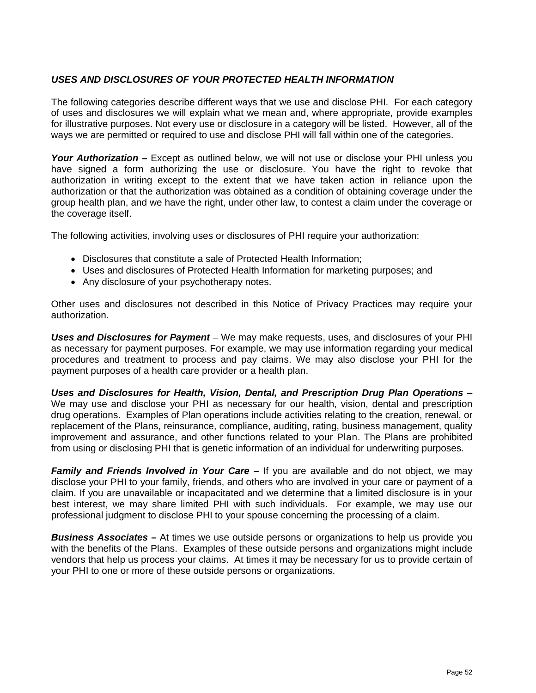# *USES AND DISCLOSURES OF YOUR PROTECTED HEALTH INFORMATION*

The following categories describe different ways that we use and disclose PHI. For each category of uses and disclosures we will explain what we mean and, where appropriate, provide examples for illustrative purposes. Not every use or disclosure in a category will be listed. However, all of the ways we are permitted or required to use and disclose PHI will fall within one of the categories.

Your Authorization – Except as outlined below, we will not use or disclose your PHI unless you have signed a form authorizing the use or disclosure. You have the right to revoke that authorization in writing except to the extent that we have taken action in reliance upon the authorization or that the authorization was obtained as a condition of obtaining coverage under the group health plan, and we have the right, under other law, to contest a claim under the coverage or the coverage itself.

The following activities, involving uses or disclosures of PHI require your authorization:

- Disclosures that constitute a sale of Protected Health Information;
- Uses and disclosures of Protected Health Information for marketing purposes; and
- Any disclosure of your psychotherapy notes.

Other uses and disclosures not described in this Notice of Privacy Practices may require your authorization.

*Uses and Disclosures for Payment* – We may make requests, uses, and disclosures of your PHI as necessary for payment purposes. For example, we may use information regarding your medical procedures and treatment to process and pay claims. We may also disclose your PHI for the payment purposes of a health care provider or a health plan.

*Uses and Disclosures for Health, Vision, Dental, and Prescription Drug Plan Operations* – We may use and disclose your PHI as necessary for our health, vision, dental and prescription drug operations. Examples of Plan operations include activities relating to the creation, renewal, or replacement of the Plans, reinsurance, compliance, auditing, rating, business management, quality improvement and assurance, and other functions related to your Plan. The Plans are prohibited from using or disclosing PHI that is genetic information of an individual for underwriting purposes.

*Family and Friends Involved in Your Care –* If you are available and do not object, we may disclose your PHI to your family, friends, and others who are involved in your care or payment of a claim. If you are unavailable or incapacitated and we determine that a limited disclosure is in your best interest, we may share limited PHI with such individuals. For example, we may use our professional judgment to disclose PHI to your spouse concerning the processing of a claim.

*Business Associates* **–** At times we use outside persons or organizations to help us provide you with the benefits of the Plans. Examples of these outside persons and organizations might include vendors that help us process your claims. At times it may be necessary for us to provide certain of your PHI to one or more of these outside persons or organizations.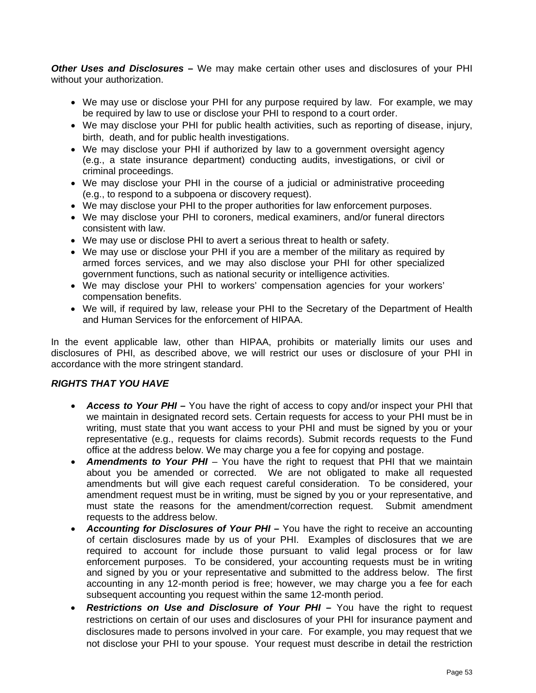*Other Uses and Disclosures* **–** We may make certain other uses and disclosures of your PHI without your authorization.

- We may use or disclose your PHI for any purpose required by law. For example, we may be required by law to use or disclose your PHI to respond to a court order.
- We may disclose your PHI for public health activities, such as reporting of disease, injury, birth, death, and for public health investigations.
- We may disclose your PHI if authorized by law to a government oversight agency (e.g., a state insurance department) conducting audits, investigations, or civil or criminal proceedings.
- We may disclose your PHI in the course of a judicial or administrative proceeding (e.g., to respond to a subpoena or discovery request).
- We may disclose your PHI to the proper authorities for law enforcement purposes.
- We may disclose your PHI to coroners, medical examiners, and/or funeral directors consistent with law.
- We may use or disclose PHI to avert a serious threat to health or safety.
- We may use or disclose your PHI if you are a member of the military as required by armed forces services, and we may also disclose your PHI for other specialized government functions, such as national security or intelligence activities.
- We may disclose your PHI to workers' compensation agencies for your workers' compensation benefits.
- We will, if required by law, release your PHI to the Secretary of the Department of Health and Human Services for the enforcement of HIPAA.

In the event applicable law, other than HIPAA, prohibits or materially limits our uses and disclosures of PHI, as described above, we will restrict our uses or disclosure of your PHI in accordance with the more stringent standard.

#### *RIGHTS THAT YOU HAVE*

- *Access to Your PHI –* You have the right of access to copy and/or inspect your PHI that we maintain in designated record sets. Certain requests for access to your PHI must be in writing, must state that you want access to your PHI and must be signed by you or your representative (e.g., requests for claims records). Submit records requests to the Fund office at the address below. We may charge you a fee for copying and postage.
- **Amendments to Your PHI** You have the right to request that PHI that we maintain about you be amended or corrected. We are not obligated to make all requested amendments but will give each request careful consideration. To be considered, your amendment request must be in writing, must be signed by you or your representative, and must state the reasons for the amendment/correction request. Submit amendment requests to the address below.
- *Accounting for Disclosures of Your PHI –* You have the right to receive an accounting of certain disclosures made by us of your PHI. Examples of disclosures that we are required to account for include those pursuant to valid legal process or for law enforcement purposes. To be considered, your accounting requests must be in writing and signed by you or your representative and submitted to the address below. The first accounting in any 12-month period is free; however, we may charge you a fee for each subsequent accounting you request within the same 12-month period.
- *Restrictions on Use and Disclosure of Your PHI* **–** You have the right to request restrictions on certain of our uses and disclosures of your PHI for insurance payment and disclosures made to persons involved in your care. For example, you may request that we not disclose your PHI to your spouse. Your request must describe in detail the restriction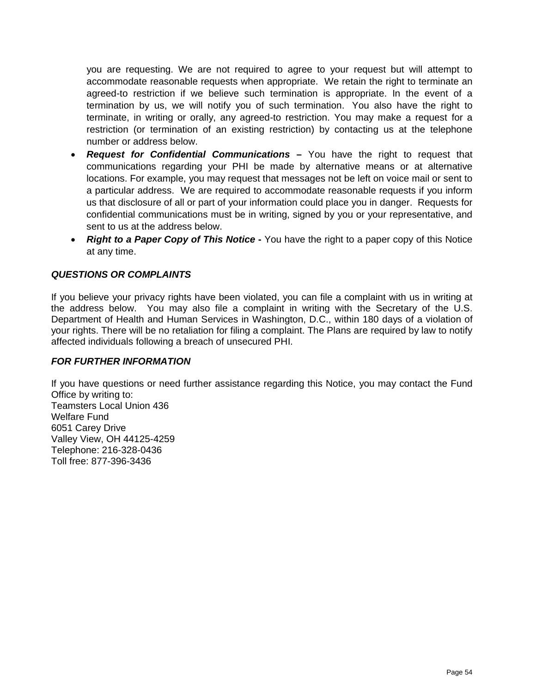you are requesting. We are not required to agree to your request but will attempt to accommodate reasonable requests when appropriate. We retain the right to terminate an agreed-to restriction if we believe such termination is appropriate. In the event of a termination by us, we will notify you of such termination. You also have the right to terminate, in writing or orally, any agreed-to restriction. You may make a request for a restriction (or termination of an existing restriction) by contacting us at the telephone number or address below.

- *Request for Confidential Communications* **–** You have the right to request that communications regarding your PHI be made by alternative means or at alternative locations. For example, you may request that messages not be left on voice mail or sent to a particular address. We are required to accommodate reasonable requests if you inform us that disclosure of all or part of your information could place you in danger. Requests for confidential communications must be in writing, signed by you or your representative, and sent to us at the address below.
- *Right to a Paper Copy of This Notice* **-** You have the right to a paper copy of this Notice at any time.

# *QUESTIONS OR COMPLAINTS*

If you believe your privacy rights have been violated, you can file a complaint with us in writing at the address below. You may also file a complaint in writing with the Secretary of the U.S. Department of Health and Human Services in Washington, D.C., within 180 days of a violation of your rights. There will be no retaliation for filing a complaint. The Plans are required by law to notify affected individuals following a breach of unsecured PHI.

#### *FOR FURTHER INFORMATION*

If you have questions or need further assistance regarding this Notice, you may contact the Fund Office by writing to: Teamsters Local Union 436 Welfare Fund 6051 Carey Drive Valley View, OH 44125-4259 Telephone: 216-328-0436 Toll free: 877-396-3436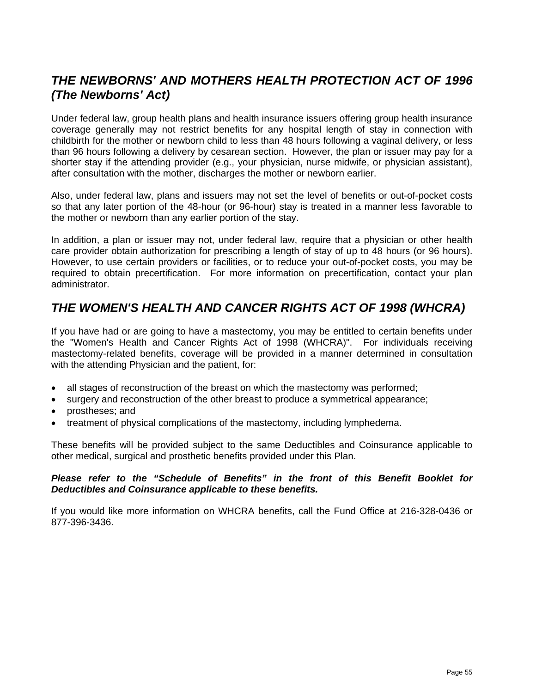# *THE NEWBORNS' AND MOTHERS HEALTH PROTECTION ACT OF 1996 (The Newborns' Act)*

Under federal law, group health plans and health insurance issuers offering group health insurance coverage generally may not restrict benefits for any hospital length of stay in connection with childbirth for the mother or newborn child to less than 48 hours following a vaginal delivery, or less than 96 hours following a delivery by cesarean section. However, the plan or issuer may pay for a shorter stay if the attending provider (e.g., your physician, nurse midwife, or physician assistant), after consultation with the mother, discharges the mother or newborn earlier.

Also, under federal law, plans and issuers may not set the level of benefits or out-of-pocket costs so that any later portion of the 48-hour (or 96-hour) stay is treated in a manner less favorable to the mother or newborn than any earlier portion of the stay.

In addition, a plan or issuer may not, under federal law, require that a physician or other health care provider obtain authorization for prescribing a length of stay of up to 48 hours (or 96 hours). However, to use certain providers or facilities, or to reduce your out-of-pocket costs, you may be required to obtain precertification. For more information on precertification, contact your plan administrator.

# *THE WOMEN'S HEALTH AND CANCER RIGHTS ACT OF 1998 (WHCRA)*

If you have had or are going to have a mastectomy, you may be entitled to certain benefits under the "Women's Health and Cancer Rights Act of 1998 (WHCRA)". For individuals receiving mastectomy-related benefits, coverage will be provided in a manner determined in consultation with the attending Physician and the patient, for:

- all stages of reconstruction of the breast on which the mastectomy was performed;
- surgery and reconstruction of the other breast to produce a symmetrical appearance;
- prostheses; and
- treatment of physical complications of the mastectomy, including lymphedema.

These benefits will be provided subject to the same Deductibles and Coinsurance applicable to other medical, surgical and prosthetic benefits provided under this Plan.

# *Please refer to the "Schedule of Benefits" in the front of this Benefit Booklet for Deductibles and Coinsurance applicable to these benefits.*

If you would like more information on WHCRA benefits, call the Fund Office at 216-328-0436 or 877-396-3436.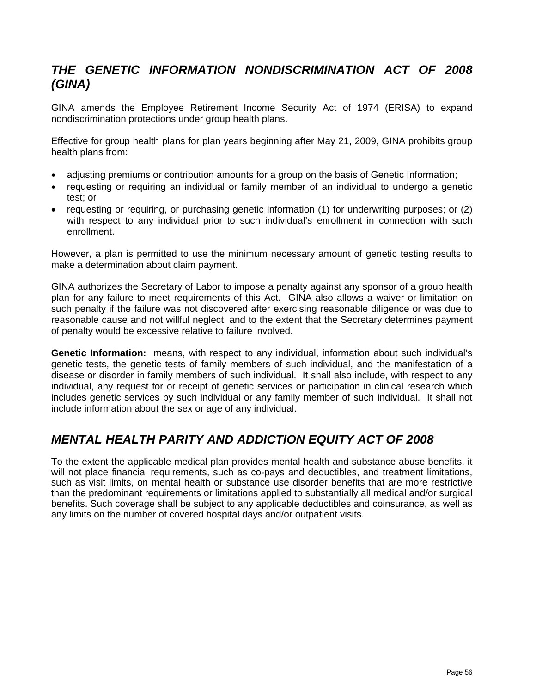# *THE GENETIC INFORMATION NONDISCRIMINATION ACT OF 2008 (GINA)*

GINA amends the Employee Retirement Income Security Act of 1974 (ERISA) to expand nondiscrimination protections under group health plans.

Effective for group health plans for plan years beginning after May 21, 2009, GINA prohibits group health plans from:

- adjusting premiums or contribution amounts for a group on the basis of Genetic Information;
- requesting or requiring an individual or family member of an individual to undergo a genetic test; or
- requesting or requiring, or purchasing genetic information (1) for underwriting purposes; or (2) with respect to any individual prior to such individual's enrollment in connection with such enrollment.

However, a plan is permitted to use the minimum necessary amount of genetic testing results to make a determination about claim payment.

GINA authorizes the Secretary of Labor to impose a penalty against any sponsor of a group health plan for any failure to meet requirements of this Act. GINA also allows a waiver or limitation on such penalty if the failure was not discovered after exercising reasonable diligence or was due to reasonable cause and not willful neglect, and to the extent that the Secretary determines payment of penalty would be excessive relative to failure involved.

**Genetic Information:** means, with respect to any individual, information about such individual's genetic tests, the genetic tests of family members of such individual, and the manifestation of a disease or disorder in family members of such individual. It shall also include, with respect to any individual, any request for or receipt of genetic services or participation in clinical research which includes genetic services by such individual or any family member of such individual. It shall not include information about the sex or age of any individual.

# *MENTAL HEALTH PARITY AND ADDICTION EQUITY ACT OF 2008*

To the extent the applicable medical plan provides mental health and substance abuse benefits, it will not place financial requirements, such as co-pays and deductibles, and treatment limitations, such as visit limits, on mental health or substance use disorder benefits that are more restrictive than the predominant requirements or limitations applied to substantially all medical and/or surgical benefits. Such coverage shall be subject to any applicable deductibles and coinsurance, as well as any limits on the number of covered hospital days and/or outpatient visits.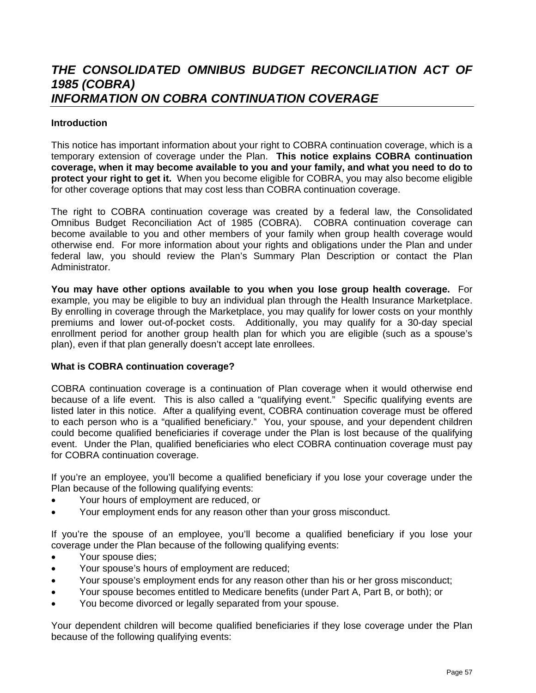# *THE CONSOLIDATED OMNIBUS BUDGET RECONCILIATION ACT OF 1985 (COBRA) INFORMATION ON COBRA CONTINUATION COVERAGE*

# **Introduction**

This notice has important information about your right to COBRA continuation coverage, which is a temporary extension of coverage under the Plan. **This notice explains COBRA continuation coverage, when it may become available to you and your family, and what you need to do to protect your right to get it.** When you become eligible for COBRA, you may also become eligible for other coverage options that may cost less than COBRA continuation coverage.

The right to COBRA continuation coverage was created by a federal law, the Consolidated Omnibus Budget Reconciliation Act of 1985 (COBRA). COBRA continuation coverage can become available to you and other members of your family when group health coverage would otherwise end. For more information about your rights and obligations under the Plan and under federal law, you should review the Plan's Summary Plan Description or contact the Plan Administrator.

**You may have other options available to you when you lose group health coverage.** For example, you may be eligible to buy an individual plan through the Health Insurance Marketplace. By enrolling in coverage through the Marketplace, you may qualify for lower costs on your monthly premiums and lower out-of-pocket costs. Additionally, you may qualify for a 30-day special enrollment period for another group health plan for which you are eligible (such as a spouse's plan), even if that plan generally doesn't accept late enrollees.

#### **What is COBRA continuation coverage?**

COBRA continuation coverage is a continuation of Plan coverage when it would otherwise end because of a life event. This is also called a "qualifying event." Specific qualifying events are listed later in this notice. After a qualifying event, COBRA continuation coverage must be offered to each person who is a "qualified beneficiary." You, your spouse, and your dependent children could become qualified beneficiaries if coverage under the Plan is lost because of the qualifying event. Under the Plan, qualified beneficiaries who elect COBRA continuation coverage must pay for COBRA continuation coverage.

If you're an employee, you'll become a qualified beneficiary if you lose your coverage under the Plan because of the following qualifying events:

- Your hours of employment are reduced, or
- Your employment ends for any reason other than your gross misconduct.

If you're the spouse of an employee, you'll become a qualified beneficiary if you lose your coverage under the Plan because of the following qualifying events:

- Your spouse dies;
- Your spouse's hours of employment are reduced;
- Your spouse's employment ends for any reason other than his or her gross misconduct;
- Your spouse becomes entitled to Medicare benefits (under Part A, Part B, or both); or
- You become divorced or legally separated from your spouse.

Your dependent children will become qualified beneficiaries if they lose coverage under the Plan because of the following qualifying events: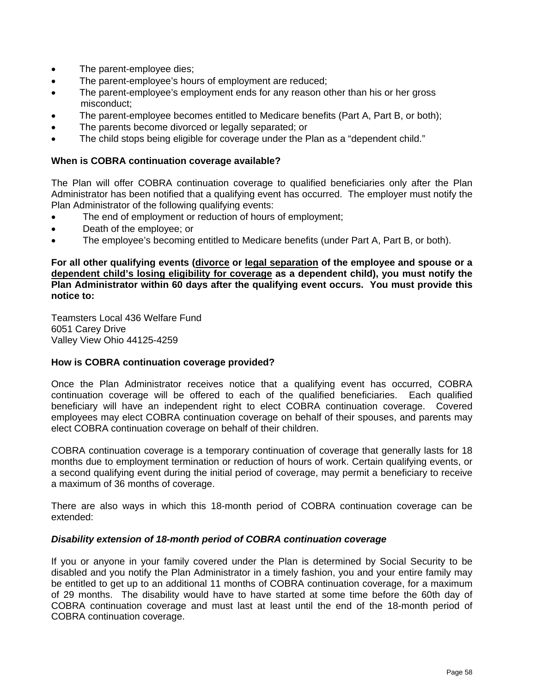- The parent-employee dies;
- The parent-employee's hours of employment are reduced;
- The parent-employee's employment ends for any reason other than his or her gross misconduct;
- The parent-employee becomes entitled to Medicare benefits (Part A, Part B, or both);
- The parents become divorced or legally separated; or
- The child stops being eligible for coverage under the Plan as a "dependent child."

# **When is COBRA continuation coverage available?**

The Plan will offer COBRA continuation coverage to qualified beneficiaries only after the Plan Administrator has been notified that a qualifying event has occurred. The employer must notify the Plan Administrator of the following qualifying events:

- The end of employment or reduction of hours of employment;
- Death of the employee; or
- The employee's becoming entitled to Medicare benefits (under Part A, Part B, or both).

**For all other qualifying events (divorce or legal separation of the employee and spouse or a dependent child's losing eligibility for coverage as a dependent child), you must notify the Plan Administrator within 60 days after the qualifying event occurs. You must provide this notice to:** 

Teamsters Local 436 Welfare Fund 6051 Carey Drive Valley View Ohio 44125-4259

# **How is COBRA continuation coverage provided?**

Once the Plan Administrator receives notice that a qualifying event has occurred, COBRA continuation coverage will be offered to each of the qualified beneficiaries. Each qualified beneficiary will have an independent right to elect COBRA continuation coverage. Covered employees may elect COBRA continuation coverage on behalf of their spouses, and parents may elect COBRA continuation coverage on behalf of their children.

COBRA continuation coverage is a temporary continuation of coverage that generally lasts for 18 months due to employment termination or reduction of hours of work. Certain qualifying events, or a second qualifying event during the initial period of coverage, may permit a beneficiary to receive a maximum of 36 months of coverage.

There are also ways in which this 18-month period of COBRA continuation coverage can be extended:

#### *Disability extension of 18-month period of COBRA continuation coverage*

If you or anyone in your family covered under the Plan is determined by Social Security to be disabled and you notify the Plan Administrator in a timely fashion, you and your entire family may be entitled to get up to an additional 11 months of COBRA continuation coverage, for a maximum of 29 months. The disability would have to have started at some time before the 60th day of COBRA continuation coverage and must last at least until the end of the 18-month period of COBRA continuation coverage.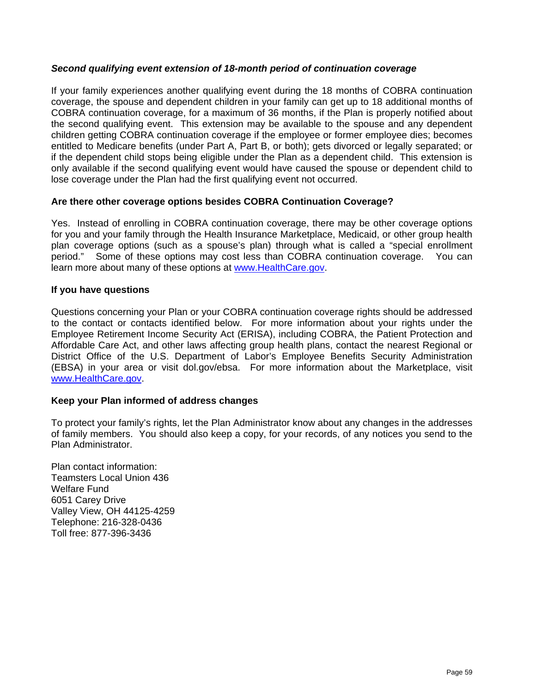# *Second qualifying event extension of 18-month period of continuation coverage*

If your family experiences another qualifying event during the 18 months of COBRA continuation coverage, the spouse and dependent children in your family can get up to 18 additional months of COBRA continuation coverage, for a maximum of 36 months, if the Plan is properly notified about the second qualifying event. This extension may be available to the spouse and any dependent children getting COBRA continuation coverage if the employee or former employee dies; becomes entitled to Medicare benefits (under Part A, Part B, or both); gets divorced or legally separated; or if the dependent child stops being eligible under the Plan as a dependent child. This extension is only available if the second qualifying event would have caused the spouse or dependent child to lose coverage under the Plan had the first qualifying event not occurred.

# **Are there other coverage options besides COBRA Continuation Coverage?**

Yes. Instead of enrolling in COBRA continuation coverage, there may be other coverage options for you and your family through the Health Insurance Marketplace, Medicaid, or other group health plan coverage options (such as a spouse's plan) through what is called a "special enrollment period." Some of these options may cost less than COBRA continuation coverage. You can learn more about many of these options at [www.HealthCare.gov.](http://www.healthcare.gov/)

# **If you have questions**

Questions concerning your Plan or your COBRA continuation coverage rights should be addressed to the contact or contacts identified below. For more information about your rights under the Employee Retirement Income Security Act (ERISA), including COBRA, the Patient Protection and Affordable Care Act, and other laws affecting group health plans, contact the nearest Regional or District Office of the U.S. Department of Labor's Employee Benefits Security Administration (EBSA) in your area or visit dol.gov/ebsa. For more information about the Marketplace, visit [www.HealthCare.gov.](http://www.healthcare.gov/)

# **Keep your Plan informed of address changes**

To protect your family's rights, let the Plan Administrator know about any changes in the addresses of family members.You should also keep a copy, for your records, of any notices you send to the Plan Administrator.

Plan contact information: Teamsters Local Union 436 Welfare Fund 6051 Carey Drive Valley View, OH 44125-4259 Telephone: 216-328-0436 Toll free: 877-396-3436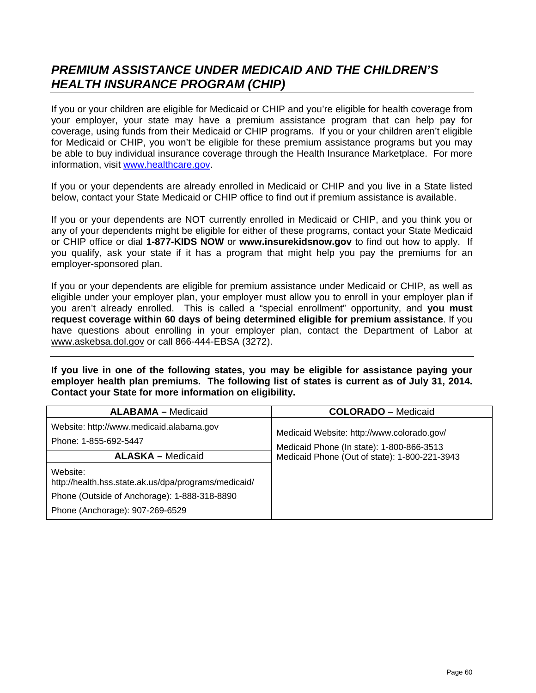# *PREMIUM ASSISTANCE UNDER MEDICAID AND THE CHILDREN'S HEALTH INSURANCE PROGRAM (CHIP)*

If you or your children are eligible for Medicaid or CHIP and you're eligible for health coverage from your employer, your state may have a premium assistance program that can help pay for coverage, using funds from their Medicaid or CHIP programs. If you or your children aren't eligible for Medicaid or CHIP, you won't be eligible for these premium assistance programs but you may be able to buy individual insurance coverage through the Health Insurance Marketplace. For more information, visit [www.healthcare.gov.](http://www.healthcare.gov/)

If you or your dependents are already enrolled in Medicaid or CHIP and you live in a State listed below, contact your State Medicaid or CHIP office to find out if premium assistance is available.

If you or your dependents are NOT currently enrolled in Medicaid or CHIP, and you think you or any of your dependents might be eligible for either of these programs, contact your State Medicaid or CHIP office or dial **1-877-KIDS NOW** or **www.insurekidsnow.gov** to find out how to apply. If you qualify, ask your state if it has a program that might help you pay the premiums for an employer-sponsored plan.

If you or your dependents are eligible for premium assistance under Medicaid or CHIP, as well as eligible under your employer plan, your employer must allow you to enroll in your employer plan if you aren't already enrolled. This is called a "special enrollment" opportunity, and **you must request coverage within 60 days of being determined eligible for premium assistance**. If you have questions about enrolling in your employer plan, contact the Department of Labor at [www.askebsa.dol.gov](http://www.askebsa.dol.gov/) or call 866-444-EBSA (3272).

**If you live in one of the following states, you may be eligible for assistance paying your employer health plan premiums. The following list of states is current as of July 31, 2014. Contact your State for more information on eligibility.**

| <b>ALABAMA - Medicaid</b>                                                                                                                           | <b>COLORADO</b> - Medicaid                                                              |
|-----------------------------------------------------------------------------------------------------------------------------------------------------|-----------------------------------------------------------------------------------------|
| Website: http://www.medicaid.alabama.gov<br>Phone: 1-855-692-5447                                                                                   | Medicaid Website: http://www.colorado.gov/<br>Medicaid Phone (In state): 1-800-866-3513 |
| <b>ALASKA - Medicaid</b>                                                                                                                            | Medicaid Phone (Out of state): 1-800-221-3943                                           |
| Website:<br>http://health.hss.state.ak.us/dpa/programs/medicaid/<br>Phone (Outside of Anchorage): 1-888-318-8890<br>Phone (Anchorage): 907-269-6529 |                                                                                         |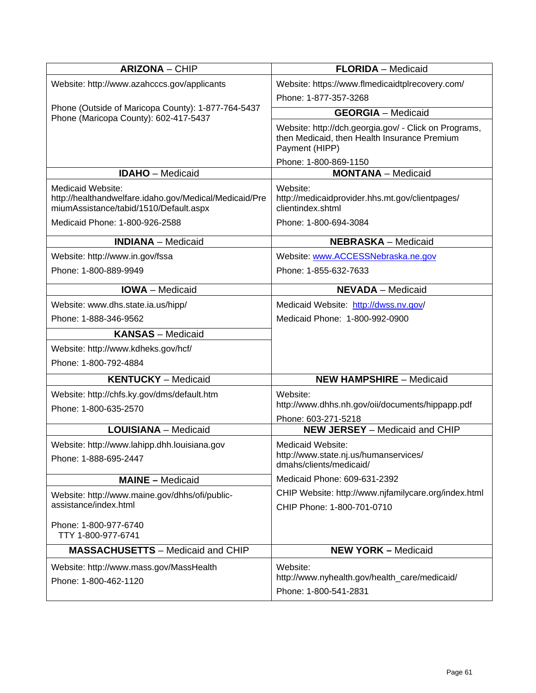| <b>ARIZONA - CHIP</b>                                                                                                 | <b>FLORIDA</b> - Medicaid                                                                                               |
|-----------------------------------------------------------------------------------------------------------------------|-------------------------------------------------------------------------------------------------------------------------|
| Website: http://www.azahcccs.gov/applicants                                                                           | Website: https://www.flmedicaidtplrecovery.com/                                                                         |
|                                                                                                                       | Phone: 1-877-357-3268                                                                                                   |
| Phone (Outside of Maricopa County): 1-877-764-5437<br>Phone (Maricopa County): 602-417-5437                           | <b>GEORGIA</b> - Medicaid                                                                                               |
|                                                                                                                       | Website: http://dch.georgia.gov/ - Click on Programs,<br>then Medicaid, then Health Insurance Premium<br>Payment (HIPP) |
|                                                                                                                       | Phone: 1-800-869-1150                                                                                                   |
| <b>IDAHO</b> - Medicaid                                                                                               | <b>MONTANA</b> - Medicaid                                                                                               |
| Medicaid Website:<br>http://healthandwelfare.idaho.gov/Medical/Medicaid/Pre<br>miumAssistance/tabid/1510/Default.aspx | Website:<br>http://medicaidprovider.hhs.mt.gov/clientpages/<br>clientindex.shtml                                        |
| Medicaid Phone: 1-800-926-2588                                                                                        | Phone: 1-800-694-3084                                                                                                   |
| <b>INDIANA</b> - Medicaid                                                                                             | <b>NEBRASKA - Medicaid</b>                                                                                              |
| Website: http://www.in.gov/fssa                                                                                       | Website: www.ACCESSNebraska.ne.gov                                                                                      |
| Phone: 1-800-889-9949                                                                                                 | Phone: 1-855-632-7633                                                                                                   |
| <b>IOWA</b> - Medicaid                                                                                                | <b>NEVADA</b> - Medicaid                                                                                                |
| Website: www.dhs.state.ia.us/hipp/                                                                                    | Medicaid Website. http://dwss.nv.gov/                                                                                   |
| Phone: 1-888-346-9562                                                                                                 | Medicaid Phone: 1-800-992-0900                                                                                          |
| <b>KANSAS</b> - Medicaid                                                                                              |                                                                                                                         |
| Website: http://www.kdheks.gov/hcf/                                                                                   |                                                                                                                         |
| Phone: 1-800-792-4884                                                                                                 |                                                                                                                         |
| <b>KENTUCKY</b> - Medicaid                                                                                            | <b>NEW HAMPSHIRE - Medicaid</b>                                                                                         |
| Website: http://chfs.ky.gov/dms/default.htm<br>Phone: 1-800-635-2570                                                  | Website:<br>http://www.dhhs.nh.gov/oii/documents/hippapp.pdf                                                            |
| <b>LOUISIANA</b> - Medicaid                                                                                           | Phone: 603-271-5218<br><b>NEW JERSEY</b> - Medicaid and CHIP                                                            |
| Website: http://www.lahipp.dhh.louisiana.gov                                                                          | <b>Medicaid Website:</b>                                                                                                |
| Phone: 1-888-695-2447                                                                                                 | http://www.state.nj.us/humanservices/<br>dmahs/clients/medicaid/                                                        |
| <b>MAINE - Medicaid</b>                                                                                               | Medicaid Phone: 609-631-2392                                                                                            |
| Website: http://www.maine.gov/dhhs/ofi/public-                                                                        | CHIP Website: http://www.njfamilycare.org/index.html                                                                    |
| assistance/index.html                                                                                                 | CHIP Phone: 1-800-701-0710                                                                                              |
| Phone: 1-800-977-6740<br>TTY 1-800-977-6741                                                                           |                                                                                                                         |
| <b>MASSACHUSETTS - Medicaid and CHIP</b>                                                                              | <b>NEW YORK - Medicaid</b>                                                                                              |
| Website: http://www.mass.gov/MassHealth<br>Phone: 1-800-462-1120                                                      | Website:<br>http://www.nyhealth.gov/health_care/medicaid/<br>Phone: 1-800-541-2831                                      |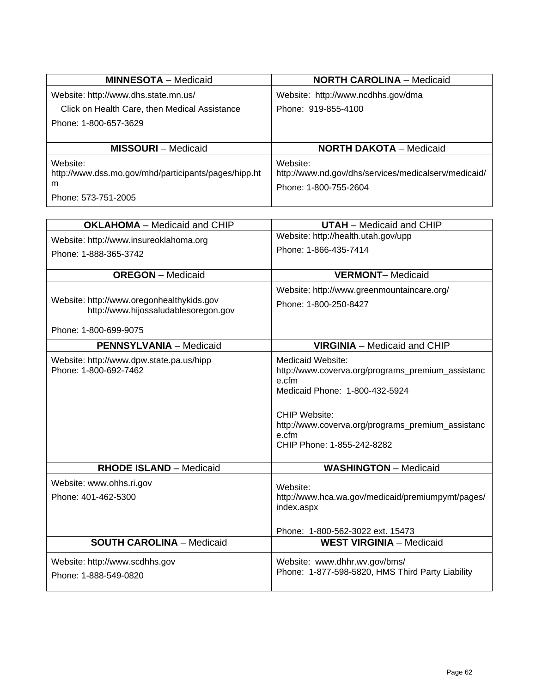| <b>MINNESOTA - Medicaid</b>                                                                  | <b>NORTH CAROLINA - Medicaid</b>                                                          |
|----------------------------------------------------------------------------------------------|-------------------------------------------------------------------------------------------|
| Website: http://www.dhs.state.mn.us/                                                         | Website: http://www.ncdhhs.gov/dma                                                        |
| Click on Health Care, then Medical Assistance                                                | Phone: 919-855-4100                                                                       |
| Phone: 1-800-657-3629                                                                        |                                                                                           |
|                                                                                              |                                                                                           |
| <b>MISSOURI</b> - Medicaid                                                                   | <b>NORTH DAKOTA - Medicaid</b>                                                            |
| Website:<br>http://www.dss.mo.gov/mhd/participants/pages/hipp.ht<br>m<br>Phone: 573-751-2005 | Website:<br>http://www.nd.gov/dhs/services/medicalserv/medicaid/<br>Phone: 1-800-755-2604 |

| <b>OKLAHOMA</b> - Medicaid and CHIP                                               | <b>UTAH</b> – Medicaid and CHIP                                                                                   |
|-----------------------------------------------------------------------------------|-------------------------------------------------------------------------------------------------------------------|
| Website: http://www.insureoklahoma.org                                            | Website: http://health.utah.gov/upp                                                                               |
| Phone: 1-888-365-3742                                                             | Phone: 1-866-435-7414                                                                                             |
|                                                                                   |                                                                                                                   |
| <b>OREGON</b> - Medicaid                                                          | <b>VERMONT-Medicaid</b>                                                                                           |
|                                                                                   | Website: http://www.greenmountaincare.org/                                                                        |
| Website: http://www.oregonhealthykids.gov<br>http://www.hijossaludablesoregon.gov | Phone: 1-800-250-8427                                                                                             |
| Phone: 1-800-699-9075                                                             |                                                                                                                   |
| <b>PENNSYLVANIA - Medicaid</b>                                                    | VIRGINIA - Medicaid and CHIP                                                                                      |
| Website: http://www.dpw.state.pa.us/hipp<br>Phone: 1-800-692-7462                 | Medicaid Website:<br>http://www.coverva.org/programs_premium_assistanc<br>e.cfm<br>Medicaid Phone: 1-800-432-5924 |
|                                                                                   | CHIP Website:<br>http://www.coverva.org/programs_premium_assistanc<br>e.cfm<br>CHIP Phone: 1-855-242-8282         |
| <b>RHODE ISLAND - Medicaid</b>                                                    | <b>WASHINGTON - Medicaid</b>                                                                                      |
| Website: www.ohhs.ri.gov<br>Phone: 401-462-5300                                   | Website:<br>http://www.hca.wa.gov/medicaid/premiumpymt/pages/<br>index.aspx                                       |
|                                                                                   | Phone: 1-800-562-3022 ext. 15473                                                                                  |
| <b>SOUTH CAROLINA - Medicaid</b>                                                  | <b>WEST VIRGINIA - Medicaid</b>                                                                                   |
| Website: http://www.scdhhs.gov<br>Phone: 1-888-549-0820                           | Website: www.dhhr.wv.gov/bms/<br>Phone: 1-877-598-5820, HMS Third Party Liability                                 |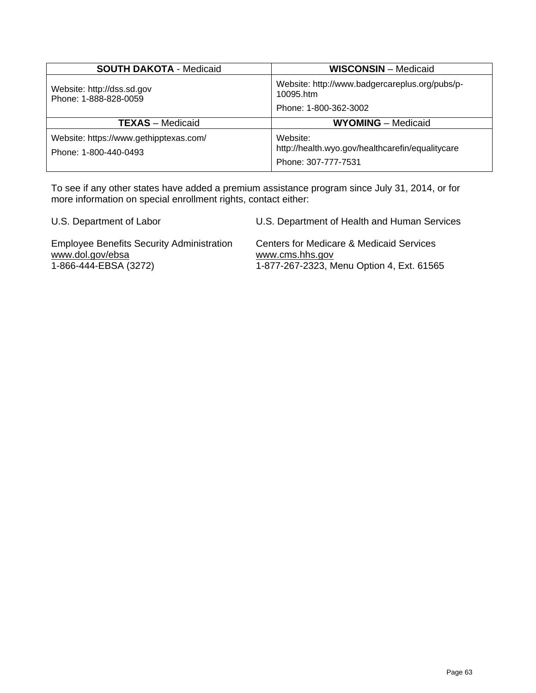| <b>SOUTH DAKOTA - Medicaid</b>                                  | <b>WISCONSIN - Medicaid</b>                                                         |
|-----------------------------------------------------------------|-------------------------------------------------------------------------------------|
| Website: http://dss.sd.gov<br>Phone: 1-888-828-0059             | Website: http://www.badgercareplus.org/pubs/p-<br>10095.htm                         |
|                                                                 | Phone: 1-800-362-3002                                                               |
| <b>TEXAS</b> – Medicaid                                         | <b>WYOMING</b> – Medicaid                                                           |
| Website: https://www.gethipptexas.com/<br>Phone: 1-800-440-0493 | Website:<br>http://health.wyo.gov/healthcarefin/equalitycare<br>Phone: 307-777-7531 |

To see if any other states have added a premium assistance program since July 31, 2014, or for more information on special enrollment rights, contact either:

U.S. Department of Labor U.S. Department of Health and Human Services

[www.dol.gov/ebsa](http://www.dol.gov/ebsa) www.cms.hhs.gov<br>1-866-444-EBSA (3272) 1-877-267-2323, M

Employee Benefits Security Administration Centers for Medicare & Medicaid Services<br>www.cms.hhs.gov 1-877-267-2323, Menu Option 4, Ext. 61565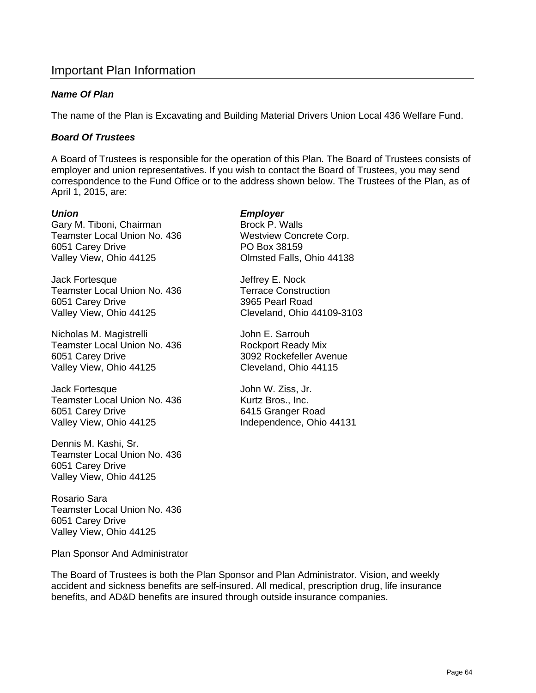# *Name Of Plan*

The name of the Plan is Excavating and Building Material Drivers Union Local 436 Welfare Fund.

# *Board Of Trustees*

A Board of Trustees is responsible for the operation of this Plan. The Board of Trustees consists of employer and union representatives. If you wish to contact the Board of Trustees, you may send correspondence to the Fund Office or to the address shown below. The Trustees of the Plan, as of April 1, 2015, are:

Gary M. Tiboni, Chairman **Brock P. Walls**<br>Teamster Local Union No. 436 **Brock P. Westview Concrete Corp.** Teamster Local Union No. 436 6051 Carey Drive **PO Box 38159** Valley View, Ohio 44125 Olmsted Falls, Ohio 44138

Jack Fortesque **Jeffrey E. Nock** Teamster Local Union No. 436 Terrace Construction 6051 Carey Drive 3965 Pearl Road Valley View, Ohio 44125 Cleveland, Ohio 44109-3103

Nicholas M. Magistrelli **Nicholas M. Magistrelli** John E. Sarrouh Teamster Local Union No. 436 Rockport Ready Mix 6051 Carey Drive 3092 Rockefeller Avenue Valley View, Ohio 44125 Cleveland, Ohio 44115

Jack Fortesque John W. Ziss, Jr. Teamster Local Union No. 436 Kurtz Bros., Inc. 6051 Carey Drive 6415 Granger Road Valley View, Ohio 44125 Independence, Ohio 44131

Dennis M. Kashi, Sr. Teamster Local Union No. 436 6051 Carey Drive Valley View, Ohio 44125

Rosario Sara Teamster Local Union No. 436 6051 Carey Drive Valley View, Ohio 44125

Plan Sponsor And Administrator

The Board of Trustees is both the Plan Sponsor and Plan Administrator. Vision, and weekly accident and sickness benefits are self-insured. All medical, prescription drug, life insurance benefits, and AD&D benefits are insured through outside insurance companies.

*Union Employer*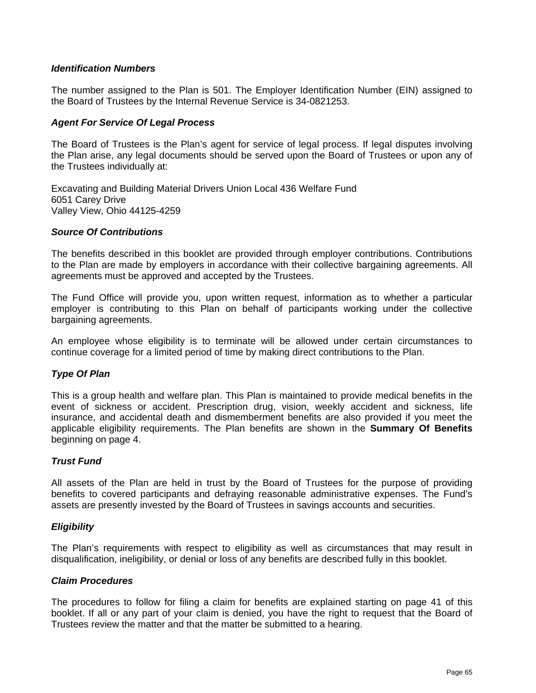# *Identification Numbers*

The number assigned to the Plan is 501. The Employer Identification Number (EIN) assigned to the Board of Trustees by the Internal Revenue Service is 34-0821253.

# *Agent For Service Of Legal Process*

The Board of Trustees is the Plan's agent for service of legal process. If legal disputes involving the Plan arise, any legal documents should be served upon the Board of Trustees or upon any of the Trustees individually at:

Excavating and Building Material Drivers Union Local 436 Welfare Fund 6051 Carey Drive Valley View, Ohio 44125-4259

#### *Source Of Contributions*

The benefits described in this booklet are provided through employer contributions. Contributions to the Plan are made by employers in accordance with their collective bargaining agreements. All agreements must be approved and accepted by the Trustees.

The Fund Office will provide you, upon written request, information as to whether a particular employer is contributing to this Plan on behalf of participants working under the collective bargaining agreements.

An employee whose eligibility is to terminate will be allowed under certain circumstances to continue coverage for a limited period of time by making direct contributions to the Plan.

# *Type Of Plan*

This is a group health and welfare plan. This Plan is maintained to provide medical benefits in the event of sickness or accident. Prescription drug, vision, weekly accident and sickness, life insurance, and accidental death and dismemberment benefits are also provided if you meet the applicable eligibility requirements. The Plan benefits are shown in the **Summary Of Benefits** beginning on page 4.

# *Trust Fund*

All assets of the Plan are held in trust by the Board of Trustees for the purpose of providing benefits to covered participants and defraying reasonable administrative expenses. The Fund's assets are presently invested by the Board of Trustees in savings accounts and securities.

#### *Eligibility*

The Plan's requirements with respect to eligibility as well as circumstances that may result in disqualification, ineligibility, or denial or loss of any benefits are described fully in this booklet.

# *Claim Procedures*

The procedures to follow for filing a claim for benefits are explained starting on page 41 of this booklet. If all or any part of your claim is denied, you have the right to request that the Board of Trustees review the matter and that the matter be submitted to a hearing.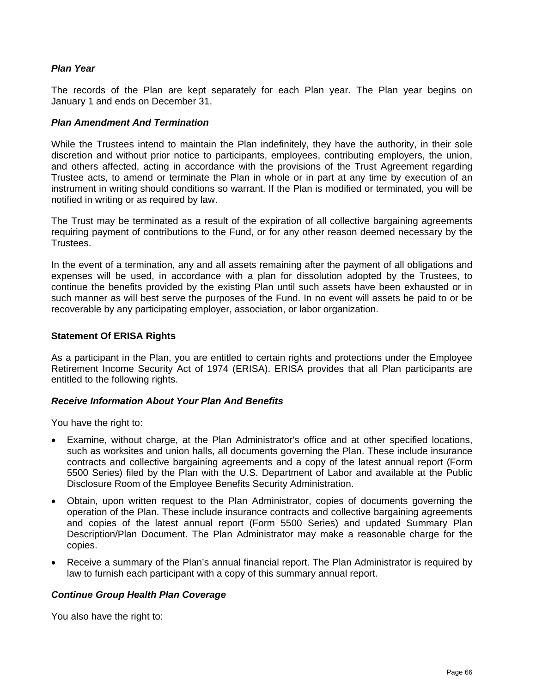#### *Plan Year*

The records of the Plan are kept separately for each Plan year. The Plan year begins on January 1 and ends on December 31.

#### *Plan Amendment And Termination*

While the Trustees intend to maintain the Plan indefinitely, they have the authority, in their sole discretion and without prior notice to participants, employees, contributing employers, the union, and others affected, acting in accordance with the provisions of the Trust Agreement regarding Trustee acts, to amend or terminate the Plan in whole or in part at any time by execution of an instrument in writing should conditions so warrant. If the Plan is modified or terminated, you will be notified in writing or as required by law.

The Trust may be terminated as a result of the expiration of all collective bargaining agreements requiring payment of contributions to the Fund, or for any other reason deemed necessary by the Trustees.

In the event of a termination, any and all assets remaining after the payment of all obligations and expenses will be used, in accordance with a plan for dissolution adopted by the Trustees, to continue the benefits provided by the existing Plan until such assets have been exhausted or in such manner as will best serve the purposes of the Fund. In no event will assets be paid to or be recoverable by any participating employer, association, or labor organization.

# **Statement Of ERISA Rights**

As a participant in the Plan, you are entitled to certain rights and protections under the Employee Retirement Income Security Act of 1974 (ERISA). ERISA provides that all Plan participants are entitled to the following rights.

#### *Receive Information About Your Plan And Benefits*

You have the right to:

- Examine, without charge, at the Plan Administrator's office and at other specified locations, such as worksites and union halls, all documents governing the Plan. These include insurance contracts and collective bargaining agreements and a copy of the latest annual report (Form 5500 Series) filed by the Plan with the U.S. Department of Labor and available at the Public Disclosure Room of the Employee Benefits Security Administration.
- Obtain, upon written request to the Plan Administrator, copies of documents governing the operation of the Plan. These include insurance contracts and collective bargaining agreements and copies of the latest annual report (Form 5500 Series) and updated Summary Plan Description/Plan Document. The Plan Administrator may make a reasonable charge for the copies.
- Receive a summary of the Plan's annual financial report. The Plan Administrator is required by law to furnish each participant with a copy of this summary annual report.

# *Continue Group Health Plan Coverage*

You also have the right to: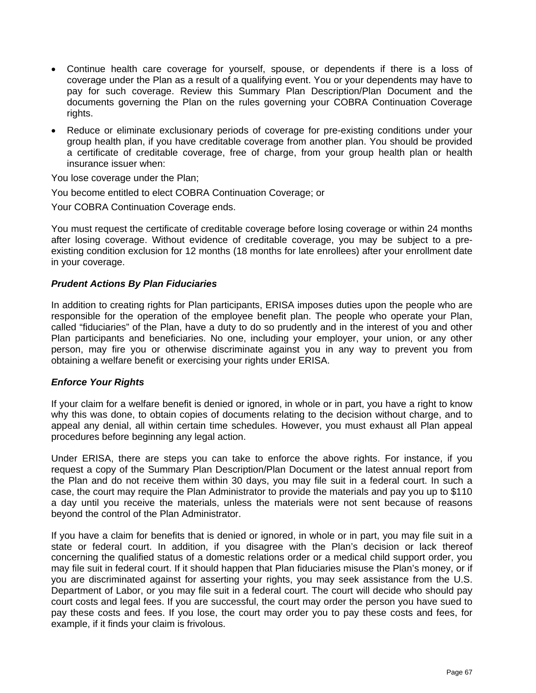- Continue health care coverage for yourself, spouse, or dependents if there is a loss of coverage under the Plan as a result of a qualifying event. You or your dependents may have to pay for such coverage. Review this Summary Plan Description/Plan Document and the documents governing the Plan on the rules governing your COBRA Continuation Coverage rights.
- Reduce or eliminate exclusionary periods of coverage for pre-existing conditions under your group health plan, if you have creditable coverage from another plan. You should be provided a certificate of creditable coverage, free of charge, from your group health plan or health insurance issuer when:

You lose coverage under the Plan;

You become entitled to elect COBRA Continuation Coverage; or

Your COBRA Continuation Coverage ends.

You must request the certificate of creditable coverage before losing coverage or within 24 months after losing coverage. Without evidence of creditable coverage, you may be subject to a preexisting condition exclusion for 12 months (18 months for late enrollees) after your enrollment date in your coverage.

## *Prudent Actions By Plan Fiduciaries*

In addition to creating rights for Plan participants, ERISA imposes duties upon the people who are responsible for the operation of the employee benefit plan. The people who operate your Plan, called "fiduciaries" of the Plan, have a duty to do so prudently and in the interest of you and other Plan participants and beneficiaries. No one, including your employer, your union, or any other person, may fire you or otherwise discriminate against you in any way to prevent you from obtaining a welfare benefit or exercising your rights under ERISA.

## *Enforce Your Rights*

If your claim for a welfare benefit is denied or ignored, in whole or in part, you have a right to know why this was done, to obtain copies of documents relating to the decision without charge, and to appeal any denial, all within certain time schedules. However, you must exhaust all Plan appeal procedures before beginning any legal action.

Under ERISA, there are steps you can take to enforce the above rights. For instance, if you request a copy of the Summary Plan Description/Plan Document or the latest annual report from the Plan and do not receive them within 30 days, you may file suit in a federal court. In such a case, the court may require the Plan Administrator to provide the materials and pay you up to \$110 a day until you receive the materials, unless the materials were not sent because of reasons beyond the control of the Plan Administrator.

If you have a claim for benefits that is denied or ignored, in whole or in part, you may file suit in a state or federal court. In addition, if you disagree with the Plan's decision or lack thereof concerning the qualified status of a domestic relations order or a medical child support order, you may file suit in federal court. If it should happen that Plan fiduciaries misuse the Plan's money, or if you are discriminated against for asserting your rights, you may seek assistance from the U.S. Department of Labor, or you may file suit in a federal court. The court will decide who should pay court costs and legal fees. If you are successful, the court may order the person you have sued to pay these costs and fees. If you lose, the court may order you to pay these costs and fees, for example, if it finds your claim is frivolous.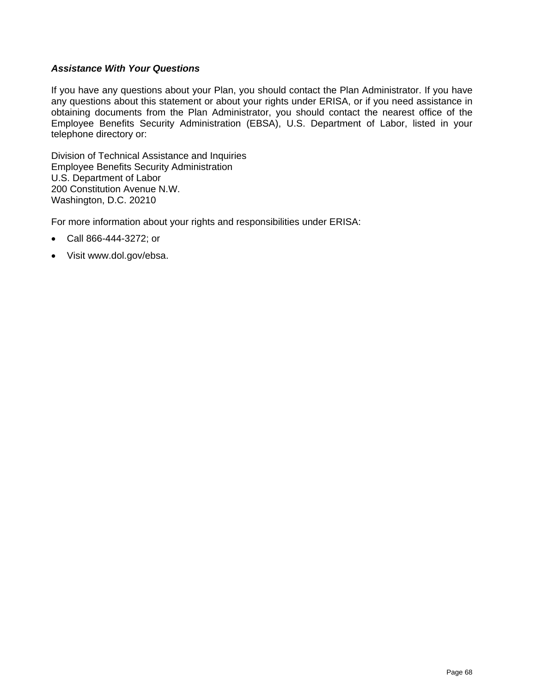## *Assistance With Your Questions*

If you have any questions about your Plan, you should contact the Plan Administrator. If you have any questions about this statement or about your rights under ERISA, or if you need assistance in obtaining documents from the Plan Administrator, you should contact the nearest office of the Employee Benefits Security Administration (EBSA), U.S. Department of Labor, listed in your telephone directory or:

Division of Technical Assistance and Inquiries Employee Benefits Security Administration U.S. Department of Labor 200 Constitution Avenue N.W. Washington, D.C. 20210

For more information about your rights and responsibilities under ERISA:

- Call 866-444-3272; or
- Visit www.dol.gov/ebsa.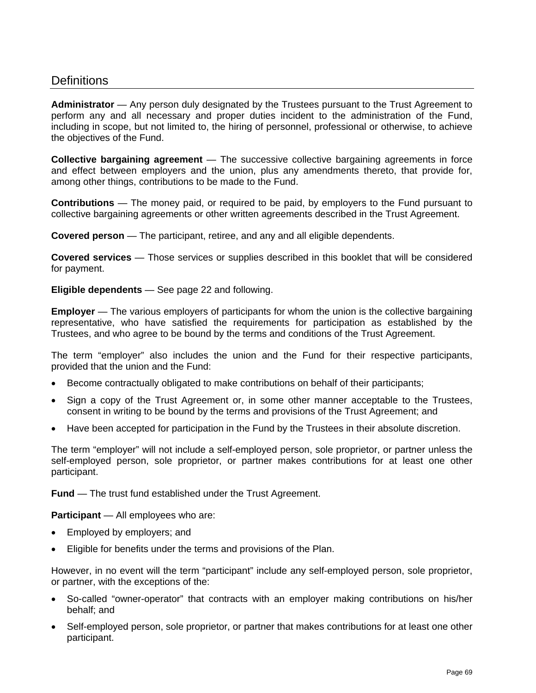## **Definitions**

**Administrator** — Any person duly designated by the Trustees pursuant to the Trust Agreement to perform any and all necessary and proper duties incident to the administration of the Fund, including in scope, but not limited to, the hiring of personnel, professional or otherwise, to achieve the objectives of the Fund.

**Collective bargaining agreement** — The successive collective bargaining agreements in force and effect between employers and the union, plus any amendments thereto, that provide for, among other things, contributions to be made to the Fund.

**Contributions** — The money paid, or required to be paid, by employers to the Fund pursuant to collective bargaining agreements or other written agreements described in the Trust Agreement.

**Covered person** — The participant, retiree, and any and all eligible dependents.

**Covered services** — Those services or supplies described in this booklet that will be considered for payment.

**Eligible dependents** — See page 22 and following.

**Employer** — The various employers of participants for whom the union is the collective bargaining representative, who have satisfied the requirements for participation as established by the Trustees, and who agree to be bound by the terms and conditions of the Trust Agreement.

The term "employer" also includes the union and the Fund for their respective participants, provided that the union and the Fund:

- Become contractually obligated to make contributions on behalf of their participants;
- Sign a copy of the Trust Agreement or, in some other manner acceptable to the Trustees, consent in writing to be bound by the terms and provisions of the Trust Agreement; and
- Have been accepted for participation in the Fund by the Trustees in their absolute discretion.

The term "employer" will not include a self-employed person, sole proprietor, or partner unless the self-employed person, sole proprietor, or partner makes contributions for at least one other participant.

**Fund** — The trust fund established under the Trust Agreement.

**Participant** — All employees who are:

- Employed by employers; and
- Eligible for benefits under the terms and provisions of the Plan.

However, in no event will the term "participant" include any self-employed person, sole proprietor, or partner, with the exceptions of the:

- So-called "owner-operator" that contracts with an employer making contributions on his/her behalf; and
- Self-employed person, sole proprietor, or partner that makes contributions for at least one other participant.